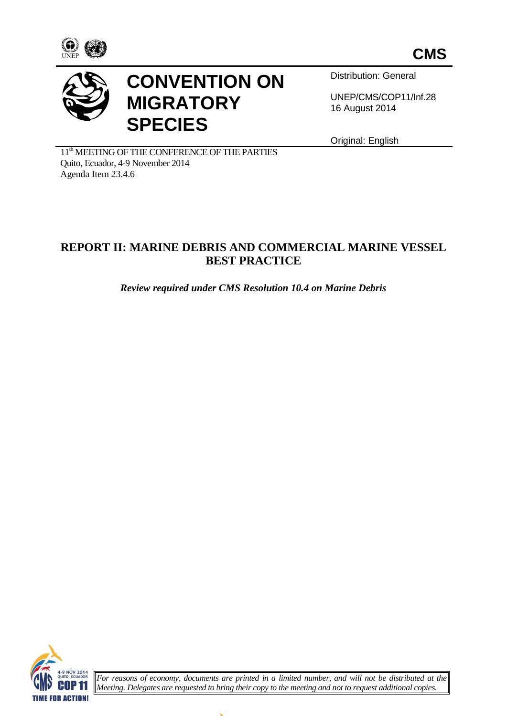





## **CONVENTION ON MIGRATORY SPECIES**

Distribution: General

UNEP/CMS/COP11/Inf.28 16 August 2014

Original: English

11<sup>th</sup> MEETING OF THE CONFERENCE OF THE PARTIES Quito, Ecuador, 4-9 November 2014 Agenda Item 23.4.6

## **REPORT II: MARINE DEBRIS AND COMMERCIAL MARINE VESSEL BEST PRACTICE**

*Review required under CMS Resolution 10.4 on Marine Debris*



*For reasons of economy, documents are printed in a limited number, and will not be distributed at the Meeting. Delegates are requested to bring their copy to the meeting and not to request additional copies.*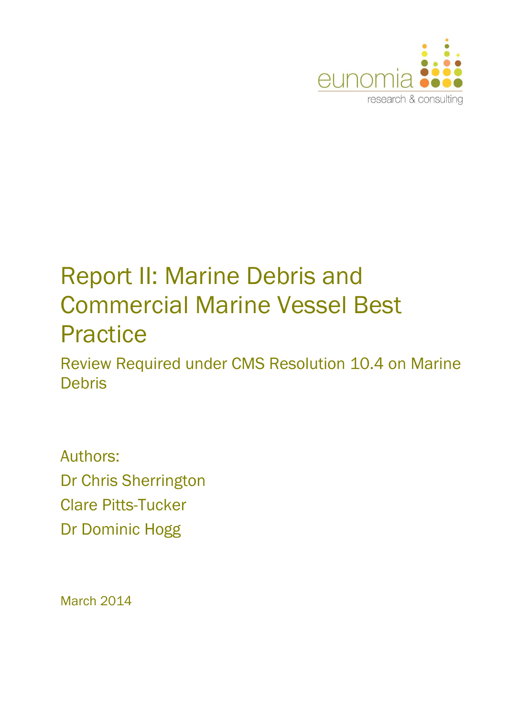

# Report II: Marine Debris and Commercial Marine Vessel Best **Practice**

Review Required under CMS Resolution 10.4 on Marine **Debris** 

Authors: Dr Chris Sherrington Clare Pitts-Tucker Dr Dominic Hogg

March 2014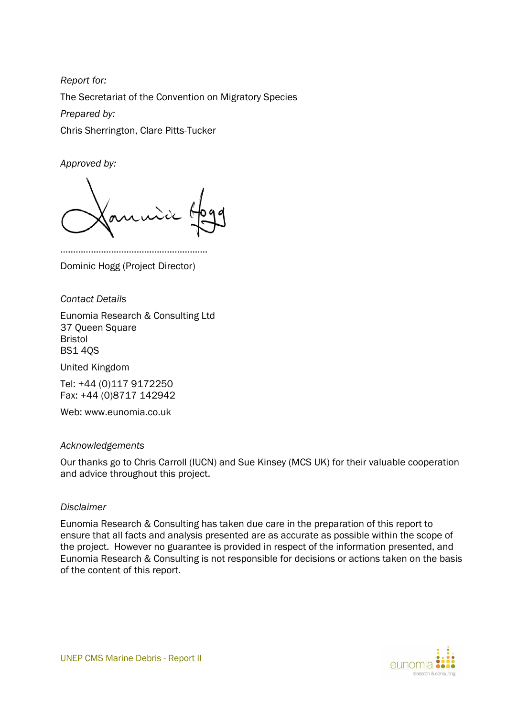*Report for:* The Secretariat of the Convention on Migratory Species *Prepared by:* Chris Sherrington, Clare Pitts-Tucker

*Approved by:*

…………………………………………………………… Dominic Hogg (Project Director)

*Contact Details*

Eunomia Research & Consulting Ltd 37 Queen Square Bristol BS1 4QS

United Kingdom

Tel: +44 (0)117 9172250 Fax: +44 (0)8717 142942

Web: www.eunomia.co.uk

#### *Acknowledgements*

Our thanks go to Chris Carroll (IUCN) and Sue Kinsey (MCS UK) for their valuable cooperation and advice throughout this project.

#### *Disclaimer*

Eunomia Research & Consulting has taken due care in the preparation of this report to ensure that all facts and analysis presented are as accurate as possible within the scope of the project. However no guarantee is provided in respect of the information presented, and Eunomia Research & Consulting is not responsible for decisions or actions taken on the basis of the content of this report.

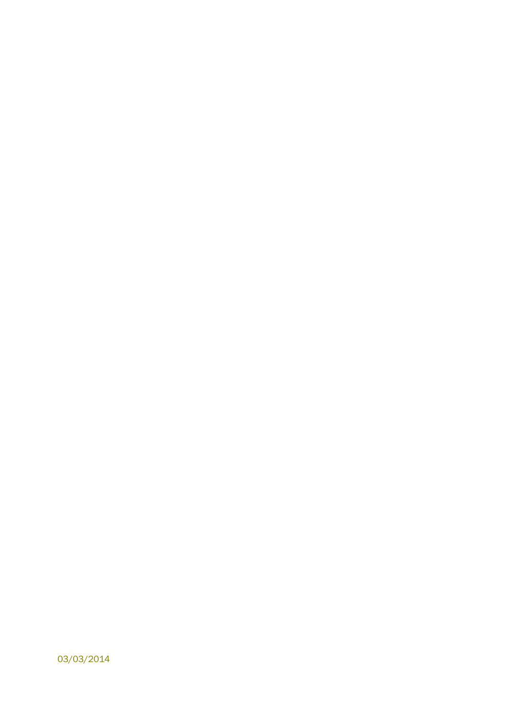03/03/2014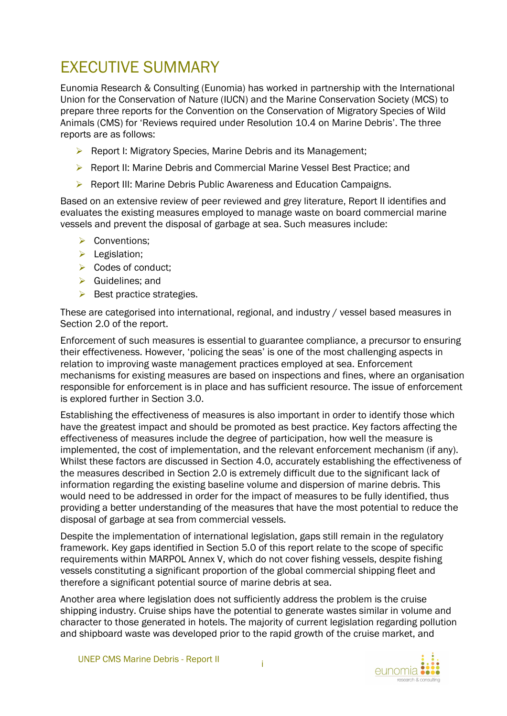## EXECUTIVE SUMMARY

Eunomia Research & Consulting (Eunomia) has worked in partnership with the International Union for the Conservation of Nature (IUCN) and the Marine Conservation Society (MCS) to prepare three reports for the Convention on the Conservation of Migratory Species of Wild Animals (CMS) for 'Reviews required under Resolution 10.4 on Marine Debris'. The three reports are as follows:

- ▶ Report I: Migratory Species, Marine Debris and its Management;
- ▶ Report II: Marine Debris and Commercial Marine Vessel Best Practice: and
- ▶ Report III: Marine Debris Public Awareness and Education Campaigns.

Based on an extensive review of peer reviewed and grey literature, Report II identifies and evaluates the existing measures employed to manage waste on board commercial marine vessels and prevent the disposal of garbage at sea. Such measures include:

- Conventions:
- $\blacktriangleright$  Legislation;
- $\triangleright$  Codes of conduct:
- $\triangleright$  Guidelines; and
- $\triangleright$  Best practice strategies.

These are categorised into international, regional, and industry / vessel based measures in Section [2.0](#page-12-0) of the report.

Enforcement of such measures is essential to guarantee compliance, a precursor to ensuring their effectiveness. However, 'policing the seas' is one of the most challenging aspects in relation to improving waste management practices employed at sea. Enforcement mechanisms for existing measures are based on inspections and fines, where an organisation responsible for enforcement is in place and has sufficient resource. The issue of enforcement is explored further in Section [3.0.](#page-41-0)

Establishing the effectiveness of measures is also important in order to identify those which have the greatest impact and should be promoted as best practice. Key factors affecting the effectiveness of measures include the degree of participation, how well the measure is implemented, the cost of implementation, and the relevant enforcement mechanism (if any). Whilst these factors are discussed in Section [4.0,](#page-45-0) accurately establishing the effectiveness of the measures described in Section [2.0](#page-12-0) is extremely difficult due to the significant lack of information regarding the existing baseline volume and dispersion of marine debris. This would need to be addressed in order for the impact of measures to be fully identified, thus providing a better understanding of the measures that have the most potential to reduce the disposal of garbage at sea from commercial vessels.

Despite the implementation of international legislation, gaps still remain in the regulatory framework. Key gaps identified in Section [5.0](#page-50-0) of this report relate to the scope of specific requirements within MARPOL Annex V, which do not cover fishing vessels, despite fishing vessels constituting a significant proportion of the global commercial shipping fleet and therefore a significant potential source of marine debris at sea.

Another area where legislation does not sufficiently address the problem is the cruise shipping industry. Cruise ships have the potential to generate wastes similar in volume and character to those generated in hotels. The majority of current legislation regarding pollution and shipboard waste was developed prior to the rapid growth of the cruise market, and

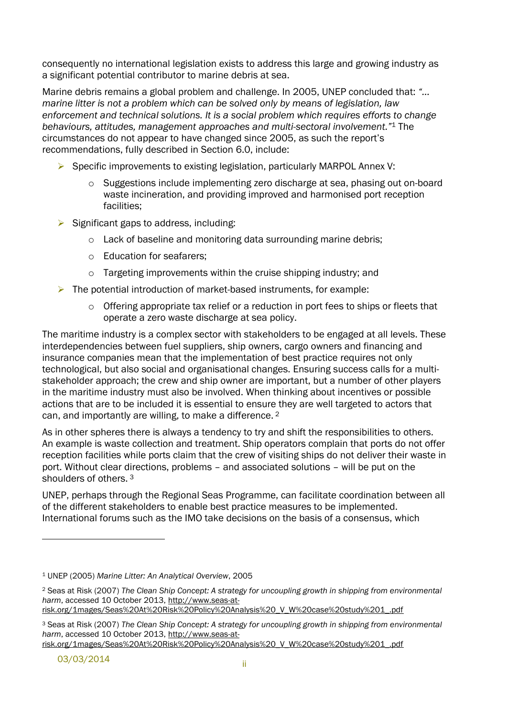consequently no international legislation exists to address this large and growing industry as a significant potential contributor to marine debris at sea.

Marine debris remains a global problem and challenge. In 2005, UNEP concluded that: *"… marine litter is not a problem which can be solved only by means of legislation, law enforcement and technical solutions. It is a social problem which requires efforts to change behaviours, attitudes, management approaches and multi-sectoral involvement."*<sup>1</sup> The circumstances do not appear to have changed since 2005, as such the report's recommendations, fully described in Section [6.0,](#page-55-0) include:

- Specific improvements to existing legislation, particularly MARPOL Annex V:
	- o Suggestions include implementing zero discharge at sea, phasing out on-board waste incineration, and providing improved and harmonised port reception facilities;
- $\triangleright$  Significant gaps to address, including:
	- o Lack of baseline and monitoring data surrounding marine debris;
	- o Education for seafarers;
	- o Targeting improvements within the cruise shipping industry; and
- $\triangleright$  The potential introduction of market-based instruments, for example:
	- $\circ$  Offering appropriate tax relief or a reduction in port fees to ships or fleets that operate a zero waste discharge at sea policy.

The maritime industry is a complex sector with stakeholders to be engaged at all levels. These interdependencies between fuel suppliers, ship owners, cargo owners and financing and insurance companies mean that the implementation of best practice requires not only technological, but also social and organisational changes. Ensuring success calls for a multistakeholder approach; the crew and ship owner are important, but a number of other players in the maritime industry must also be involved. When thinking about incentives or possible actions that are to be included it is essential to ensure they are well targeted to actors that can, and importantly are willing, to make a difference. 2

As in other spheres there is always a tendency to try and shift the responsibilities to others. An example is waste collection and treatment. Ship operators complain that ports do not offer reception facilities while ports claim that the crew of visiting ships do not deliver their waste in port. Without clear directions, problems – and associated solutions – will be put on the shoulders of others. 3

UNEP, perhaps through the Regional Seas Programme, can facilitate coordination between all of the different stakeholders to enable best practice measures to be implemented. International forums such as the IMO take decisions on the basis of a consensus, which

<sup>1</sup> UNEP (2005) *Marine Litter: An Analytical Overview*, 2005

<sup>2</sup> Seas at Risk (2007) *The Clean Ship Concept: A strategy for uncoupling growth in shipping from environmental harm*, accessed 10 October 2013, http://www.seas-at-

risk.org/1mages/Seas%20At%20Risk%20Policy%20Analysis%20\_V\_W%20case%20study%201\_.pdf

<sup>3</sup> Seas at Risk (2007) *The Clean Ship Concept: A strategy for uncoupling growth in shipping from environmental harm*, accessed 10 October 2013, http://www.seas-at-

risk.org/1mages/Seas%20At%20Risk%20Policy%20Analysis%20\_V\_W%20case%20study%201\_.pdf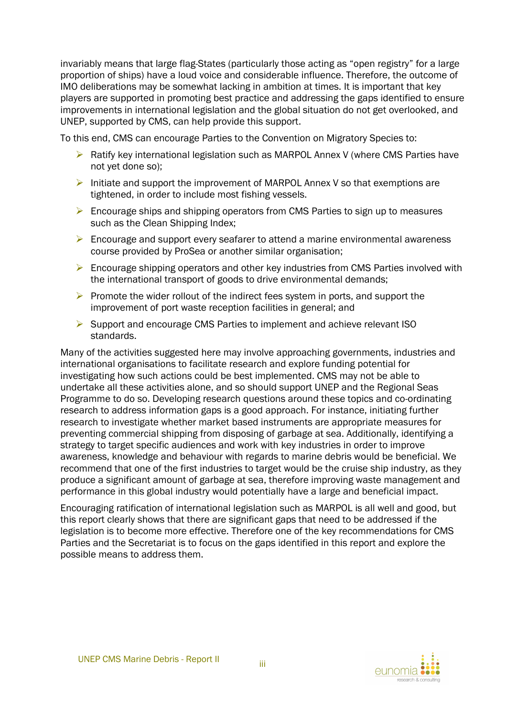invariably means that large flag-States (particularly those acting as "open registry" for a large proportion of ships) have a loud voice and considerable influence. Therefore, the outcome of IMO deliberations may be somewhat lacking in ambition at times. It is important that key players are supported in promoting best practice and addressing the gaps identified to ensure improvements in international legislation and the global situation do not get overlooked, and UNEP, supported by CMS, can help provide this support.

To this end, CMS can encourage Parties to the Convention on Migratory Species to:

- $\triangleright$  Ratify key international legislation such as MARPOL Annex V (where CMS Parties have not yet done so);
- Initiate and support the improvement of MARPOL Annex V so that exemptions are tightened, in order to include most fishing vessels.
- **Encourage ships and shipping operators from CMS Parties to sign up to measures** such as the Clean Shipping Index;
- $\triangleright$  Encourage and support every seafarer to attend a marine environmental awareness course provided by ProSea or another similar organisation;
- Encourage shipping operators and other key industries from CMS Parties involved with the international transport of goods to drive environmental demands;
- $\triangleright$  Promote the wider rollout of the indirect fees system in ports, and support the improvement of port waste reception facilities in general; and
- $\triangleright$  Support and encourage CMS Parties to implement and achieve relevant ISO standards.

Many of the activities suggested here may involve approaching governments, industries and international organisations to facilitate research and explore funding potential for investigating how such actions could be best implemented. CMS may not be able to undertake all these activities alone, and so should support UNEP and the Regional Seas Programme to do so. Developing research questions around these topics and co-ordinating research to address information gaps is a good approach. For instance, initiating further research to investigate whether market based instruments are appropriate measures for preventing commercial shipping from disposing of garbage at sea. Additionally, identifying a strategy to target specific audiences and work with key industries in order to improve awareness, knowledge and behaviour with regards to marine debris would be beneficial. We recommend that one of the first industries to target would be the cruise ship industry, as they produce a significant amount of garbage at sea, therefore improving waste management and performance in this global industry would potentially have a large and beneficial impact.

Encouraging ratification of international legislation such as MARPOL is all well and good, but this report clearly shows that there are significant gaps that need to be addressed if the legislation is to become more effective. Therefore one of the key recommendations for CMS Parties and the Secretariat is to focus on the gaps identified in this report and explore the possible means to address them.

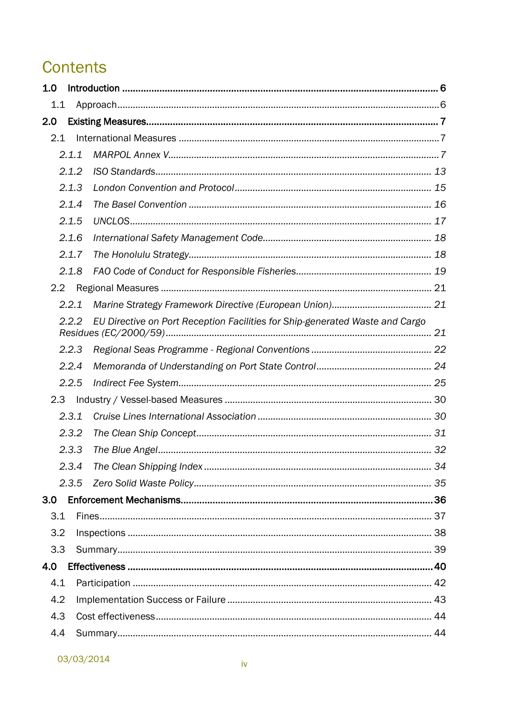## **Contents**

| 1.0   |       |                                                                              |  |  |  |  |  |  |
|-------|-------|------------------------------------------------------------------------------|--|--|--|--|--|--|
|       | 1.1   |                                                                              |  |  |  |  |  |  |
| 2.0   |       |                                                                              |  |  |  |  |  |  |
|       | 2.1   |                                                                              |  |  |  |  |  |  |
|       | 2.1.1 |                                                                              |  |  |  |  |  |  |
|       | 2.1.2 |                                                                              |  |  |  |  |  |  |
| 2.1.3 |       |                                                                              |  |  |  |  |  |  |
|       | 2.1.4 |                                                                              |  |  |  |  |  |  |
|       | 2.1.5 |                                                                              |  |  |  |  |  |  |
|       | 2.1.6 |                                                                              |  |  |  |  |  |  |
|       | 2.1.7 |                                                                              |  |  |  |  |  |  |
|       | 2.1.8 |                                                                              |  |  |  |  |  |  |
| 2.2   |       |                                                                              |  |  |  |  |  |  |
|       | 2.2.1 |                                                                              |  |  |  |  |  |  |
| 2.2.2 |       | EU Directive on Port Reception Facilities for Ship-generated Waste and Cargo |  |  |  |  |  |  |
|       | 2.2.3 |                                                                              |  |  |  |  |  |  |
|       | 2.2.4 |                                                                              |  |  |  |  |  |  |
|       | 2.2.5 |                                                                              |  |  |  |  |  |  |
| 2.3   |       |                                                                              |  |  |  |  |  |  |
|       | 2.3.1 |                                                                              |  |  |  |  |  |  |
|       | 2.3.2 |                                                                              |  |  |  |  |  |  |
|       | 2.3.3 |                                                                              |  |  |  |  |  |  |
|       | 2.3.4 |                                                                              |  |  |  |  |  |  |
|       | 2.3.5 |                                                                              |  |  |  |  |  |  |
| 3.0   |       |                                                                              |  |  |  |  |  |  |
| 3.1   |       |                                                                              |  |  |  |  |  |  |
| 3.2   |       |                                                                              |  |  |  |  |  |  |
| 3.3   |       |                                                                              |  |  |  |  |  |  |
| 4.0   |       |                                                                              |  |  |  |  |  |  |
| 4.1   |       |                                                                              |  |  |  |  |  |  |
| 4.2   |       |                                                                              |  |  |  |  |  |  |
| 4.3   |       |                                                                              |  |  |  |  |  |  |
| 4.4   |       |                                                                              |  |  |  |  |  |  |

03/03/2014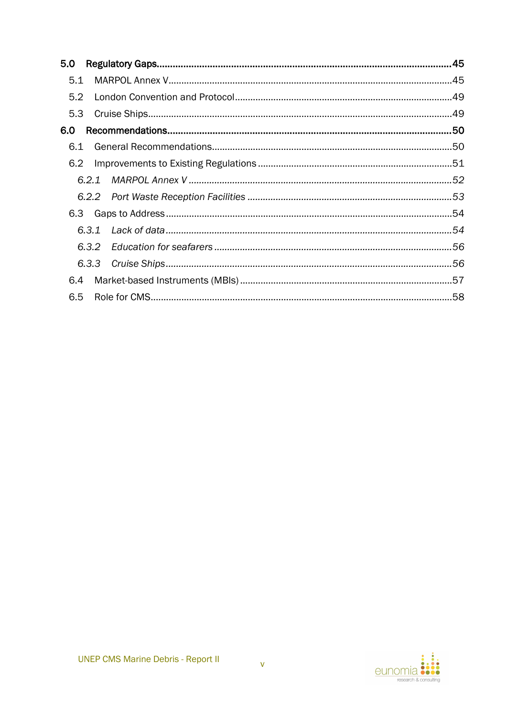| 5.1<br>5.2<br>5.3<br>6.0<br>6.1<br>6.2<br>6.4 | 5.0 |  |  |
|-----------------------------------------------|-----|--|--|
|                                               |     |  |  |
|                                               |     |  |  |
|                                               |     |  |  |
|                                               |     |  |  |
|                                               |     |  |  |
|                                               |     |  |  |
|                                               |     |  |  |
|                                               |     |  |  |
|                                               |     |  |  |
|                                               |     |  |  |
|                                               |     |  |  |
|                                               |     |  |  |
|                                               |     |  |  |
|                                               | 6.5 |  |  |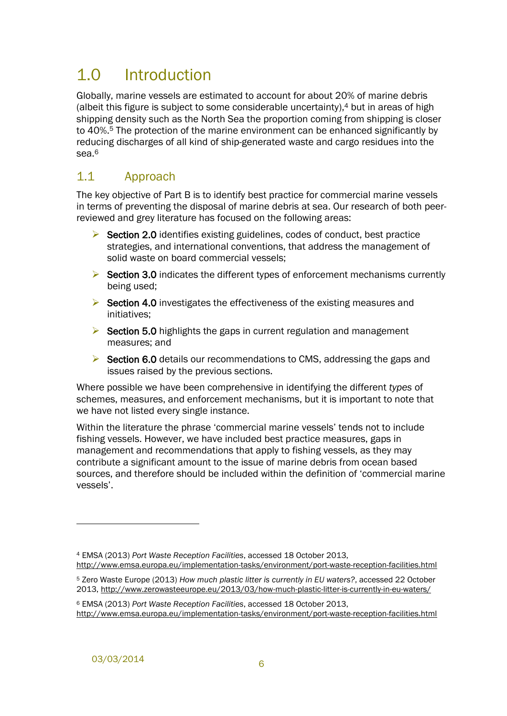## <span id="page-11-0"></span>1.0 Introduction

Globally, marine vessels are estimated to account for about 20% of marine debris (albeit this figure is subject to some considerable uncertainty), <sup>4</sup> but in areas of high shipping density such as the North Sea the proportion coming from shipping is closer to 40%.<sup>5</sup> The protection of the marine environment can be enhanced significantly by reducing discharges of all kind of ship-generated waste and cargo residues into the sea.<sup>6</sup>

## <span id="page-11-1"></span>1.1 Approach

The key objective of Part B is to identify best practice for commercial marine vessels in terms of preventing the disposal of marine debris at sea. Our research of both peerreviewed and grey literature has focused on the following areas:

- $\triangleright$  Section [2.0](#page-12-0) identifies existing guidelines, codes of conduct, best practice strategies, and international conventions, that address the management of solid waste on board commercial vessels;
- $\triangleright$  Section [3.0](#page-41-0) indicates the different types of enforcement mechanisms currently being used;
- $\triangleright$  Section [4.0](#page-45-0) investigates the effectiveness of the existing measures and initiatives;
- $\triangleright$  Section [5.0](#page-50-0) highlights the gaps in current regulation and management measures; and
- $\triangleright$  Section [6.0](#page-55-0) details our recommendations to CMS, addressing the gaps and issues raised by the previous sections.

Where possible we have been comprehensive in identifying the different *types* of schemes, measures, and enforcement mechanisms, but it is important to note that we have not listed every single instance.

Within the literature the phrase 'commercial marine vessels' tends not to include fishing vessels. However, we have included best practice measures, gaps in management and recommendations that apply to fishing vessels, as they may contribute a significant amount to the issue of marine debris from ocean based sources, and therefore should be included within the definition of 'commercial marine vessels'.

l

<sup>4</sup> EMSA (2013) *Port Waste Reception Facilities*, accessed 18 October 2013, http://www.emsa.europa.eu/implementation-tasks/environment/port-waste-reception-facilities.html

<sup>5</sup> Zero Waste Europe (2013) *How much plastic litter is currently in EU waters?*, accessed 22 October 2013, http://www.zerowasteeurope.eu/2013/03/how-much-plastic-litter-is-currently-in-eu-waters/

<sup>6</sup> EMSA (2013) *Port Waste Reception Facilities*, accessed 18 October 2013, http://www.emsa.europa.eu/implementation-tasks/environment/port-waste-reception-facilities.html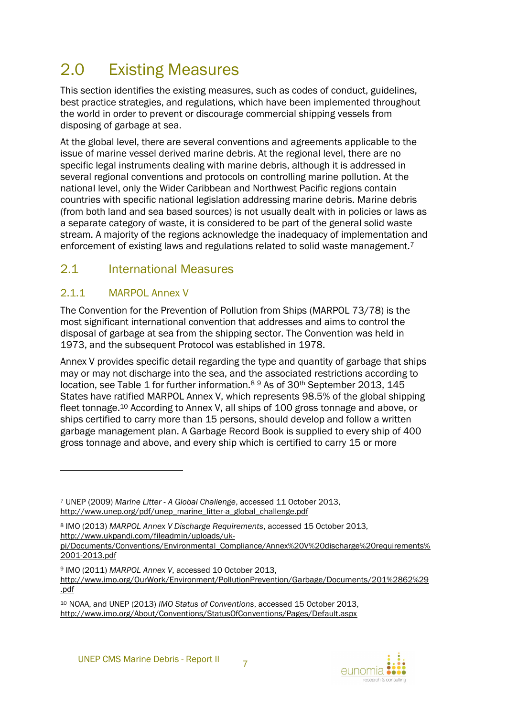## <span id="page-12-0"></span>2.0 Existing Measures

This section identifies the existing measures, such as codes of conduct, guidelines, best practice strategies, and regulations, which have been implemented throughout the world in order to prevent or discourage commercial shipping vessels from disposing of garbage at sea.

At the global level, there are several conventions and agreements applicable to the issue of marine vessel derived marine debris. At the regional level, there are no specific legal instruments dealing with marine debris, although it is addressed in several regional conventions and protocols on controlling marine pollution. At the national level, only the Wider Caribbean and Northwest Pacific regions contain countries with specific national legislation addressing marine debris. Marine debris (from both land and sea based sources) is not usually dealt with in policies or laws as a separate category of waste, it is considered to be part of the general solid waste stream. A majority of the regions acknowledge the inadequacy of implementation and enforcement of existing laws and regulations related to solid waste management.<sup>7</sup>

## <span id="page-12-1"></span>2.1 International Measures

## <span id="page-12-2"></span>2.1.1 MARPOL Annex V

l

The Convention for the Prevention of Pollution from Ships (MARPOL 73/78) is the most significant international convention that addresses and aims to control the disposal of garbage at sea from the shipping sector. The Convention was held in 1973, and the subsequent Protocol was established in 1978.

Annex V provides specific detail regarding the type and quantity of garbage that ships may or may not discharge into the sea, and the associated restrictions according to location, see [Table 1](#page-14-0) for further information.<sup>8</sup> <sup>9</sup> As of 30th September 2013, 145 States have ratified MARPOL Annex V, which represents 98.5% of the global shipping fleet tonnage.<sup>10</sup> According to Annex V, all ships of 100 gross tonnage and above, or ships certified to carry more than 15 persons, should develop and follow a written garbage management plan. A Garbage Record Book is supplied to every ship of 400 gross tonnage and above, and every ship which is certified to carry 15 or more



<sup>7</sup> UNEP (2009) *Marine Litter - A Global Challenge*, accessed 11 October 2013, http://www.unep.org/pdf/unep\_marine\_litter-a\_global\_challenge.pdf

<sup>8</sup> IMO (2013) *MARPOL Annex V Discharge Requirements*, accessed 15 October 2013, http://www.ukpandi.com/fileadmin/uploads/uk-

pi/Documents/Conventions/Environmental\_Compliance/Annex%20V%20discharge%20requirements% 2001-2013.pdf

<sup>9</sup> IMO (2011) *MARPOL Annex V*, accessed 10 October 2013,

http://www.imo.org/OurWork/Environment/PollutionPrevention/Garbage/Documents/201%2862%29 .pdf

<sup>10</sup> NOAA, and UNEP (2013) *IMO Status of Conventions*, accessed 15 October 2013, http://www.imo.org/About/Conventions/StatusOfConventions/Pages/Default.aspx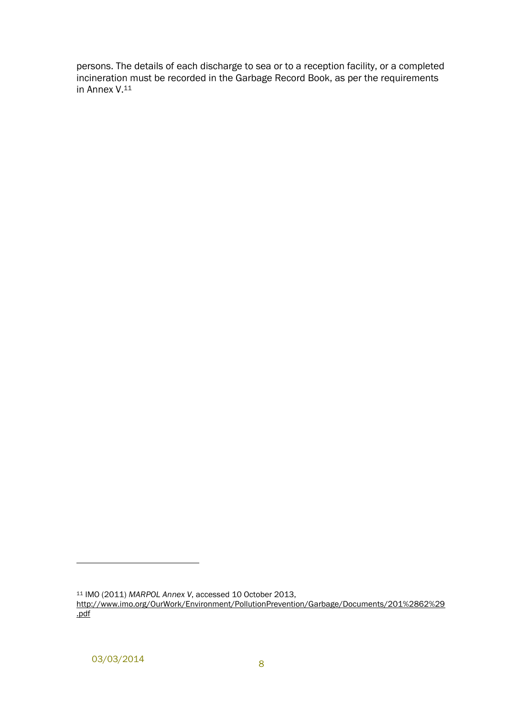persons. The details of each discharge to sea or to a reception facility, or a completed incineration must be recorded in the Garbage Record Book, as per the requirements in Annex V.<sup>11</sup>

l

<sup>11</sup> IMO (2011) *MARPOL Annex V*, accessed 10 October 2013, http://www.imo.org/OurWork/Environment/PollutionPrevention/Garbage/Documents/201%2862%29 .pdf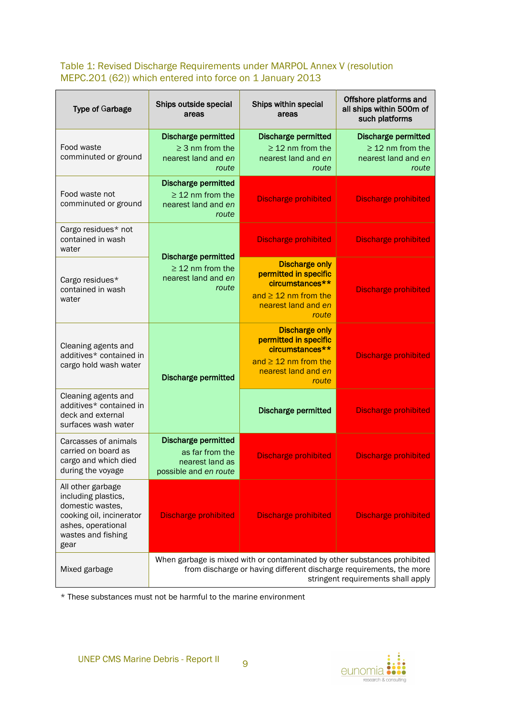#### <span id="page-14-0"></span>Table 1: Revised Discharge Requirements under MARPOL Annex V (resolution MEPC.201 (62)) which entered into force on 1 January 2013

| <b>Type of Garbage</b>                                                                                                                                                                                  | Ships outside special<br>areas                                                            | Ships within special<br>areas                                                                                                  | Offshore platforms and<br>all ships within 500m of<br>such platforms                |  |  |
|---------------------------------------------------------------------------------------------------------------------------------------------------------------------------------------------------------|-------------------------------------------------------------------------------------------|--------------------------------------------------------------------------------------------------------------------------------|-------------------------------------------------------------------------------------|--|--|
| Food waste<br>comminuted or ground                                                                                                                                                                      | <b>Discharge permitted</b><br>$\geq$ 3 nm from the<br>nearest land and en<br>route        | <b>Discharge permitted</b><br>$\geq$ 12 nm from the<br>nearest land and en<br>route                                            | <b>Discharge permitted</b><br>$\geq$ 12 nm from the<br>nearest land and en<br>route |  |  |
| Food waste not<br>comminuted or ground                                                                                                                                                                  | <b>Discharge permitted</b><br>$\geq$ 12 nm from the<br>nearest land and en<br>route       | <b>Discharge prohibited</b>                                                                                                    | <b>Discharge prohibited</b>                                                         |  |  |
| Cargo residues* not<br>contained in wash<br>water                                                                                                                                                       |                                                                                           | <b>Discharge prohibited</b>                                                                                                    | <b>Discharge prohibited</b>                                                         |  |  |
| Cargo residues*<br>contained in wash<br>water                                                                                                                                                           | <b>Discharge permitted</b><br>$\geq$ 12 nm from the<br>nearest land and en<br>route       | <b>Discharge only</b><br>permitted in specific<br>circumstances**<br>and $\geq$ 12 nm from the<br>nearest land and en<br>route | <b>Discharge prohibited</b>                                                         |  |  |
| Cleaning agents and<br>additives* contained in<br>cargo hold wash water                                                                                                                                 | <b>Discharge permitted</b>                                                                | <b>Discharge only</b><br>permitted in specific<br>circumstances**<br>and $\geq 12$ nm from the<br>nearest land and en<br>route | <b>Discharge prohibited</b>                                                         |  |  |
| Cleaning agents and<br>additives* contained in<br>deck and external<br>surfaces wash water                                                                                                              |                                                                                           | <b>Discharge permitted</b>                                                                                                     | <b>Discharge prohibited</b>                                                         |  |  |
| Carcasses of animals<br>carried on board as<br>cargo and which died<br>during the voyage                                                                                                                | <b>Discharge permitted</b><br>as far from the<br>nearest land as<br>possible and en route | <b>Discharge prohibited</b>                                                                                                    | <b>Discharge prohibited</b>                                                         |  |  |
| All other garbage<br>including plastics,<br>domestic wastes,<br>cooking oil, incinerator<br>ashes, operational<br>wastes and fishing<br>gear                                                            | <b>Discharge prohibited</b>                                                               | <b>Discharge prohibited</b>                                                                                                    | <b>Discharge prohibited</b>                                                         |  |  |
| When garbage is mixed with or contaminated by other substances prohibited<br>from discharge or having different discharge requirements, the more<br>Mixed garbage<br>stringent requirements shall apply |                                                                                           |                                                                                                                                |                                                                                     |  |  |

\* These substances must not be harmful to the marine environment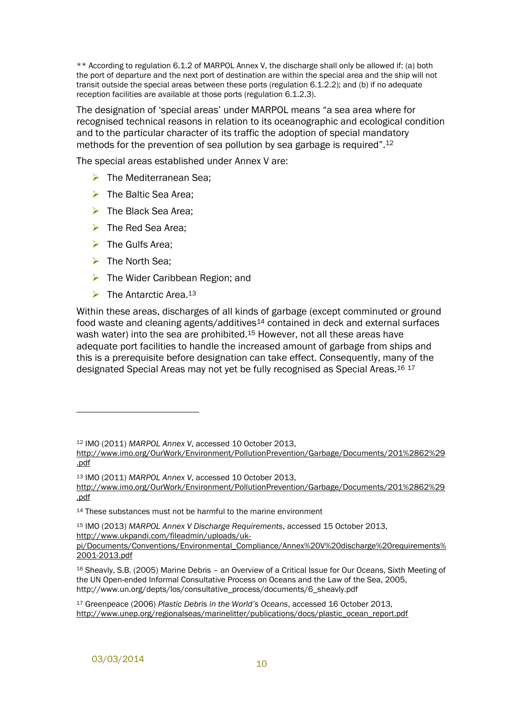\*\* According to regulation 6.1.2 of MARPOL Annex V, the discharge shall only be allowed if: (a) both the port of departure and the next port of destination are within the special area and the ship will not transit outside the special areas between these ports (regulation 6.1.2.2); and (b) if no adequate reception facilities are available at those ports (regulation 6.1.2.3).

The designation of 'special areas' under MARPOL means "a sea area where for recognised technical reasons in relation to its oceanographic and ecological condition and to the particular character of its traffic the adoption of special mandatory methods for the prevention of sea pollution by sea garbage is required".<sup>12</sup>

The special areas established under Annex V are:

- $\triangleright$  The Mediterranean Sea:
- $\triangleright$  The Baltic Sea Area;
- $\triangleright$  The Black Sea Area:
- $\triangleright$  The Red Sea Area;
- $\triangleright$  The Gulfs Area;
- $\triangleright$  The North Sea:

l

- $\triangleright$  The Wider Caribbean Region; and
- $\triangleright$  The Antarctic Area 13

Within these areas, discharges of all kinds of garbage (except comminuted or ground food waste and cleaning agents/additives<sup>14</sup> contained in deck and external surfaces wash water) into the sea are prohibited.<sup>15</sup> However, not all these areas have adequate port facilities to handle the increased amount of garbage from ships and this is a prerequisite before designation can take effect. Consequently, many of the designated Special Areas may not yet be fully recognised as Special Areas.<sup>16 17</sup>

<sup>12</sup> IMO (2011) *MARPOL Annex V*, accessed 10 October 2013,

http://www.imo.org/OurWork/Environment/PollutionPrevention/Garbage/Documents/201%2862%29 .pdf

<sup>13</sup> IMO (2011) *MARPOL Annex V*, accessed 10 October 2013, http://www.imo.org/OurWork/Environment/PollutionPrevention/Garbage/Documents/201%2862%29 .pdf

<sup>&</sup>lt;sup>14</sup> These substances must not be harmful to the marine environment

<sup>15</sup> IMO (2013) *MARPOL Annex V Discharge Requirements*, accessed 15 October 2013, http://www.ukpandi.com/fileadmin/uploads/uk-

pi/Documents/Conventions/Environmental\_Compliance/Annex%20V%20discharge%20requirements% 2001-2013.pdf

<sup>16</sup> Sheavly, S.B. (2005) Marine Debris – an Overview of a Critical Issue for Our Oceans, Sixth Meeting of the UN Open-ended Informal Consultative Process on Oceans and the Law of the Sea, 2005, http://www.un.org/depts/los/consultative\_process/documents/6\_sheavly.pdf

<sup>17</sup> Greenpeace (2006) *Plastic Debris in the World's Oceans*, accessed 16 October 2013, http://www.unep.org/regionalseas/marinelitter/publications/docs/plastic\_ocean\_report.pdf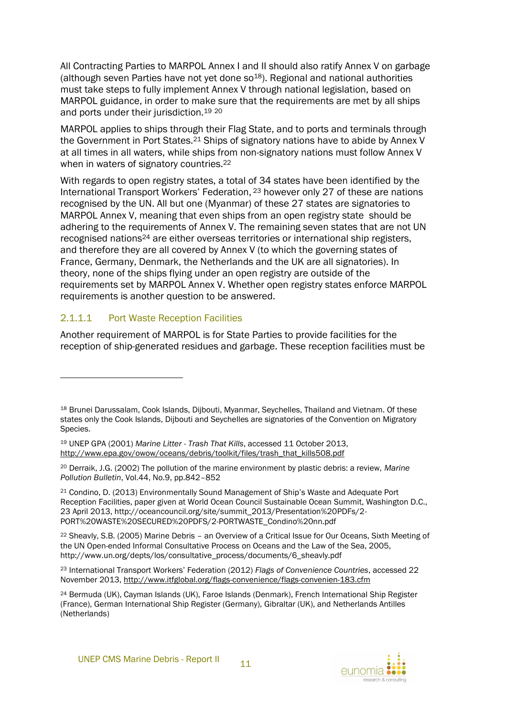All Contracting Parties to MARPOL Annex I and II should also ratify Annex V on garbage (although seven Parties have not yet done  $so^{18}$ ). Regional and national authorities must take steps to fully implement Annex V through national legislation, based on MARPOL guidance, in order to make sure that the requirements are met by all ships and ports under their jurisdiction.<sup>19</sup> <sup>20</sup>

MARPOL applies to ships through their Flag State, and to ports and terminals through the Government in Port States.<sup>21</sup> Ships of signatory nations have to abide by Annex V at all times in all waters, while ships from non-signatory nations must follow Annex V when in waters of signatory countries.<sup>22</sup>

With regards to open registry states, a total of 34 states have been identified by the International Transport Workers' Federation, <sup>23</sup> however only 27 of these are nations recognised by the UN. All but one (Myanmar) of these 27 states are signatories to MARPOL Annex V, meaning that even ships from an open registry state should be adhering to the requirements of Annex V. The remaining seven states that are not UN recognised nations<sup>24</sup> are either overseas territories or international ship registers, and therefore they are all covered by Annex V (to which the governing states of France, Germany, Denmark, the Netherlands and the UK are all signatories). In theory, none of the ships flying under an open registry are outside of the requirements set by MARPOL Annex V. Whether open registry states enforce MARPOL requirements is another question to be answered.

#### 2.1.1.1 Port Waste Reception Facilities

l

Another requirement of MARPOL is for State Parties to provide facilities for the reception of ship-generated residues and garbage. These reception facilities must be



<sup>18</sup> Brunei Darussalam, Cook Islands, Dijbouti, Myanmar, Seychelles, Thailand and Vietnam. Of these states only the Cook Islands, Dijbouti and Seychelles are signatories of the Convention on Migratory Species.

<sup>19</sup> UNEP GPA (2001) *Marine Litter - Trash That Kills*, accessed 11 October 2013, http://www.epa.gov/owow/oceans/debris/toolkit/files/trash\_that\_kills508.pdf

<sup>20</sup> Derraik, J.G. (2002) The pollution of the marine environment by plastic debris: a review, *Marine Pollution Bulletin*, Vol.44, No.9, pp.842–852

<sup>21</sup> Condino, D. (2013) Environmentally Sound Management of Ship's Waste and Adequate Port Reception Facilities, paper given at World Ocean Council Sustainable Ocean Summit, Washington D.C., 23 April 2013, http://oceancouncil.org/site/summit\_2013/Presentation%20PDFs/2- PORT%20WASTE%20SECURED%20PDFS/2-PORTWASTE\_Condino%20nn.pdf

<sup>22</sup> Sheavly, S.B. (2005) Marine Debris – an Overview of a Critical Issue for Our Oceans, Sixth Meeting of the UN Open-ended Informal Consultative Process on Oceans and the Law of the Sea, 2005, http://www.un.org/depts/los/consultative\_process/documents/6\_sheavly.pdf

<sup>23</sup> International Transport Workers' Federation (2012) *Flags of Convenience Countries*, accessed 22 November 2013, http://www.itfglobal.org/flags-convenience/flags-convenien-183.cfm

<sup>24</sup> Bermuda (UK), Cayman Islands (UK), Faroe Islands (Denmark), French International Ship Register (France), German International Ship Register (Germany), Gibraltar (UK), and Netherlands Antilles (Netherlands)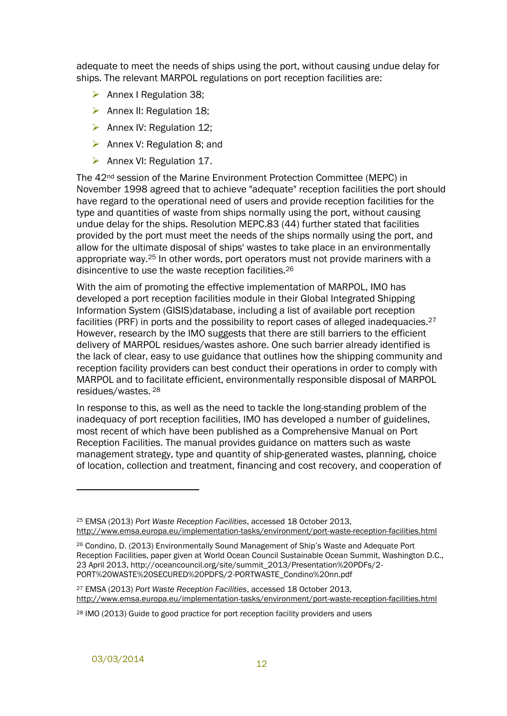adequate to meet the needs of ships using the port, without causing undue delay for ships. The relevant MARPOL regulations on port reception facilities are:

- $\triangleright$  Annex I Regulation 38;
- $\triangleright$  Annex II: Regulation 18;
- $\triangleright$  Annex IV: Regulation 12;
- $\triangleright$  Annex V: Regulation 8; and
- $\triangleright$  Annex VI: Regulation 17.

The 42nd session of the Marine Environment Protection Committee (MEPC) in November 1998 agreed that to achieve "adequate" reception facilities the port should have regard to the operational need of users and provide reception facilities for the type and quantities of waste from ships normally using the port, without causing undue delay for the ships. Resolution MEPC.83 (44) further stated that facilities provided by the port must meet the needs of the ships normally using the port, and allow for the ultimate disposal of ships' wastes to take place in an environmentally appropriate way.<sup>25</sup> In other words, port operators must not provide mariners with a disincentive to use the waste reception facilities.<sup>26</sup>

With the aim of promoting the effective implementation of MARPOL, IMO has developed a port reception facilities module in their Global Integrated Shipping Information System (GISIS)database, including a list of available port reception facilities (PRF) in ports and the possibility to report cases of alleged inadequacies.<sup>27</sup> However, research by the IMO suggests that there are still barriers to the efficient delivery of MARPOL residues/wastes ashore. One such barrier already identified is the lack of clear, easy to use guidance that outlines how the shipping community and reception facility providers can best conduct their operations in order to comply with MARPOL and to facilitate efficient, environmentally responsible disposal of MARPOL residues/wastes. <sup>28</sup>

In response to this, as well as the need to tackle the long-standing problem of the inadequacy of port reception facilities, IMO has developed a number of guidelines, most recent of which have been published as a Comprehensive Manual on Port Reception Facilities. The manual provides guidance on matters such as waste management strategy, type and quantity of ship-generated wastes, planning, choice of location, collection and treatment, financing and cost recovery, and cooperation of

<sup>25</sup> EMSA (2013) *Port Waste Reception Facilities*, accessed 18 October 2013, http://www.emsa.europa.eu/implementation-tasks/environment/port-waste-reception-facilities.html

<sup>26</sup> Condino, D. (2013) Environmentally Sound Management of Ship's Waste and Adequate Port Reception Facilities, paper given at World Ocean Council Sustainable Ocean Summit, Washington D.C., 23 April 2013, http://oceancouncil.org/site/summit\_2013/Presentation%20PDFs/2- PORT%20WASTE%20SECURED%20PDFS/2-PORTWASTE\_Condino%20nn.pdf

<sup>27</sup> EMSA (2013) *Port Waste Reception Facilities*, accessed 18 October 2013, http://www.emsa.europa.eu/implementation-tasks/environment/port-waste-reception-facilities.html

<sup>28</sup> IMO (2013) Guide to good practice for port reception facility providers and users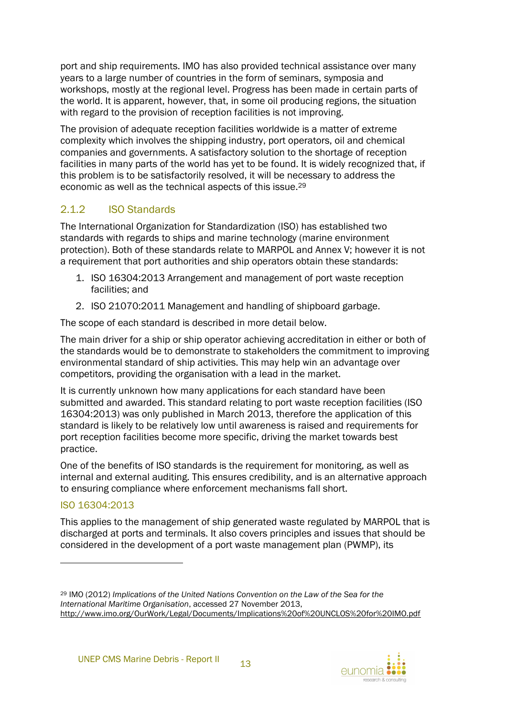port and ship requirements. IMO has also provided technical assistance over many years to a large number of countries in the form of seminars, symposia and workshops, mostly at the regional level. Progress has been made in certain parts of the world. It is apparent, however, that, in some oil producing regions, the situation with regard to the provision of reception facilities is not improving.

The provision of adequate reception facilities worldwide is a matter of extreme complexity which involves the shipping industry, port operators, oil and chemical companies and governments. A satisfactory solution to the shortage of reception facilities in many parts of the world has yet to be found. It is widely recognized that, if this problem is to be satisfactorily resolved, it will be necessary to address the economic as well as the technical aspects of this issue. 29

## <span id="page-18-0"></span>2.1.2 ISO Standards

The International Organization for Standardization (ISO) has established two standards with regards to ships and marine technology (marine environment protection). Both of these standards relate to MARPOL and Annex V; however it is not a requirement that port authorities and ship operators obtain these standards:

- 1. ISO 16304:2013 Arrangement and management of port waste reception facilities; and
- 2. ISO 21070:2011 Management and handling of shipboard garbage.

The scope of each standard is described in more detail below.

The main driver for a ship or ship operator achieving accreditation in either or both of the standards would be to demonstrate to stakeholders the commitment to improving environmental standard of ship activities. This may help win an advantage over competitors, providing the organisation with a lead in the market.

It is currently unknown how many applications for each standard have been submitted and awarded. This standard relating to port waste reception facilities (ISO 16304:2013) was only published in March 2013, therefore the application of this standard is likely to be relatively low until awareness is raised and requirements for port reception facilities become more specific, driving the market towards best practice.

One of the benefits of ISO standards is the requirement for monitoring, as well as internal and external auditing. This ensures credibility, and is an alternative approach to ensuring compliance where enforcement mechanisms fall short.

### ISO 16304:2013

l

This applies to the management of ship generated waste regulated by MARPOL that is discharged at ports and terminals. It also covers principles and issues that should be considered in the development of a port waste management plan (PWMP), its



<sup>29</sup> IMO (2012) *Implications of the United Nations Convention on the Law of the Sea for the International Maritime Organisation*, accessed 27 November 2013, http://www.imo.org/OurWork/Legal/Documents/Implications%20of%20UNCLOS%20for%20IMO.pdf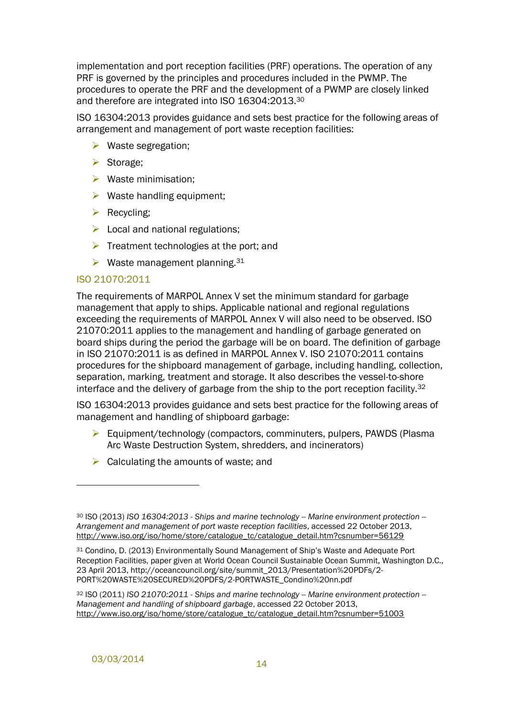implementation and port reception facilities (PRF) operations. The operation of any PRF is governed by the principles and procedures included in the PWMP. The procedures to operate the PRF and the development of a PWMP are closely linked and therefore are integrated into ISO 16304:2013.<sup>30</sup>

ISO 16304:2013 provides guidance and sets best practice for the following areas of arrangement and management of port waste reception facilities:

- $\triangleright$  Waste segregation;
- Storage:
- $\triangleright$  Waste minimisation;
- $\triangleright$  Waste handling equipment;
- $\triangleright$  Recycling;
- $\triangleright$  Local and national regulations;
- $\triangleright$  Treatment technologies at the port; and
- $\triangleright$  Waste management planning. 31

#### ISO 21070:2011

The requirements of MARPOL Annex V set the minimum standard for garbage management that apply to ships. Applicable national and regional regulations exceeding the requirements of MARPOL Annex V will also need to be observed. ISO 21070:2011 applies to the management and handling of garbage generated on board ships during the period the garbage will be on board. The definition of garbage in ISO 21070:2011 is as defined in MARPOL Annex V. ISO 21070:2011 contains procedures for the shipboard management of garbage, including handling, collection, separation, marking, treatment and storage. It also describes the vessel-to-shore interface and the delivery of garbage from the ship to the port reception facility. $32$ 

ISO 16304:2013 provides guidance and sets best practice for the following areas of management and handling of shipboard garbage:

- Equipment/technology (compactors, comminuters, pulpers, PAWDS (Plasma Arc Waste Destruction System, shredders, and incinerators)
- $\triangleright$  Calculating the amounts of waste; and

<sup>30</sup> ISO (2013) *ISO 16304:2013 - Ships and marine technology -- Marine environment protection -- Arrangement and management of port waste reception facilities*, accessed 22 October 2013, http://www.iso.org/iso/home/store/catalogue\_tc/catalogue\_detail.htm?csnumber=56129

<sup>31</sup> Condino, D. (2013) Environmentally Sound Management of Ship's Waste and Adequate Port Reception Facilities, paper given at World Ocean Council Sustainable Ocean Summit, Washington D.C., 23 April 2013, http://oceancouncil.org/site/summit\_2013/Presentation%20PDFs/2- PORT%20WASTE%20SECURED%20PDFS/2-PORTWASTE\_Condino%20nn.pdf

<sup>32</sup> ISO (2011) *ISO 21070:2011 - Ships and marine technology -- Marine environment protection -- Management and handling of shipboard garbage*, accessed 22 October 2013, http://www.iso.org/iso/home/store/catalogue\_tc/catalogue\_detail.htm?csnumber=51003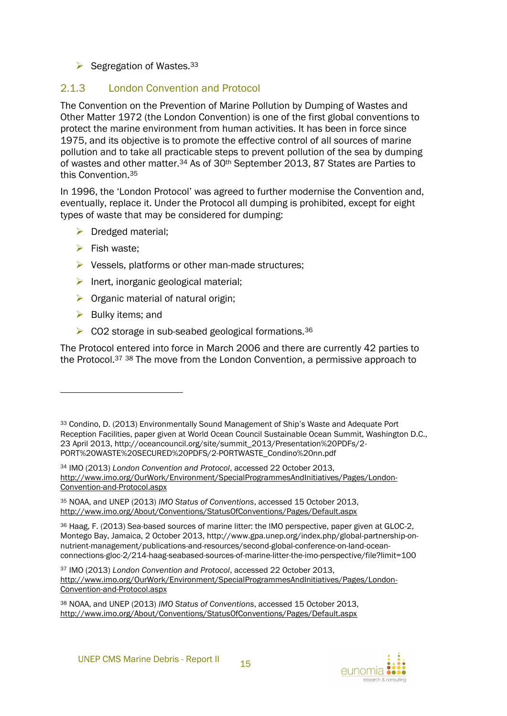#### $\triangleright$  Segregation of Wastes. 33

#### <span id="page-20-0"></span>2.1.3 London Convention and Protocol

The Convention on the Prevention of Marine Pollution by Dumping of Wastes and Other Matter 1972 (the London Convention) is one of the first global conventions to protect the marine environment from human activities. It has been in force since 1975, and its objective is to promote the effective control of all sources of marine pollution and to take all practicable steps to prevent pollution of the sea by dumping of wastes and other matter.<sup>34</sup> As of 30th September 2013, 87 States are Parties to this Convention.<sup>35</sup>

In 1996, the 'London Protocol' was agreed to further modernise the Convention and, eventually, replace it. Under the Protocol all dumping is prohibited, except for eight types of waste that may be considered for dumping:

- $\triangleright$  Dredged material;
- $\triangleright$  Fish waste:
- $\triangleright$  Vessels, platforms or other man-made structures;
- $\triangleright$  Inert, inorganic geological material;
- $\triangleright$  Organic material of natural origin;
- $\triangleright$  Bulky items; and

 $\overline{a}$ 

 $\triangleright$  CO2 storage in sub-seabed geological formations.<sup>36</sup>

The Protocol entered into force in March 2006 and there are currently 42 parties to the Protocol.<sup>37</sup> <sup>38</sup> The move from the London Convention, a permissive approach to

<sup>35</sup> NOAA, and UNEP (2013) *IMO Status of Conventions*, accessed 15 October 2013, http://www.imo.org/About/Conventions/StatusOfConventions/Pages/Default.aspx

<sup>36</sup> Haag, F. (2013) Sea-based sources of marine litter: the IMO perspective, paper given at GLOC-2, Montego Bay, Jamaica, 2 October 2013, http://www.gpa.unep.org/index.php/global-partnership-onnutrient-management/publications-and-resources/second-global-conference-on-land-oceanconnections-gloc-2/214-haag-seabased-sources-of-marine-litter-the-imo-perspective/file?limit=100

<sup>33</sup> Condino, D. (2013) Environmentally Sound Management of Ship's Waste and Adequate Port Reception Facilities, paper given at World Ocean Council Sustainable Ocean Summit, Washington D.C., 23 April 2013, http://oceancouncil.org/site/summit\_2013/Presentation%20PDFs/2- PORT%20WASTE%20SECURED%20PDFS/2-PORTWASTE\_Condino%20nn.pdf

<sup>34</sup> IMO (2013) *London Convention and Protocol*, accessed 22 October 2013, http://www.imo.org/OurWork/Environment/SpecialProgrammesAndInitiatives/Pages/London-Convention-and-Protocol.aspx

<sup>37</sup> IMO (2013) *London Convention and Protocol*, accessed 22 October 2013, http://www.imo.org/OurWork/Environment/SpecialProgrammesAndInitiatives/Pages/London-Convention-and-Protocol.aspx

<sup>38</sup> NOAA, and UNEP (2013) *IMO Status of Conventions*, accessed 15 October 2013, http://www.imo.org/About/Conventions/StatusOfConventions/Pages/Default.aspx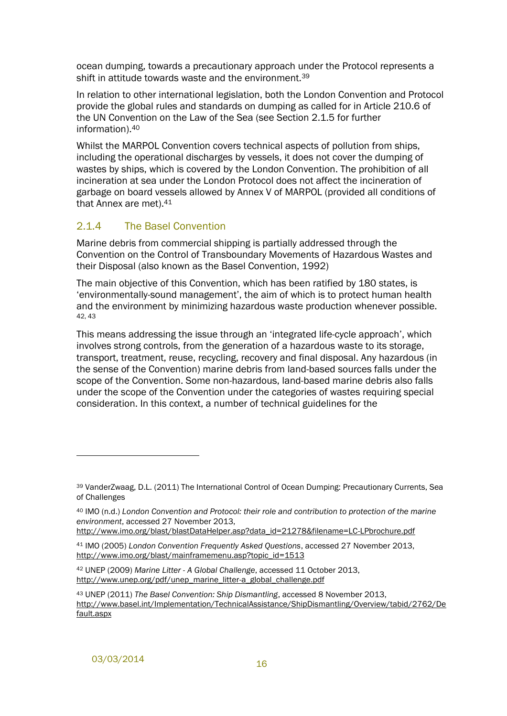ocean dumping, towards a precautionary approach under the Protocol represents a shift in attitude towards waste and the environment.<sup>39</sup>

In relation to other international legislation, both the London Convention and Protocol provide the global rules and standards on dumping as called for in Article 210.6 of the UN Convention on the Law of the Sea (see Section [2.1.5](#page-22-0) for further information).<sup>40</sup>

Whilst the MARPOL Convention covers technical aspects of pollution from ships, including the operational discharges by vessels, it does not cover the dumping of wastes by ships, which is covered by the London Convention. The prohibition of all incineration at sea under the London Protocol does not affect the incineration of garbage on board vessels allowed by Annex V of MARPOL (provided all conditions of that Annex are met).<sup>41</sup>

#### <span id="page-21-0"></span>2.1.4 The Basel Convention

Marine debris from commercial shipping is partially addressed through the Convention on the Control of Transboundary Movements of Hazardous Wastes and their Disposal (also known as the Basel Convention, 1992)

The main objective of this Convention, which has been ratified by 180 states, is 'environmentally-sound management', the aim of which is to protect human health and the environment by minimizing hazardous waste production whenever possible. 42, 43

This means addressing the issue through an 'integrated life-cycle approach', which involves strong controls, from the generation of a hazardous waste to its storage, transport, treatment, reuse, recycling, recovery and final disposal. Any hazardous (in the sense of the Convention) marine debris from land-based sources falls under the scope of the Convention. Some non-hazardous, land-based marine debris also falls under the scope of the Convention under the categories of wastes requiring special consideration. In this context, a number of technical guidelines for the

l

<sup>39</sup> VanderZwaag, D.L. (2011) The International Control of Ocean Dumping: Precautionary Currents, Sea of Challenges

<sup>40</sup> IMO (n.d.) *London Convention and Protocol: their role and contribution to protection of the marine environment*, accessed 27 November 2013,

http://www.imo.org/blast/blastDataHelper.asp?data\_id=21278&filename=LC-LPbrochure.pdf

<sup>41</sup> IMO (2005) *London Convention Frequently Asked Questions*, accessed 27 November 2013, http://www.imo.org/blast/mainframemenu.asp?topic\_id=1513

<sup>42</sup> UNEP (2009) *Marine Litter - A Global Challenge*, accessed 11 October 2013, http://www.unep.org/pdf/unep\_marine\_litter-a\_global\_challenge.pdf

<sup>43</sup> UNEP (2011) *The Basel Convention: Ship Dismantling*, accessed 8 November 2013, http://www.basel.int/Implementation/TechnicalAssistance/ShipDismantling/Overview/tabid/2762/De fault.aspx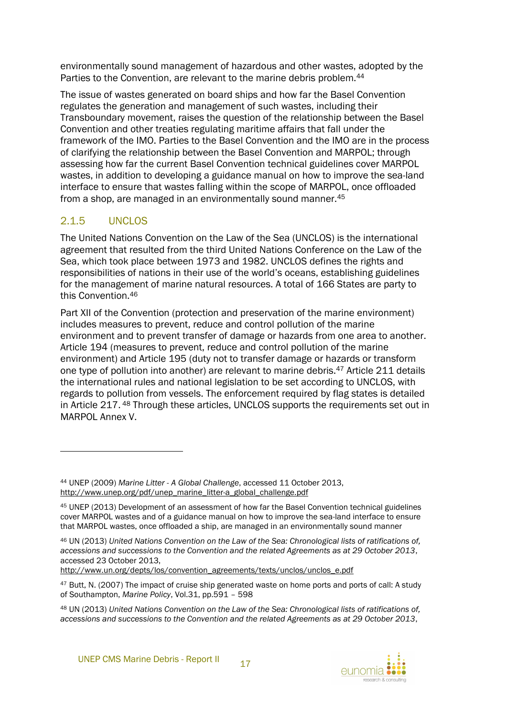environmentally sound management of hazardous and other wastes, adopted by the Parties to the Convention, are relevant to the marine debris problem.<sup>44</sup>

The issue of wastes generated on board ships and how far the Basel Convention regulates the generation and management of such wastes, including their Transboundary movement, raises the question of the relationship between the Basel Convention and other treaties regulating maritime affairs that fall under the framework of the IMO. Parties to the Basel Convention and the IMO are in the process of clarifying the relationship between the Basel Convention and MARPOL; through assessing how far the current Basel Convention technical guidelines cover MARPOL wastes, in addition to developing a guidance manual on how to improve the sea-land interface to ensure that wastes falling within the scope of MARPOL, once offloaded from a shop, are managed in an environmentally sound manner.<sup>45</sup>

## <span id="page-22-0"></span>2.1.5 UNCLOS

 $\overline{a}$ 

The United Nations Convention on the Law of the Sea (UNCLOS) is the international agreement that resulted from the third United Nations Conference on the Law of the Sea, which took place between 1973 and 1982. UNCLOS defines the rights and responsibilities of nations in their use of the world's oceans, establishing guidelines for the management of marine natural resources. A total of 166 States are party to this Convention.<sup>46</sup>

Part XII of the Convention (protection and preservation of the marine environment) includes measures to prevent, reduce and control pollution of the marine environment and to prevent transfer of damage or hazards from one area to another. Article 194 (measures to prevent, reduce and control pollution of the marine environment) and Article 195 (duty not to transfer damage or hazards or transform one type of pollution into another) are relevant to marine debris.<sup>47</sup> Article 211 details the international rules and national legislation to be set according to UNCLOS, with regards to pollution from vessels. The enforcement required by flag states is detailed in Article 217. <sup>48</sup> Through these articles, UNCLOS supports the requirements set out in MARPOL Annex V.

http://www.un.org/depts/los/convention\_agreements/texts/unclos/unclos\_e.pdf

<sup>44</sup> UNEP (2009) *Marine Litter - A Global Challenge*, accessed 11 October 2013, http://www.unep.org/pdf/unep\_marine\_litter-a\_global\_challenge.pdf

<sup>45</sup> UNEP (2013) Development of an assessment of how far the Basel Convention technical guidelines cover MARPOL wastes and of a guidance manual on how to improve the sea-land interface to ensure that MARPOL wastes, once offloaded a ship, are managed in an environmentally sound manner

<sup>46</sup> UN (2013) *United Nations Convention on the Law of the Sea: Chronological lists of ratifications of, accessions and successions to the Convention and the related Agreements as at 29 October 2013*, accessed 23 October 2013,

<sup>&</sup>lt;sup>47</sup> Butt, N. (2007) The impact of cruise ship generated waste on home ports and ports of call: A study of Southampton, *Marine Policy*, Vol.31, pp.591 – 598

<sup>48</sup> UN (2013) *United Nations Convention on the Law of the Sea: Chronological lists of ratifications of, accessions and successions to the Convention and the related Agreements as at 29 October 2013*,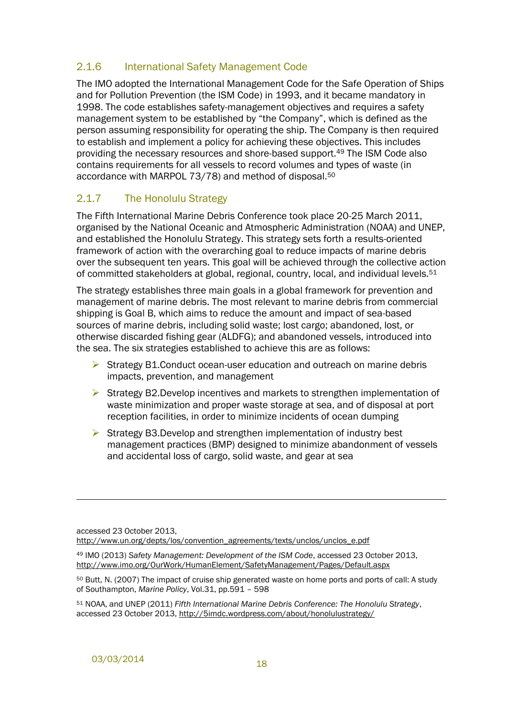### <span id="page-23-0"></span>2.1.6 International Safety Management Code

The IMO adopted the International Management Code for the Safe Operation of Ships and for Pollution Prevention (the ISM Code) in 1993, and it became mandatory in 1998. The code establishes safety-management objectives and requires a safety management system to be established by "the Company", which is defined as the person assuming responsibility for operating the ship. The Company is then required to establish and implement a policy for achieving these objectives. This includes providing the necessary resources and shore-based support.<sup>49</sup> The ISM Code also contains requirements for all vessels to record volumes and types of waste (in accordance with MARPOL 73/78) and method of disposal.<sup>50</sup>

#### <span id="page-23-1"></span>2.1.7 The Honolulu Strategy

The Fifth International Marine Debris Conference took place 20-25 March 2011, organised by the National Oceanic and Atmospheric Administration (NOAA) and UNEP, and established the Honolulu Strategy. This strategy sets forth a results-oriented framework of action with the overarching goal to reduce impacts of marine debris over the subsequent ten years. This goal will be achieved through the collective action of committed stakeholders at global, regional, country, local, and individual levels.<sup>51</sup>

The strategy establishes three main goals in a global framework for prevention and management of marine debris. The most relevant to marine debris from commercial shipping is Goal B, which aims to reduce the amount and impact of sea-based sources of marine debris, including solid waste; lost cargo; abandoned, lost, or otherwise discarded fishing gear (ALDFG); and abandoned vessels, introduced into the sea. The six strategies established to achieve this are as follows:

- $\triangleright$  Strategy B1. Conduct ocean-user education and outreach on marine debris impacts, prevention, and management
- $\triangleright$  Strategy B2. Develop incentives and markets to strengthen implementation of waste minimization and proper waste storage at sea, and of disposal at port reception facilities, in order to minimize incidents of ocean dumping
- $\triangleright$  Strategy B3.Develop and strengthen implementation of industry best management practices (BMP) designed to minimize abandonment of vessels and accidental loss of cargo, solid waste, and gear at sea

accessed 23 October 2013, http://www.un.org/depts/los/convention\_agreements/texts/unclos/unclos\_e.pdf

<sup>49</sup> IMO (2013) *Safety Management: Development of the ISM Code*, accessed 23 October 2013, http://www.imo.org/OurWork/HumanElement/SafetyManagement/Pages/Default.aspx

<sup>50</sup> Butt, N. (2007) The impact of cruise ship generated waste on home ports and ports of call: A study of Southampton, *Marine Policy*, Vol.31, pp.591 – 598

<sup>51</sup> NOAA, and UNEP (2011) *Fifth International Marine Debris Conference: The Honolulu Strategy*, accessed 23 October 2013, http://5imdc.wordpress.com/about/honolulustrategy/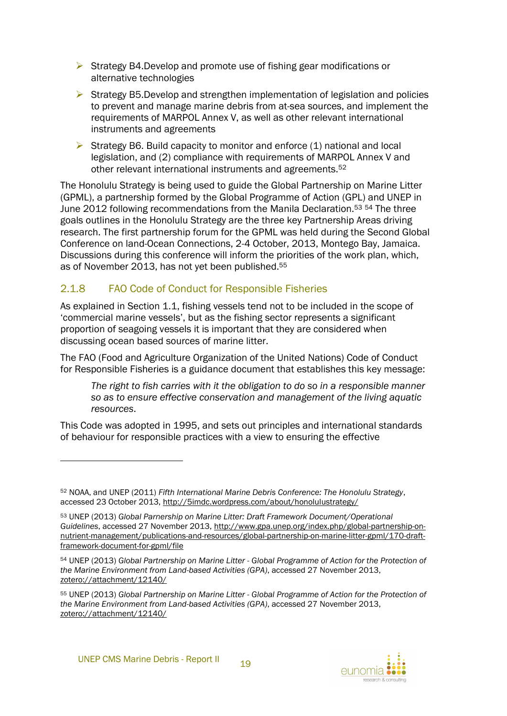- $\triangleright$  Strategy B4.Develop and promote use of fishing gear modifications or alternative technologies
- $\triangleright$  Strategy B5. Develop and strengthen implementation of legislation and policies to prevent and manage marine debris from at-sea sources, and implement the requirements of MARPOL Annex V, as well as other relevant international instruments and agreements
- Strategy B6. Build capacity to monitor and enforce  $(1)$  national and local legislation, and (2) compliance with requirements of MARPOL Annex V and other relevant international instruments and agreements.<sup>52</sup>

The Honolulu Strategy is being used to guide the Global Partnership on Marine Litter (GPML), a partnership formed by the Global Programme of Action (GPL) and UNEP in June 2012 following recommendations from the Manila Declaration.<sup>53</sup> <sup>54</sup> The three goals outlines in the Honolulu Strategy are the three key Partnership Areas driving research. The first partnership forum for the GPML was held during the Second Global Conference on land-Ocean Connections, 2-4 October, 2013, Montego Bay, Jamaica. Discussions during this conference will inform the priorities of the work plan, which, as of November 2013, has not yet been published.<sup>55</sup>

### <span id="page-24-0"></span>2.1.8 FAO Code of Conduct for Responsible Fisheries

As explained in Section [1.1,](#page-11-1) fishing vessels tend not to be included in the scope of 'commercial marine vessels', but as the fishing sector represents a significant proportion of seagoing vessels it is important that they are considered when discussing ocean based sources of marine litter.

The FAO (Food and Agriculture Organization of the United Nations) Code of Conduct for Responsible Fisheries is a guidance document that establishes this key message:

*The right to fish carries with it the obligation to do so in a responsible manner so as to ensure effective conservation and management of the living aquatic resources*.

This Code was adopted in 1995, and sets out principles and international standards of behaviour for responsible practices with a view to ensuring the effective

l



<sup>52</sup> NOAA, and UNEP (2011) *Fifth International Marine Debris Conference: The Honolulu Strategy*, accessed 23 October 2013, http://5imdc.wordpress.com/about/honolulustrategy/

<sup>53</sup> UNEP (2013) *Global Parnership on Marine Litter: Draft Framework Document/Operational Guidelines*, accessed 27 November 2013, http://www.gpa.unep.org/index.php/global-partnership-onnutrient-management/publications-and-resources/global-partnership-on-marine-litter-gpml/170-draftframework-document-for-gpml/file

<sup>54</sup> UNEP (2013) *Global Partnership on Marine Litter - Global Programme of Action for the Protection of the Marine Environment from Land-based Activities (GPA)*, accessed 27 November 2013, zotero://attachment/12140/

<sup>55</sup> UNEP (2013) *Global Partnership on Marine Litter - Global Programme of Action for the Protection of the Marine Environment from Land-based Activities (GPA)*, accessed 27 November 2013, zotero://attachment/12140/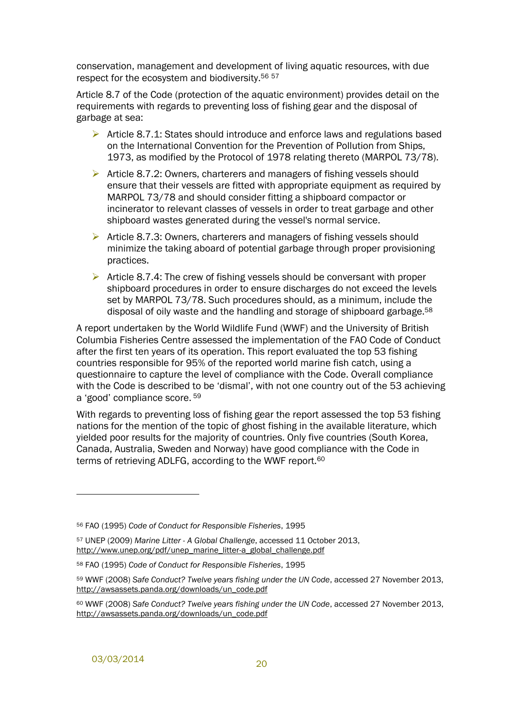conservation, management and development of living aquatic resources, with due respect for the ecosystem and biodiversity.<sup>56 57</sup>

Article 8.7 of the Code (protection of the aquatic environment) provides detail on the requirements with regards to preventing loss of fishing gear and the disposal of garbage at sea:

- Article 8.7.1: States should introduce and enforce laws and regulations based on the International Convention for the Prevention of Pollution from Ships, 1973, as modified by the Protocol of 1978 relating thereto (MARPOL 73/78).
- Article 8.7.2: Owners, charterers and managers of fishing vessels should ensure that their vessels are fitted with appropriate equipment as required by MARPOL 73/78 and should consider fitting a shipboard compactor or incinerator to relevant classes of vessels in order to treat garbage and other shipboard wastes generated during the vessel's normal service.
- $\triangleright$  Article 8.7.3: Owners, charterers and managers of fishing vessels should minimize the taking aboard of potential garbage through proper provisioning practices.
- $\triangleright$  Article 8.7.4: The crew of fishing vessels should be conversant with proper shipboard procedures in order to ensure discharges do not exceed the levels set by MARPOL 73/78. Such procedures should, as a minimum, include the disposal of oily waste and the handling and storage of shipboard garbage.<sup>58</sup>

A report undertaken by the World Wildlife Fund (WWF) and the University of British Columbia Fisheries Centre assessed the implementation of the FAO Code of Conduct after the first ten years of its operation. This report evaluated the top 53 fishing countries responsible for 95% of the reported world marine fish catch, using a questionnaire to capture the level of compliance with the Code. Overall compliance with the Code is described to be 'dismal', with not one country out of the 53 achieving a 'good' compliance score. <sup>59</sup>

With regards to preventing loss of fishing gear the report assessed the top 53 fishing nations for the mention of the topic of ghost fishing in the available literature, which yielded poor results for the majority of countries. Only five countries (South Korea, Canada, Australia, Sweden and Norway) have good compliance with the Code in terms of retrieving ADLFG, according to the WWF report.<sup>60</sup>

<sup>56</sup> FAO (1995) *Code of Conduct for Responsible Fisheries*, 1995

<sup>57</sup> UNEP (2009) *Marine Litter - A Global Challenge*, accessed 11 October 2013, http://www.unep.org/pdf/unep\_marine\_litter-a\_global\_challenge.pdf

<sup>58</sup> FAO (1995) *Code of Conduct for Responsible Fisheries*, 1995

<sup>59</sup> WWF (2008) *Safe Conduct? Twelve years fishing under the UN Code*, accessed 27 November 2013, http://awsassets.panda.org/downloads/un\_code.pdf

<sup>60</sup> WWF (2008) *Safe Conduct? Twelve years fishing under the UN Code*, accessed 27 November 2013, http://awsassets.panda.org/downloads/un\_code.pdf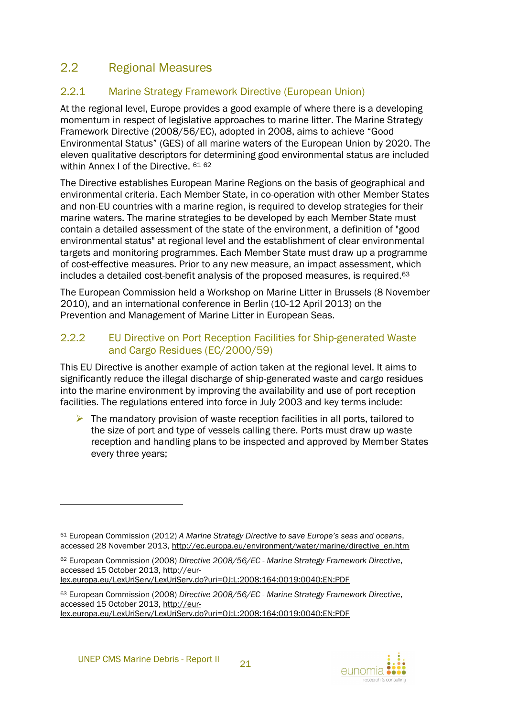## <span id="page-26-0"></span>2.2 Regional Measures

## <span id="page-26-1"></span>2.2.1 Marine Strategy Framework Directive (European Union)

At the regional level, Europe provides a good example of where there is a developing momentum in respect of legislative approaches to marine litter. The Marine Strategy Framework Directive (2008/56/EC), adopted in 2008, aims to achieve "Good Environmental Status" (GES) of all marine waters of the European Union by 2020. The eleven qualitative descriptors for determining good environmental status are included within Annex I of the Directive. 61 62

The Directive establishes European Marine Regions on the basis of geographical and environmental criteria. Each Member State, in co-operation with other Member States and non-EU countries with a marine region, is required to develop strategies for their marine waters. The marine strategies to be developed by each Member State must contain a detailed assessment of the state of the environment, a definition of "good environmental status" at regional level and the establishment of clear environmental targets and monitoring programmes. Each Member State must draw up a programme of cost-effective measures. Prior to any new measure, an impact assessment, which includes a detailed cost-benefit analysis of the proposed measures, is required.<sup>63</sup>

The European Commission held a Workshop on Marine Litter in Brussels (8 November 2010), and an international conference in Berlin (10-12 April 2013) on the Prevention and Management of Marine Litter in European Seas.

### <span id="page-26-2"></span>2.2.2 EU Directive on Port Reception Facilities for Ship-generated Waste and Cargo Residues (EC/2000/59)

This EU Directive is another example of action taken at the regional level. It aims to significantly reduce the illegal discharge of ship-generated waste and cargo residues into the marine environment by improving the availability and use of port reception facilities. The regulations entered into force in July 2003 and key terms include:

 $\triangleright$  The mandatory provision of waste reception facilities in all ports, tailored to the size of port and type of vessels calling there. Ports must draw up waste reception and handling plans to be inspected and approved by Member States every three years;

lex.europa.eu/LexUriServ/LexUriServ.do?uri=OJ:L:2008:164:0019:0040:EN:PDF



<sup>61</sup> European Commission (2012) *A Marine Strategy Directive to save Europe's seas and oceans*, accessed 28 November 2013, http://ec.europa.eu/environment/water/marine/directive\_en.htm

<sup>62</sup> European Commission (2008) *Directive 2008/56/EC - Marine Strategy Framework Directive*, accessed 15 October 2013, http://eur-

<sup>63</sup> European Commission (2008) *Directive 2008/56/EC - Marine Strategy Framework Directive*, accessed 15 October 2013, http://eur-

lex.europa.eu/LexUriServ/LexUriServ.do?uri=OJ:L:2008:164:0019:0040:EN:PDF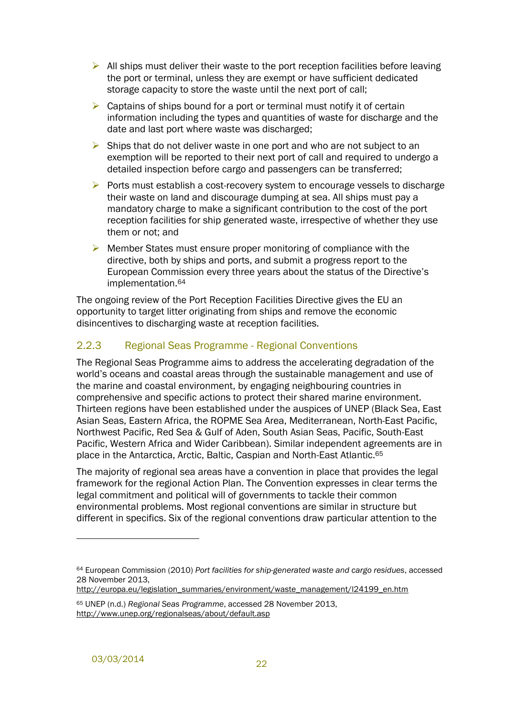- $\triangleright$  All ships must deliver their waste to the port reception facilities before leaving the port or terminal, unless they are exempt or have sufficient dedicated storage capacity to store the waste until the next port of call;
- $\triangleright$  Captains of ships bound for a port or terminal must notify it of certain information including the types and quantities of waste for discharge and the date and last port where waste was discharged;
- $\triangleright$  Ships that do not deliver waste in one port and who are not subject to an exemption will be reported to their next port of call and required to undergo a detailed inspection before cargo and passengers can be transferred;
- $\triangleright$  Ports must establish a cost-recovery system to encourage vessels to discharge their waste on land and discourage dumping at sea. All ships must pay a mandatory charge to make a significant contribution to the cost of the port reception facilities for ship generated waste, irrespective of whether they use them or not; and
- $\triangleright$  Member States must ensure proper monitoring of compliance with the directive, both by ships and ports, and submit a progress report to the European Commission every three years about the status of the Directive's implementation.<sup>64</sup>

The ongoing review of the Port Reception Facilities Directive gives the EU an opportunity to target litter originating from ships and remove the economic disincentives to discharging waste at reception facilities.

#### <span id="page-27-0"></span>2.2.3 Regional Seas Programme - Regional Conventions

The Regional Seas Programme aims to address the accelerating degradation of the world's oceans and coastal areas through the sustainable management and use of the marine and coastal environment, by engaging neighbouring countries in comprehensive and specific actions to protect their shared marine environment. Thirteen regions have been established under the auspices of UNEP (Black Sea, East Asian Seas, Eastern Africa, the ROPME Sea Area, Mediterranean, North-East Pacific, Northwest Pacific, Red Sea & Gulf of Aden, South Asian Seas, Pacific, South-East Pacific, Western Africa and Wider Caribbean). Similar independent agreements are in place in the Antarctica, Arctic, Baltic, Caspian and North-East Atlantic.<sup>65</sup>

The majority of regional sea areas have a convention in place that provides the legal framework for the regional Action Plan. The Convention expresses in clear terms the legal commitment and political will of governments to tackle their common environmental problems. Most regional conventions are similar in structure but different in specifics. Six of the regional conventions draw particular attention to the

http://europa.eu/legislation\_summaries/environment/waste\_management/l24199\_en.htm

<sup>64</sup> European Commission (2010) *Port facilities for ship-generated waste and cargo residues*, accessed 28 November 2013,

<sup>65</sup> UNEP (n.d.) *Regional Seas Programme*, accessed 28 November 2013, http://www.unep.org/regionalseas/about/default.asp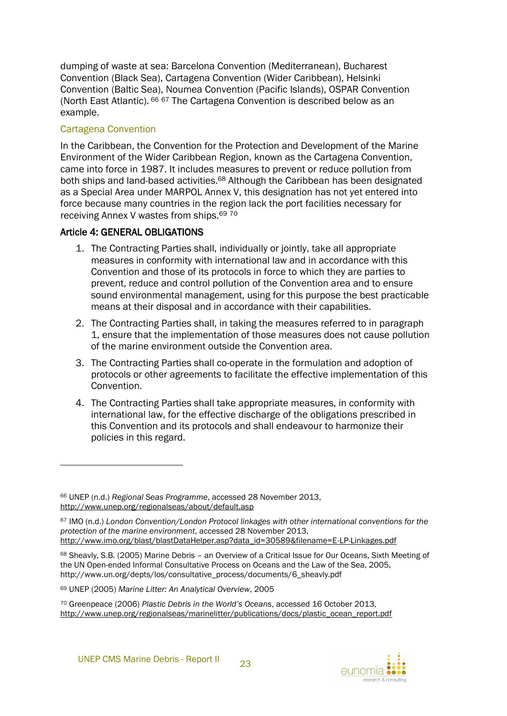dumping of waste at sea: Barcelona Convention (Mediterranean), Bucharest Convention (Black Sea), Cartagena Convention (Wider Caribbean), Helsinki Convention (Baltic Sea), Noumea Convention (Pacific Islands), OSPAR Convention (North East Atlantic). <sup>66</sup> <sup>67</sup> The Cartagena Convention is described below as an example.

#### Cartagena Convention

l

In the Caribbean, the Convention for the Protection and Development of the Marine Environment of the Wider Caribbean Region, known as the Cartagena Convention, came into force in 1987. It includes measures to prevent or reduce pollution from both ships and land-based activities.<sup>68</sup> Although the Caribbean has been designated as a Special Area under MARPOL Annex V, this designation has not yet entered into force because many countries in the region lack the port facilities necessary for receiving Annex V wastes from ships.<sup>69 70</sup>

#### Article 4: GENERAL OBLIGATIONS

- 1. The Contracting Parties shall, individually or jointly, take all appropriate measures in conformity with international law and in accordance with this Convention and those of its protocols in force to which they are parties to prevent, reduce and control pollution of the Convention area and to ensure sound environmental management, using for this purpose the best practicable means at their disposal and in accordance with their capabilities.
- 2. The Contracting Parties shall, in taking the measures referred to in paragraph 1, ensure that the implementation of those measures does not cause pollution of the marine environment outside the Convention area.
- 3. The Contracting Parties shall co-operate in the formulation and adoption of protocols or other agreements to facilitate the effective implementation of this Convention.
- 4. The Contracting Parties shall take appropriate measures, in conformity with international law, for the effective discharge of the obligations prescribed in this Convention and its protocols and shall endeavour to harmonize their policies in this regard.

<sup>66</sup> UNEP (n.d.) *Regional Seas Programme*, accessed 28 November 2013, http://www.unep.org/regionalseas/about/default.asp

<sup>67</sup> IMO (n.d.) *London Convention/London Protocol linkages with other international conventions for the protection of the marine environment*, accessed 28 November 2013, http://www.imo.org/blast/blastDataHelper.asp?data\_id=30589&filename=E-LP-Linkages.pdf

<sup>68</sup> Sheavly, S.B. (2005) Marine Debris - an Overview of a Critical Issue for Our Oceans, Sixth Meeting of the UN Open-ended Informal Consultative Process on Oceans and the Law of the Sea, 2005, http://www.un.org/depts/los/consultative\_process/documents/6\_sheavly.pdf

<sup>69</sup> UNEP (2005) *Marine Litter: An Analytical Overview*, 2005

<sup>70</sup> Greenpeace (2006) *Plastic Debris in the World's Oceans*, accessed 16 October 2013, http://www.unep.org/regionalseas/marinelitter/publications/docs/plastic\_ocean\_report.pdf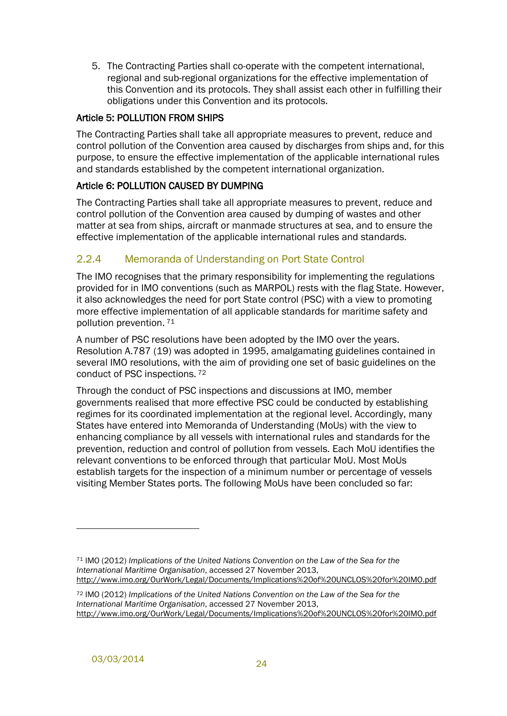5. The Contracting Parties shall co-operate with the competent international, regional and sub-regional organizations for the effective implementation of this Convention and its protocols. They shall assist each other in fulfilling their obligations under this Convention and its protocols.

#### Article 5: POLLUTION FROM SHIPS

The Contracting Parties shall take all appropriate measures to prevent, reduce and control pollution of the Convention area caused by discharges from ships and, for this purpose, to ensure the effective implementation of the applicable international rules and standards established by the competent international organization.

#### Article 6: POLLUTION CAUSED BY DUMPING

The Contracting Parties shall take all appropriate measures to prevent, reduce and control pollution of the Convention area caused by dumping of wastes and other matter at sea from ships, aircraft or manmade structures at sea, and to ensure the effective implementation of the applicable international rules and standards.

### <span id="page-29-0"></span>2.2.4 Memoranda of Understanding on Port State Control

The IMO recognises that the primary responsibility for implementing the regulations provided for in IMO conventions (such as MARPOL) rests with the flag State. However, it also acknowledges the need for port State control (PSC) with a view to promoting more effective implementation of all applicable standards for maritime safety and pollution prevention. <sup>71</sup>

A number of PSC resolutions have been adopted by the IMO over the years. Resolution A.787 (19) was adopted in 1995, amalgamating guidelines contained in several IMO resolutions, with the aim of providing one set of basic guidelines on the conduct of PSC inspections. <sup>72</sup>

Through the conduct of PSC inspections and discussions at IMO, member governments realised that more effective PSC could be conducted by establishing regimes for its coordinated implementation at the regional level. Accordingly, many States have entered into Memoranda of Understanding (MoUs) with the view to enhancing compliance by all vessels with international rules and standards for the prevention, reduction and control of pollution from vessels. Each MoU identifies the relevant conventions to be enforced through that particular MoU. Most MoUs establish targets for the inspection of a minimum number or percentage of vessels visiting Member States ports. The following MoUs have been concluded so far:

l

<sup>71</sup> IMO (2012) *Implications of the United Nations Convention on the Law of the Sea for the International Maritime Organisation*, accessed 27 November 2013, http://www.imo.org/OurWork/Legal/Documents/Implications%20of%20UNCLOS%20for%20IMO.pdf

<sup>72</sup> IMO (2012) *Implications of the United Nations Convention on the Law of the Sea for the International Maritime Organisation*, accessed 27 November 2013, http://www.imo.org/OurWork/Legal/Documents/Implications%20of%20UNCLOS%20for%20IMO.pdf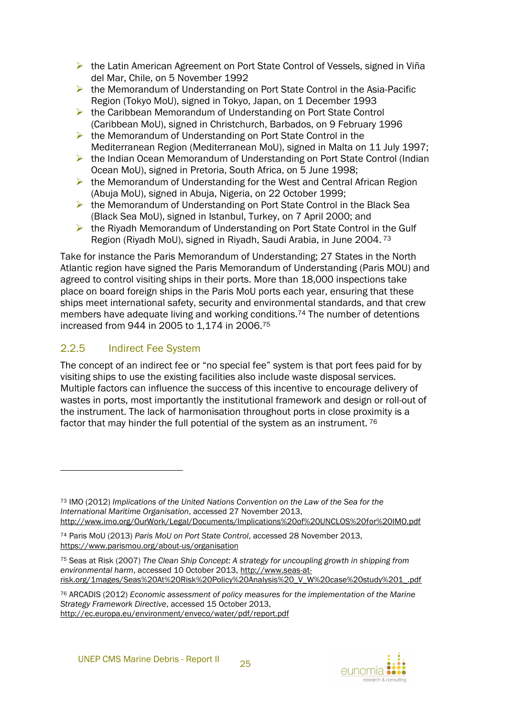- ▶ the Latin American Agreement on Port State Control of Vessels, signed in Viña del Mar, Chile, on 5 November 1992
- $\triangleright$  the Memorandum of Understanding on Port State Control in the Asia-Pacific Region (Tokyo MoU), signed in Tokyo, Japan, on 1 December 1993
- ▶ the Caribbean Memorandum of Understanding on Port State Control (Caribbean MoU), signed in Christchurch, Barbados, on 9 February 1996
- $\triangleright$  the Memorandum of Understanding on Port State Control in the Mediterranean Region (Mediterranean MoU), signed in Malta on 11 July 1997;
- ▶ the Indian Ocean Memorandum of Understanding on Port State Control (Indian Ocean MoU), signed in Pretoria, South Africa, on 5 June 1998;
- $\triangleright$  the Memorandum of Understanding for the West and Central African Region (Abuja MoU), signed in Abuja, Nigeria, on 22 October 1999;
- $\triangleright$  the Memorandum of Understanding on Port State Control in the Black Sea (Black Sea MoU), signed in Istanbul, Turkey, on 7 April 2000; and
- ▶ the Riyadh Memorandum of Understanding on Port State Control in the Gulf Region (Riyadh MoU), signed in Riyadh, Saudi Arabia, in June 2004. <sup>73</sup>

Take for instance the Paris Memorandum of Understanding; 27 States in the North Atlantic region have signed the Paris Memorandum of Understanding (Paris MOU) and agreed to control visiting ships in their ports. More than 18,000 inspections take place on board foreign ships in the Paris MoU ports each year, ensuring that these ships meet international safety, security and environmental standards, and that crew members have adequate living and working conditions.<sup>74</sup> The number of detentions increased from 944 in 2005 to 1,174 in 2006. 75

## <span id="page-30-0"></span>2.2.5 Indirect Fee System

l

The concept of an indirect fee or "no special fee" system is that port fees paid for by visiting ships to use the existing facilities also include waste disposal services. Multiple factors can influence the success of this incentive to encourage delivery of wastes in ports, most importantly the institutional framework and design or roll-out of the instrument. The lack of harmonisation throughout ports in close proximity is a factor that may hinder the full potential of the system as an instrument. <sup>76</sup>

<sup>73</sup> IMO (2012) *Implications of the United Nations Convention on the Law of the Sea for the International Maritime Organisation*, accessed 27 November 2013, http://www.imo.org/OurWork/Legal/Documents/Implications%20of%20UNCLOS%20for%20IMO.pdf

<sup>74</sup> Paris MoU (2013) *Paris MoU on Port State Control*, accessed 28 November 2013, https://www.parismou.org/about-us/organisation

<sup>75</sup> Seas at Risk (2007) *The Clean Ship Concept: A strategy for uncoupling growth in shipping from environmental harm*, accessed 10 October 2013, http://www.seas-atrisk.org/1mages/Seas%20At%20Risk%20Policy%20Analysis%20\_V\_W%20case%20study%201\_.pdf

<sup>76</sup> ARCADIS (2012) *Economic assessment of policy measures for the implementation of the Marine Strategy Framework Directive*, accessed 15 October 2013, http://ec.europa.eu/environment/enveco/water/pdf/report.pdf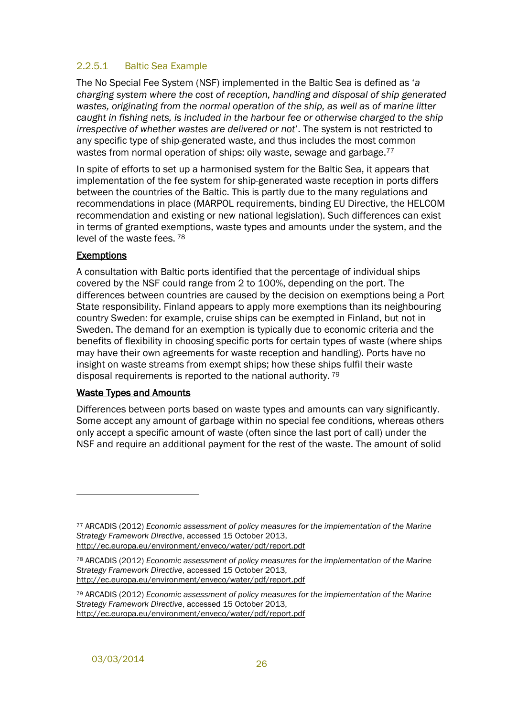#### 2.2.5.1 Baltic Sea Example

The No Special Fee System (NSF) implemented in the Baltic Sea is defined as '*a charging system where the cost of reception, handling and disposal of ship generated wastes, originating from the normal operation of the ship, as well as of marine litter caught in fishing nets, is included in the harbour fee or otherwise charged to the ship irrespective of whether wastes are delivered or not*'. The system is not restricted to any specific type of ship-generated waste, and thus includes the most common wastes from normal operation of ships: oily waste, sewage and garbage.<sup>77</sup>

In spite of efforts to set up a harmonised system for the Baltic Sea, it appears that implementation of the fee system for ship-generated waste reception in ports differs between the countries of the Baltic. This is partly due to the many regulations and recommendations in place (MARPOL requirements, binding EU Directive, the HELCOM recommendation and existing or new national legislation). Such differences can exist in terms of granted exemptions, waste types and amounts under the system, and the level of the waste fees. <sup>78</sup>

#### **Exemptions**

 $\overline{a}$ 

A consultation with Baltic ports identified that the percentage of individual ships covered by the NSF could range from 2 to 100%, depending on the port. The differences between countries are caused by the decision on exemptions being a Port State responsibility. Finland appears to apply more exemptions than its neighbouring country Sweden: for example, cruise ships can be exempted in Finland, but not in Sweden. The demand for an exemption is typically due to economic criteria and the benefits of flexibility in choosing specific ports for certain types of waste (where ships may have their own agreements for waste reception and handling). Ports have no insight on waste streams from exempt ships; how these ships fulfil their waste disposal requirements is reported to the national authority. <sup>79</sup>

#### Waste Types and Amounts

Differences between ports based on waste types and amounts can vary significantly. Some accept any amount of garbage within no special fee conditions, whereas others only accept a specific amount of waste (often since the last port of call) under the NSF and require an additional payment for the rest of the waste. The amount of solid

<sup>77</sup> ARCADIS (2012) *Economic assessment of policy measures for the implementation of the Marine Strategy Framework Directive*, accessed 15 October 2013, http://ec.europa.eu/environment/enveco/water/pdf/report.pdf

<sup>78</sup> ARCADIS (2012) *Economic assessment of policy measures for the implementation of the Marine Strategy Framework Directive*, accessed 15 October 2013, http://ec.europa.eu/environment/enveco/water/pdf/report.pdf

<sup>79</sup> ARCADIS (2012) *Economic assessment of policy measures for the implementation of the Marine Strategy Framework Directive*, accessed 15 October 2013, http://ec.europa.eu/environment/enveco/water/pdf/report.pdf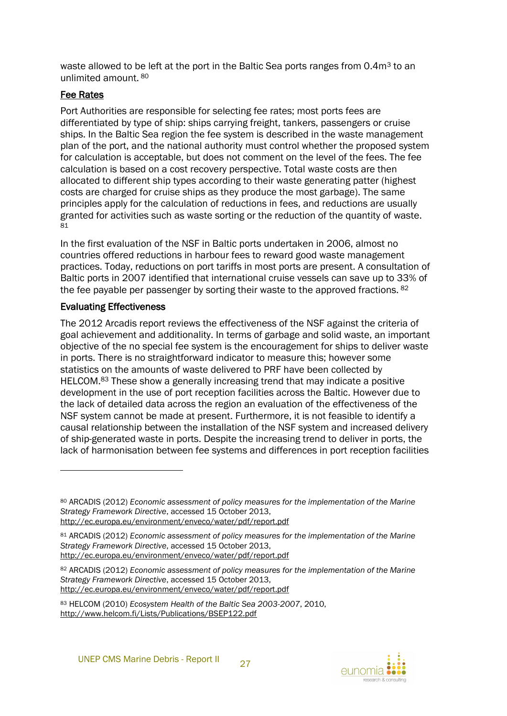waste allowed to be left at the port in the Baltic Sea ports ranges from 0.4m<sup>3</sup> to an unlimited amount. <sup>80</sup>

#### Fee Rates

Port Authorities are responsible for selecting fee rates; most ports fees are differentiated by type of ship: ships carrying freight, tankers, passengers or cruise ships. In the Baltic Sea region the fee system is described in the waste management plan of the port, and the national authority must control whether the proposed system for calculation is acceptable, but does not comment on the level of the fees. The fee calculation is based on a cost recovery perspective. Total waste costs are then allocated to different ship types according to their waste generating patter (highest costs are charged for cruise ships as they produce the most garbage). The same principles apply for the calculation of reductions in fees, and reductions are usually granted for activities such as waste sorting or the reduction of the quantity of waste. 81

In the first evaluation of the NSF in Baltic ports undertaken in 2006, almost no countries offered reductions in harbour fees to reward good waste management practices. Today, reductions on port tariffs in most ports are present. A consultation of Baltic ports in 2007 identified that international cruise vessels can save up to 33% of the fee payable per passenger by sorting their waste to the approved fractions. <sup>82</sup>

#### Evaluating Effectiveness

l

The 2012 Arcadis report reviews the effectiveness of the NSF against the criteria of goal achievement and additionality. In terms of garbage and solid waste, an important objective of the no special fee system is the encouragement for ships to deliver waste in ports. There is no straightforward indicator to measure this; however some statistics on the amounts of waste delivered to PRF have been collected by HELCOM.<sup>83</sup> These show a generally increasing trend that may indicate a positive development in the use of port reception facilities across the Baltic. However due to the lack of detailed data across the region an evaluation of the effectiveness of the NSF system cannot be made at present. Furthermore, it is not feasible to identify a causal relationship between the installation of the NSF system and increased delivery of ship-generated waste in ports. Despite the increasing trend to deliver in ports, the lack of harmonisation between fee systems and differences in port reception facilities

<sup>80</sup> ARCADIS (2012) *Economic assessment of policy measures for the implementation of the Marine Strategy Framework Directive*, accessed 15 October 2013, http://ec.europa.eu/environment/enveco/water/pdf/report.pdf

<sup>81</sup> ARCADIS (2012) *Economic assessment of policy measures for the implementation of the Marine Strategy Framework Directive*, accessed 15 October 2013, http://ec.europa.eu/environment/enveco/water/pdf/report.pdf

<sup>82</sup> ARCADIS (2012) *Economic assessment of policy measures for the implementation of the Marine Strategy Framework Directive*, accessed 15 October 2013, http://ec.europa.eu/environment/enveco/water/pdf/report.pdf

<sup>83</sup> HELCOM (2010) *Ecosystem Health of the Baltic Sea 2003-2007*, 2010, http://www.helcom.fi/Lists/Publications/BSEP122.pdf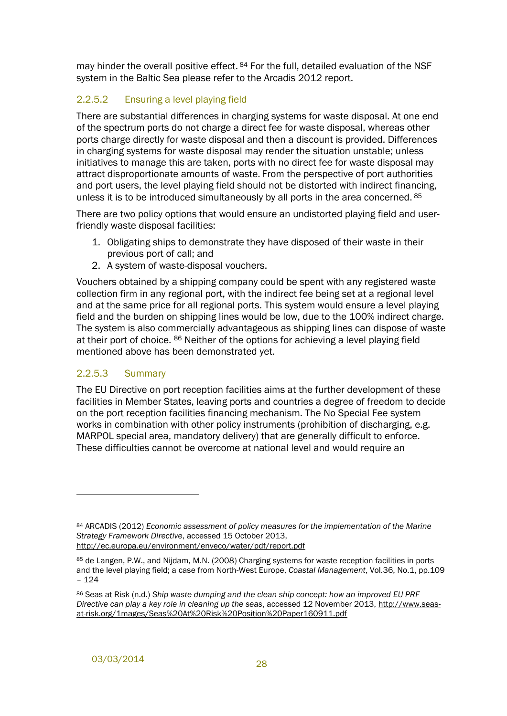may hinder the overall positive effect. <sup>84</sup> For the full, detailed evaluation of the NSF system in the Baltic Sea please refer to the Arcadis 2012 report.

### <span id="page-33-0"></span>2.2.5.2 Ensuring a level playing field

There are substantial differences in charging systems for waste disposal. At one end of the spectrum ports do not charge a direct fee for waste disposal, whereas other ports charge directly for waste disposal and then a discount is provided. Differences in charging systems for waste disposal may render the situation unstable; unless initiatives to manage this are taken, ports with no direct fee for waste disposal may attract disproportionate amounts of waste. From the perspective of port authorities and port users, the level playing field should not be distorted with indirect financing, unless it is to be introduced simultaneously by all ports in the area concerned. <sup>85</sup>

There are two policy options that would ensure an undistorted playing field and userfriendly waste disposal facilities:

- 1. Obligating ships to demonstrate they have disposed of their waste in their previous port of call; and
- 2. A system of waste-disposal vouchers.

Vouchers obtained by a shipping company could be spent with any registered waste collection firm in any regional port, with the indirect fee being set at a regional level and at the same price for all regional ports. This system would ensure a level playing field and the burden on shipping lines would be low, due to the 100% indirect charge. The system is also commercially advantageous as shipping lines can dispose of waste at their port of choice. <sup>86</sup> Neither of the options for achieving a level playing field mentioned above has been demonstrated yet.

#### 2.2.5.3 Summary

 $\overline{a}$ 

The EU Directive on port reception facilities aims at the further development of these facilities in Member States, leaving ports and countries a degree of freedom to decide on the port reception facilities financing mechanism. The No Special Fee system works in combination with other policy instruments (prohibition of discharging, e.g. MARPOL special area, mandatory delivery) that are generally difficult to enforce. These difficulties cannot be overcome at national level and would require an

<sup>84</sup> ARCADIS (2012) *Economic assessment of policy measures for the implementation of the Marine Strategy Framework Directive*, accessed 15 October 2013, http://ec.europa.eu/environment/enveco/water/pdf/report.pdf

<sup>85</sup> de Langen, P.W., and Nijdam, M.N. (2008) Charging systems for waste reception facilities in ports and the level playing field; a case from North-West Europe, *Coastal Management*, Vol.36, No.1, pp.109 – 124

<sup>86</sup> Seas at Risk (n.d.) *Ship waste dumping and the clean ship concept: how an improved EU PRF Directive can play a key role in cleaning up the seas*, accessed 12 November 2013, http://www.seasat-risk.org/1mages/Seas%20At%20Risk%20Position%20Paper160911.pdf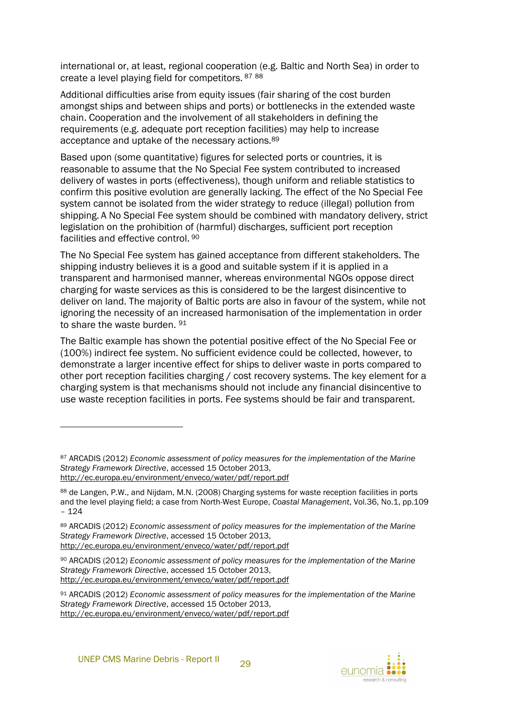international or, at least, regional cooperation (e.g. Baltic and North Sea) in order to create a level playing field for competitors. <sup>87</sup> <sup>88</sup>

Additional difficulties arise from equity issues (fair sharing of the cost burden amongst ships and between ships and ports) or bottlenecks in the extended waste chain. Cooperation and the involvement of all stakeholders in defining the requirements (e.g. adequate port reception facilities) may help to increase acceptance and uptake of the necessary actions.<sup>89</sup>

Based upon (some quantitative) figures for selected ports or countries, it is reasonable to assume that the No Special Fee system contributed to increased delivery of wastes in ports (effectiveness), though uniform and reliable statistics to confirm this positive evolution are generally lacking. The effect of the No Special Fee system cannot be isolated from the wider strategy to reduce (illegal) pollution from shipping. A No Special Fee system should be combined with mandatory delivery, strict legislation on the prohibition of (harmful) discharges, sufficient port reception facilities and effective control. 90

The No Special Fee system has gained acceptance from different stakeholders. The shipping industry believes it is a good and suitable system if it is applied in a transparent and harmonised manner, whereas environmental NGOs oppose direct charging for waste services as this is considered to be the largest disincentive to deliver on land. The majority of Baltic ports are also in favour of the system, while not ignoring the necessity of an increased harmonisation of the implementation in order to share the waste burden. <sup>91</sup>

The Baltic example has shown the potential positive effect of the No Special Fee or (100%) indirect fee system. No sufficient evidence could be collected, however, to demonstrate a larger incentive effect for ships to deliver waste in ports compared to other port reception facilities charging / cost recovery systems. The key element for a charging system is that mechanisms should not include any financial disincentive to use waste reception facilities in ports. Fee systems should be fair and transparent.

l



<sup>87</sup> ARCADIS (2012) *Economic assessment of policy measures for the implementation of the Marine Strategy Framework Directive*, accessed 15 October 2013, http://ec.europa.eu/environment/enveco/water/pdf/report.pdf

<sup>88</sup> de Langen, P.W., and Nijdam, M.N. (2008) Charging systems for waste reception facilities in ports and the level playing field; a case from North-West Europe, *Coastal Management*, Vol.36, No.1, pp.109 – 124

<sup>89</sup> ARCADIS (2012) *Economic assessment of policy measures for the implementation of the Marine Strategy Framework Directive*, accessed 15 October 2013, http://ec.europa.eu/environment/enveco/water/pdf/report.pdf

<sup>90</sup> ARCADIS (2012) *Economic assessment of policy measures for the implementation of the Marine Strategy Framework Directive*, accessed 15 October 2013, http://ec.europa.eu/environment/enveco/water/pdf/report.pdf

<sup>91</sup> ARCADIS (2012) *Economic assessment of policy measures for the implementation of the Marine Strategy Framework Directive*, accessed 15 October 2013, http://ec.europa.eu/environment/enveco/water/pdf/report.pdf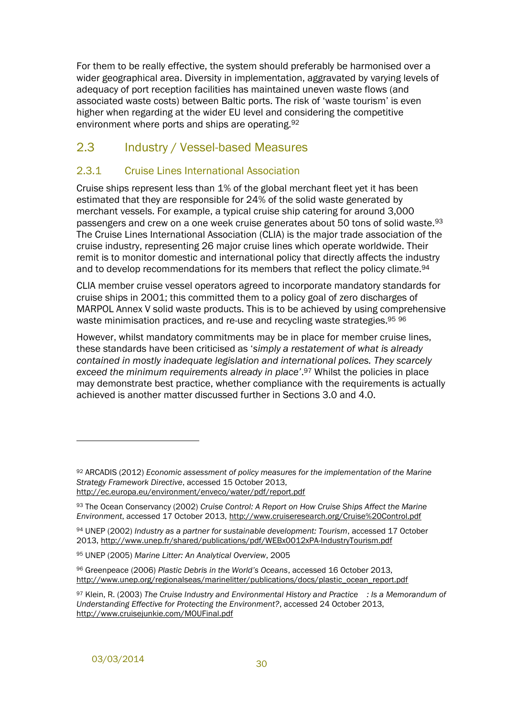For them to be really effective, the system should preferably be harmonised over a wider geographical area. Diversity in implementation, aggravated by varying levels of adequacy of port reception facilities has maintained uneven waste flows (and associated waste costs) between Baltic ports. The risk of 'waste tourism' is even higher when regarding at the wider EU level and considering the competitive environment where ports and ships are operating.<sup>92</sup>

## <span id="page-35-0"></span>2.3 Industry / Vessel-based Measures

#### <span id="page-35-1"></span>2.3.1 Cruise Lines International Association

Cruise ships represent less than 1% of the global merchant fleet yet it has been estimated that they are responsible for 24% of the solid waste generated by merchant vessels. For example, a typical cruise ship catering for around 3,000 passengers and crew on a one week cruise generates about 50 tons of solid waste.<sup>93</sup> The Cruise Lines International Association (CLIA) is the major trade association of the cruise industry, representing 26 major cruise lines which operate worldwide. Their remit is to monitor domestic and international policy that directly affects the industry and to develop recommendations for its members that reflect the policy climate.<sup>94</sup>

CLIA member cruise vessel operators agreed to incorporate mandatory standards for cruise ships in 2001; this committed them to a policy goal of zero discharges of MARPOL Annex V solid waste products. This is to be achieved by using comprehensive waste minimisation practices, and re-use and recycling waste strategies. 95 96

However, whilst mandatory commitments may be in place for member cruise lines, these standards have been criticised as '*simply a restatement of what is already contained in mostly inadequate legislation and international polices. They scarcely exceed the minimum requirements already in place'*. <sup>97</sup> Whilst the policies in place may demonstrate best practice, whether compliance with the requirements is actually achieved is another matter discussed further in Sections [3.0](#page-41-0) and [4.0.](#page-45-0)

<sup>92</sup> ARCADIS (2012) *Economic assessment of policy measures for the implementation of the Marine Strategy Framework Directive*, accessed 15 October 2013, http://ec.europa.eu/environment/enveco/water/pdf/report.pdf

<sup>93</sup> The Ocean Conservancy (2002) *Cruise Control: A Report on How Cruise Ships Affect the Marine Environment*, accessed 17 October 2013, http://www.cruiseresearch.org/Cruise%20Control.pdf

<sup>94</sup> UNEP (2002) *Industry as a partner for sustainable development: Tourism*, accessed 17 October 2013, http://www.unep.fr/shared/publications/pdf/WEBx0012xPA-IndustryTourism.pdf

<sup>95</sup> UNEP (2005) *Marine Litter: An Analytical Overview*, 2005

<sup>96</sup> Greenpeace (2006) *Plastic Debris in the World's Oceans*, accessed 16 October 2013, http://www.unep.org/regionalseas/marinelitter/publications/docs/plastic\_ocean\_report.pdf

<sup>97</sup> Klein, R. (2003) *The Cruise Industry and Environmental History and Practice : Is a Memorandum of Understanding Effective for Protecting the Environment?*, accessed 24 October 2013, http://www.cruisejunkie.com/MOUFinal.pdf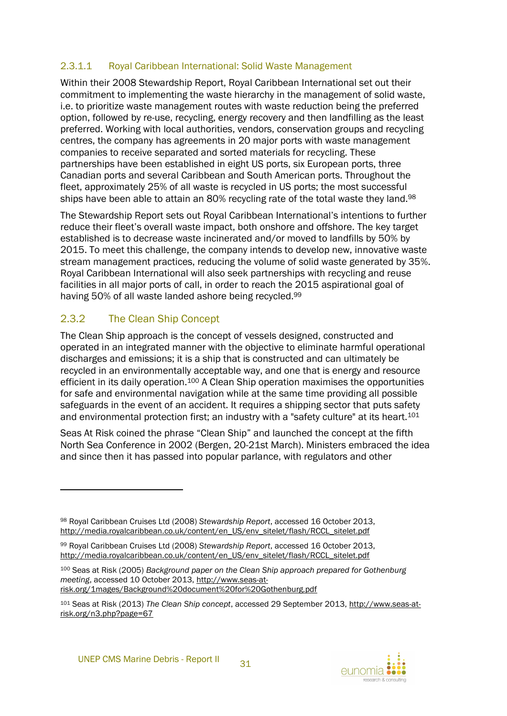#### 2.3.1.1 Royal Caribbean International: Solid Waste Management

Within their 2008 Stewardship Report, Royal Caribbean International set out their commitment to implementing the waste hierarchy in the management of solid waste, i.e. to prioritize waste management routes with waste reduction being the preferred option, followed by re-use, recycling, energy recovery and then landfilling as the least preferred. Working with local authorities, vendors, conservation groups and recycling centres, the company has agreements in 20 major ports with waste management companies to receive separated and sorted materials for recycling. These partnerships have been established in eight US ports, six European ports, three Canadian ports and several Caribbean and South American ports. Throughout the fleet, approximately 25% of all waste is recycled in US ports; the most successful ships have been able to attain an 80% recycling rate of the total waste they land.<sup>98</sup>

The Stewardship Report sets out Royal Caribbean International's intentions to further reduce their fleet's overall waste impact, both onshore and offshore. The key target established is to decrease waste incinerated and/or moved to landfills by 50% by 2015. To meet this challenge, the company intends to develop new, innovative waste stream management practices, reducing the volume of solid waste generated by 35%. Royal Caribbean International will also seek partnerships with recycling and reuse facilities in all major ports of call, in order to reach the 2015 aspirational goal of having 50% of all waste landed ashore being recycled.<sup>99</sup>

## <span id="page-36-0"></span>2.3.2 The Clean Ship Concept

 $\overline{a}$ 

The Clean Ship approach is the concept of vessels designed, constructed and operated in an integrated manner with the objective to eliminate harmful operational discharges and emissions; it is a ship that is constructed and can ultimately be recycled in an environmentally acceptable way, and one that is energy and resource efficient in its daily operation.<sup>100</sup> A Clean Ship operation maximises the opportunities for safe and environmental navigation while at the same time providing all possible safeguards in the event of an accident. It requires a shipping sector that puts safety and environmental protection first; an industry with a "safety culture" at its heart.<sup>101</sup>

Seas At Risk coined the phrase "Clean Ship" and launched the concept at the fifth North Sea Conference in 2002 (Bergen, 20-21st March). Ministers embraced the idea and since then it has passed into popular parlance, with regulators and other

<sup>100</sup> Seas at Risk (2005) *Background paper on the Clean Ship approach prepared for Gothenburg meeting*, accessed 10 October 2013, http://www.seas-atrisk.org/1mages/Background%20document%20for%20Gothenburg.pdf



<sup>98</sup> Royal Caribbean Cruises Ltd (2008) *Stewardship Report*, accessed 16 October 2013, http://media.royalcaribbean.co.uk/content/en\_US/env\_sitelet/flash/RCCL\_sitelet.pdf

<sup>99</sup> Royal Caribbean Cruises Ltd (2008) *Stewardship Report*, accessed 16 October 2013, http://media.royalcaribbean.co.uk/content/en\_US/env\_sitelet/flash/RCCL\_sitelet.pdf

<sup>101</sup> Seas at Risk (2013) *The Clean Ship concept*, accessed 29 September 2013, http://www.seas-atrisk.org/n3.php?page=67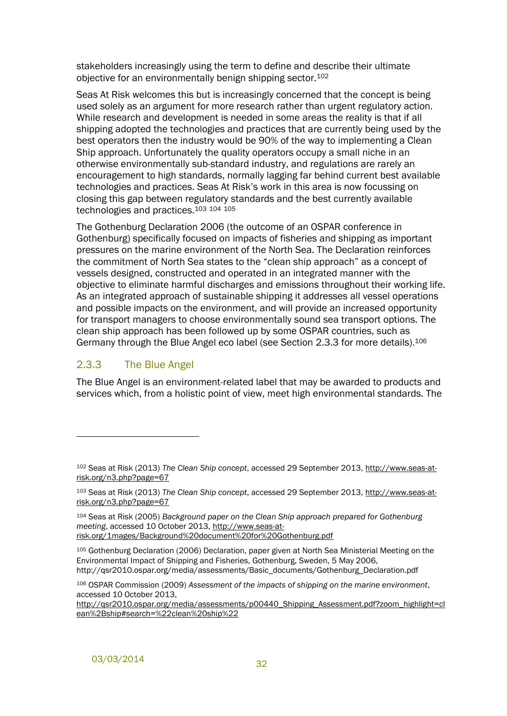stakeholders increasingly using the term to define and describe their ultimate objective for an environmentally benign shipping sector.<sup>102</sup>

Seas At Risk welcomes this but is increasingly concerned that the concept is being used solely as an argument for more research rather than urgent regulatory action. While research and development is needed in some areas the reality is that if all shipping adopted the technologies and practices that are currently being used by the best operators then the industry would be 90% of the way to implementing a Clean Ship approach. Unfortunately the quality operators occupy a small niche in an otherwise environmentally sub-standard industry, and regulations are rarely an encouragement to high standards, normally lagging far behind current best available technologies and practices. Seas At Risk's work in this area is now focussing on closing this gap between regulatory standards and the best currently available technologies and practices.<sup>103</sup> <sup>104</sup> <sup>105</sup>

The Gothenburg Declaration 2006 (the outcome of an OSPAR conference in Gothenburg) specifically focused on impacts of fisheries and shipping as important pressures on the marine environment of the North Sea. The Declaration reinforces the commitment of North Sea states to the "clean ship approach" as a concept of vessels designed, constructed and operated in an integrated manner with the objective to eliminate harmful discharges and emissions throughout their working life. As an integrated approach of sustainable shipping it addresses all vessel operations and possible impacts on the environment, and will provide an increased opportunity for transport managers to choose environmentally sound sea transport options. The clean ship approach has been followed up by some OSPAR countries, such as Germany through the Blue Angel eco label (see Section [2.3.3](#page-37-0) for more details).<sup>106</sup>

#### <span id="page-37-0"></span>2.3.3 The Blue Angel

 $\overline{a}$ 

The Blue Angel is an environment-related label that may be awarded to products and services which, from a holistic point of view, meet high environmental standards. The

<sup>102</sup> Seas at Risk (2013) *The Clean Ship concept*, accessed 29 September 2013, http://www.seas-atrisk.org/n3.php?page=67

<sup>103</sup> Seas at Risk (2013) *The Clean Ship concept*, accessed 29 September 2013, http://www.seas-atrisk.org/n3.php?page=67

<sup>104</sup> Seas at Risk (2005) *Background paper on the Clean Ship approach prepared for Gothenburg meeting*, accessed 10 October 2013, http://www.seas-atrisk.org/1mages/Background%20document%20for%20Gothenburg.pdf

<sup>105</sup> Gothenburg Declaration (2006) Declaration, paper given at North Sea Ministerial Meeting on the Environmental Impact of Shipping and Fisheries, Gothenburg, Sweden, 5 May 2006, http://qsr2010.ospar.org/media/assessments/Basic\_documents/Gothenburg\_Declaration.pdf

<sup>106</sup> OSPAR Commission (2009) *Assessment of the impacts of shipping on the marine environment*, accessed 10 October 2013,

http://qsr2010.ospar.org/media/assessments/p00440\_Shipping\_Assessment.pdf?zoom\_highlight=cl ean%2Bship#search=%22clean%20ship%22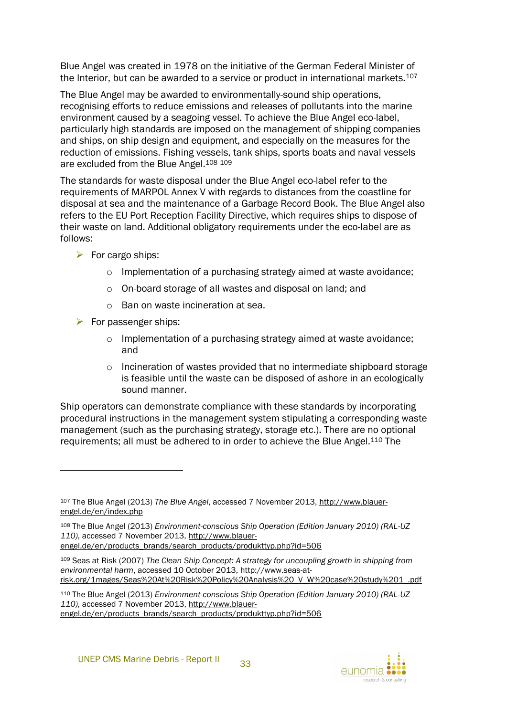Blue Angel was created in 1978 on the initiative of the German Federal Minister of the Interior, but can be awarded to a service or product in international markets.<sup>107</sup>

The Blue Angel may be awarded to environmentally-sound ship operations, recognising efforts to reduce emissions and releases of pollutants into the marine environment caused by a seagoing vessel. To achieve the Blue Angel eco-label, particularly high standards are imposed on the management of shipping companies and ships, on ship design and equipment, and especially on the measures for the reduction of emissions. Fishing vessels, tank ships, sports boats and naval vessels are excluded from the Blue Angel.<sup>108</sup> <sup>109</sup>

The standards for waste disposal under the Blue Angel eco-label refer to the requirements of MARPOL Annex V with regards to distances from the coastline for disposal at sea and the maintenance of a Garbage Record Book. The Blue Angel also refers to the EU Port Reception Facility Directive, which requires ships to dispose of their waste on land. Additional obligatory requirements under the eco-label are as follows:

- $\triangleright$  For cargo ships:
	- o Implementation of a purchasing strategy aimed at waste avoidance;
	- o On-board storage of all wastes and disposal on land; and
	- o Ban on waste incineration at sea.
- $\triangleright$  For passenger ships:

l

- o Implementation of a purchasing strategy aimed at waste avoidance; and
- o Incineration of wastes provided that no intermediate shipboard storage is feasible until the waste can be disposed of ashore in an ecologically sound manner.

Ship operators can demonstrate compliance with these standards by incorporating procedural instructions in the management system stipulating a corresponding waste management (such as the purchasing strategy, storage etc.). There are no optional requirements; all must be adhered to in order to achieve the Blue Angel.<sup>110</sup> The

<sup>107</sup> The Blue Angel (2013) *The Blue Angel*, accessed 7 November 2013, http://www.blauerengel.de/en/index.php

<sup>108</sup> The Blue Angel (2013) *Environment-conscious Ship Operation (Edition January 2010) (RAL-UZ 110)*, accessed 7 November 2013, http://www.blauerengel.de/en/products\_brands/search\_products/produkttyp.php?id=506

<sup>109</sup> Seas at Risk (2007) *The Clean Ship Concept: A strategy for uncoupling growth in shipping from environmental harm*, accessed 10 October 2013, http://www.seas-atrisk.org/1mages/Seas%20At%20Risk%20Policy%20Analysis%20\_V\_W%20case%20study%201\_.pdf

<sup>110</sup> The Blue Angel (2013) *Environment-conscious Ship Operation (Edition January 2010) (RAL-UZ 110)*, accessed 7 November 2013, http://www.blauerengel.de/en/products\_brands/search\_products/produkttyp.php?id=506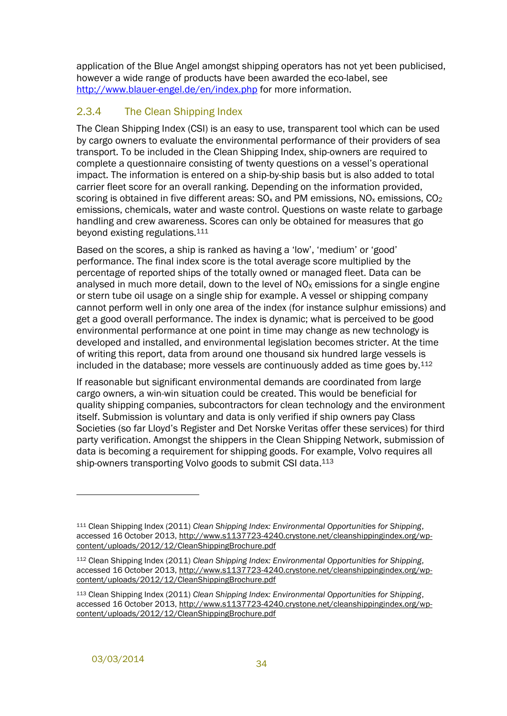application of the Blue Angel amongst shipping operators has not yet been publicised, however a wide range of products have been awarded the eco-label, see <http://www.blauer-engel.de/en/index.php> for more information.

## <span id="page-39-0"></span>2.3.4 The Clean Shipping Index

The Clean Shipping Index (CSI) is an easy to use, transparent tool which can be used by cargo owners to evaluate the environmental performance of their providers of sea transport. To be included in the Clean Shipping Index, ship-owners are required to complete a questionnaire consisting of twenty questions on a vessel's operational impact. The information is entered on a ship-by-ship basis but is also added to total carrier fleet score for an overall ranking. Depending on the information provided, scoring is obtained in five different areas:  $SO_x$  and PM emissions,  $NO_x$  emissions,  $CO_2$ emissions, chemicals, water and waste control. Questions on waste relate to garbage handling and crew awareness. Scores can only be obtained for measures that go beyond existing regulations.<sup>111</sup>

Based on the scores, a ship is ranked as having a 'low', 'medium' or 'good' performance. The final index score is the total average score multiplied by the percentage of reported ships of the totally owned or managed fleet. Data can be analysed in much more detail, down to the level of  $NO<sub>x</sub>$  emissions for a single engine or stern tube oil usage on a single ship for example. A vessel or shipping company cannot perform well in only one area of the index (for instance sulphur emissions) and get a good overall performance. The index is dynamic; what is perceived to be good environmental performance at one point in time may change as new technology is developed and installed, and environmental legislation becomes stricter. At the time of writing this report, data from around one thousand six hundred large vessels is included in the database; more vessels are continuously added as time goes by.<sup>112</sup>

If reasonable but significant environmental demands are coordinated from large cargo owners, a win-win situation could be created. This would be beneficial for quality shipping companies, subcontractors for clean technology and the environment itself. Submission is voluntary and data is only verified if ship owners pay Class Societies (so far Lloyd's Register and Det Norske Veritas offer these services) for third party verification. Amongst the shippers in the Clean Shipping Network, submission of data is becoming a requirement for shipping goods. For example, Volvo requires all ship-owners transporting Volvo goods to submit CSI data.<sup>113</sup>

<sup>111</sup> Clean Shipping Index (2011) *Clean Shipping Index: Environmental Opportunities for Shipping*, accessed 16 October 2013, http://www.s1137723-4240.crystone.net/cleanshippingindex.org/wpcontent/uploads/2012/12/CleanShippingBrochure.pdf

<sup>112</sup> Clean Shipping Index (2011) *Clean Shipping Index: Environmental Opportunities for Shipping*, accessed 16 October 2013, http://www.s1137723-4240.crystone.net/cleanshippingindex.org/wpcontent/uploads/2012/12/CleanShippingBrochure.pdf

<sup>113</sup> Clean Shipping Index (2011) *Clean Shipping Index: Environmental Opportunities for Shipping*, accessed 16 October 2013, http://www.s1137723-4240.crystone.net/cleanshippingindex.org/wpcontent/uploads/2012/12/CleanShippingBrochure.pdf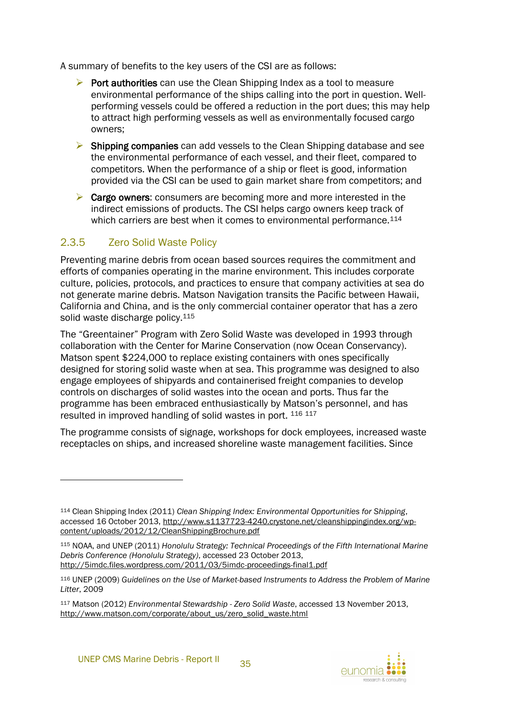A summary of benefits to the key users of the CSI are as follows:

- $\triangleright$  Port authorities can use the Clean Shipping Index as a tool to measure environmental performance of the ships calling into the port in question. Wellperforming vessels could be offered a reduction in the port dues; this may help to attract high performing vessels as well as environmentally focused cargo owners;
- $\triangleright$  Shipping companies can add vessels to the Clean Shipping database and see the environmental performance of each vessel, and their fleet, compared to competitors. When the performance of a ship or fleet is good, information provided via the CSI can be used to gain market share from competitors; and
- $\triangleright$  Cargo owners: consumers are becoming more and more interested in the indirect emissions of products. The CSI helps cargo owners keep track of which carriers are best when it comes to environmental performance.<sup>114</sup>

#### <span id="page-40-0"></span>2.3.5 Zero Solid Waste Policy

 $\overline{a}$ 

Preventing marine debris from ocean based sources requires the commitment and efforts of companies operating in the marine environment. This includes corporate culture, policies, protocols, and practices to ensure that company activities at sea do not generate marine debris. Matson Navigation transits the Pacific between Hawaii, California and China, and is the only commercial container operator that has a zero solid waste discharge policy.<sup>115</sup>

The "Greentainer" Program with Zero Solid Waste was developed in 1993 through collaboration with the Center for Marine Conservation (now Ocean Conservancy). Matson spent \$224,000 to replace existing containers with ones specifically designed for storing solid waste when at sea. This programme was designed to also engage employees of shipyards and containerised freight companies to develop controls on discharges of solid wastes into the ocean and ports. Thus far the programme has been embraced enthusiastically by Matson's personnel, and has resulted in improved handling of solid wastes in port. 116 117

The programme consists of signage, workshops for dock employees, increased waste receptacles on ships, and increased shoreline waste management facilities. Since

<sup>114</sup> Clean Shipping Index (2011) *Clean Shipping Index: Environmental Opportunities for Shipping*, accessed 16 October 2013, http://www.s1137723-4240.crystone.net/cleanshippingindex.org/wpcontent/uploads/2012/12/CleanShippingBrochure.pdf

<sup>115</sup> NOAA, and UNEP (2011) *Honolulu Strategy: Technical Proceedings of the Fifth International Marine Debris Conference (Honolulu Strategy)*, accessed 23 October 2013, http://5imdc.files.wordpress.com/2011/03/5imdc-proceedings-final1.pdf

<sup>116</sup> UNEP (2009) *Guidelines on the Use of Market-based Instruments to Address the Problem of Marine Litter*, 2009

<sup>117</sup> Matson (2012) *Environmental Stewardship - Zero Solid Waste*, accessed 13 November 2013, http://www.matson.com/corporate/about\_us/zero\_solid\_waste.html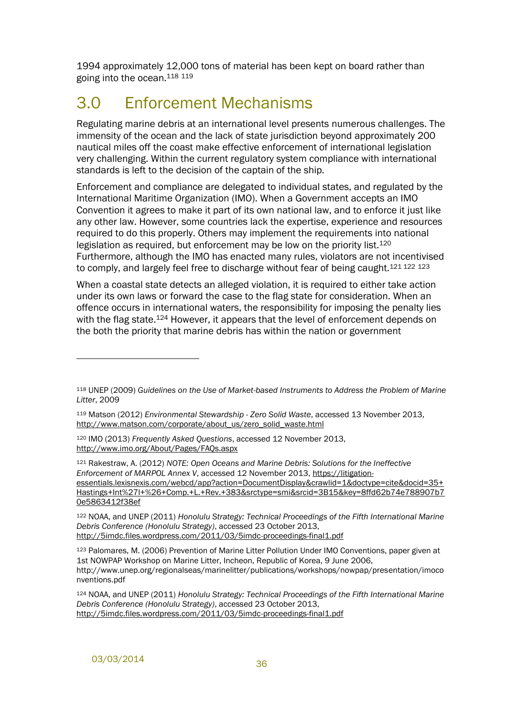1994 approximately 12,000 tons of material has been kept on board rather than going into the ocean. 118 119

## <span id="page-41-0"></span>3.0 Enforcement Mechanisms

Regulating marine debris at an international level presents numerous challenges. The immensity of the ocean and the lack of state jurisdiction beyond approximately 200 nautical miles off the coast make effective enforcement of international legislation very challenging. Within the current regulatory system compliance with international standards is left to the decision of the captain of the ship.

Enforcement and compliance are delegated to individual states, and regulated by the International Maritime Organization (IMO). When a Government accepts an IMO Convention it agrees to make it part of its own national law, and to enforce it just like any other law. However, some countries lack the expertise, experience and resources required to do this properly. Others may implement the requirements into national legislation as required, but enforcement may be low on the priority list.<sup>120</sup> Furthermore, although the IMO has enacted many rules, violators are not incentivised to comply, and largely feel free to discharge without fear of being caught.<sup>121 122</sup> <sup>123</sup>

When a coastal state detects an alleged violation, it is required to either take action under its own laws or forward the case to the flag state for consideration. When an offence occurs in international waters, the responsibility for imposing the penalty lies with the flag state.<sup>124</sup> However, it appears that the level of enforcement depends on the both the priority that marine debris has within the nation or government

<sup>121</sup> Rakestraw, A. (2012) *NOTE: Open Oceans and Marine Debris: Solutions for the Ineffective Enforcement of MARPOL Annex V*, accessed 12 November 2013, https://litigationessentials.lexisnexis.com/webcd/app?action=DocumentDisplay&crawlid=1&doctype=cite&docid=35+ Hastings+Int%27l+%26+Comp.+L.+Rev.+383&srctype=smi&srcid=3B15&key=8ffd62b74e788907b7 0e5863412f38ef

<sup>122</sup> NOAA, and UNEP (2011) *Honolulu Strategy: Technical Proceedings of the Fifth International Marine Debris Conference (Honolulu Strategy)*, accessed 23 October 2013, http://5imdc.files.wordpress.com/2011/03/5imdc-proceedings-final1.pdf

<sup>118</sup> UNEP (2009) *Guidelines on the Use of Market-based Instruments to Address the Problem of Marine Litter*, 2009

<sup>119</sup> Matson (2012) *Environmental Stewardship - Zero Solid Waste*, accessed 13 November 2013, http://www.matson.com/corporate/about\_us/zero\_solid\_waste.html

<sup>120</sup> IMO (2013) *Frequently Asked Questions*, accessed 12 November 2013, http://www.imo.org/About/Pages/FAQs.aspx

<sup>123</sup> Palomares, M. (2006) Prevention of Marine Litter Pollution Under IMO Conventions, paper given at 1st NOWPAP Workshop on Marine Litter, Incheon, Republic of Korea, 9 June 2006, http://www.unep.org/regionalseas/marinelitter/publications/workshops/nowpap/presentation/imoco nventions.pdf

<sup>124</sup> NOAA, and UNEP (2011) *Honolulu Strategy: Technical Proceedings of the Fifth International Marine Debris Conference (Honolulu Strategy)*, accessed 23 October 2013, http://5imdc.files.wordpress.com/2011/03/5imdc-proceedings-final1.pdf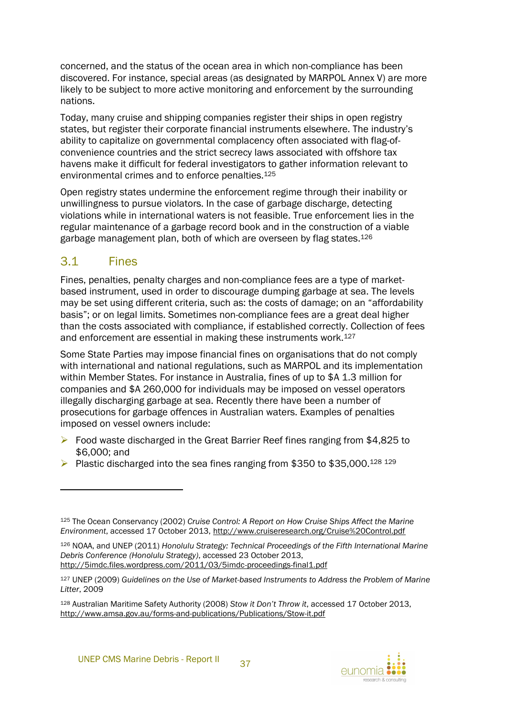concerned, and the status of the ocean area in which non-compliance has been discovered. For instance, special areas (as designated by MARPOL Annex V) are more likely to be subject to more active monitoring and enforcement by the surrounding nations.

Today, many cruise and shipping companies register their ships in open registry states, but register their corporate financial instruments elsewhere. The industry's ability to capitalize on governmental complacency often associated with flag-ofconvenience countries and the strict secrecy laws associated with offshore tax havens make it difficult for federal investigators to gather information relevant to environmental crimes and to enforce penalties.<sup>125</sup>

Open registry states undermine the enforcement regime through their inability or unwillingness to pursue violators. In the case of garbage discharge, detecting violations while in international waters is not feasible. True enforcement lies in the regular maintenance of a garbage record book and in the construction of a viable garbage management plan, both of which are overseen by flag states.<sup>126</sup>

## <span id="page-42-0"></span>3.1 Fines

 $\overline{a}$ 

Fines, penalties, penalty charges and non-compliance fees are a type of marketbased instrument, used in order to discourage dumping garbage at sea. The levels may be set using different criteria, such as: the costs of damage; on an "affordability basis"; or on legal limits. Sometimes non-compliance fees are a great deal higher than the costs associated with compliance, if established correctly. Collection of fees and enforcement are essential in making these instruments work.<sup>127</sup>

Some State Parties may impose financial fines on organisations that do not comply with international and national regulations, such as MARPOL and its implementation within Member States. For instance in Australia, fines of up to \$A 1.3 million for companies and \$A 260,000 for individuals may be imposed on vessel operators illegally discharging garbage at sea. Recently there have been a number of prosecutions for garbage offences in Australian waters. Examples of penalties imposed on vessel owners include:

- ▶ Food waste discharged in the Great Barrier Reef fines ranging from \$4,825 to \$6,000; and
- Plastic discharged into the sea fines ranging from \$350 to \$35,000.<sup>128 129</sup>



<sup>125</sup> The Ocean Conservancy (2002) *Cruise Control: A Report on How Cruise Ships Affect the Marine Environment*, accessed 17 October 2013, http://www.cruiseresearch.org/Cruise%20Control.pdf

<sup>126</sup> NOAA, and UNEP (2011) *Honolulu Strategy: Technical Proceedings of the Fifth International Marine Debris Conference (Honolulu Strategy)*, accessed 23 October 2013, http://5imdc.files.wordpress.com/2011/03/5imdc-proceedings-final1.pdf

<sup>127</sup> UNEP (2009) *Guidelines on the Use of Market-based Instruments to Address the Problem of Marine Litter*, 2009

<sup>128</sup> Australian Maritime Safety Authority (2008) *Stow it Don't Throw it*, accessed 17 October 2013, http://www.amsa.gov.au/forms-and-publications/Publications/Stow-it.pdf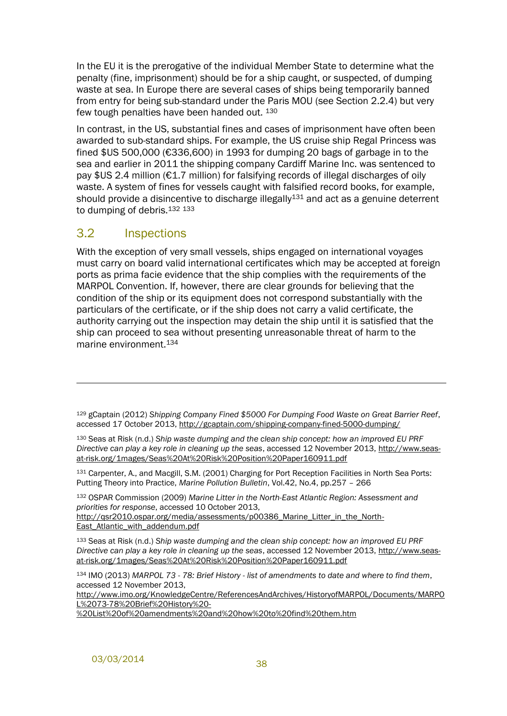In the EU it is the prerogative of the individual Member State to determine what the penalty (fine, imprisonment) should be for a ship caught, or suspected, of dumping waste at sea. In Europe there are several cases of ships being temporarily banned from entry for being sub-standard under the Paris MOU (see Section [2.2.4\)](#page-29-0) but very few tough penalties have been handed out. 130

In contrast, in the US, substantial fines and cases of imprisonment have often been awarded to sub-standard ships. For example, the US cruise ship Regal Princess was fined \$US 500,000 (€336,600) in 1993 for dumping 20 bags of garbage in to the sea and earlier in 2011 the shipping company Cardiff Marine Inc. was sentenced to pay \$US 2.4 million (€1.7 million) for falsifying records of illegal discharges of oily waste. A system of fines for vessels caught with falsified record books, for example, should provide a disincentive to discharge illegally $131$  and act as a genuine deterrent to dumping of debris.<sup>132 133</sup>

## <span id="page-43-0"></span>3.2 Inspections

l

With the exception of very small vessels, ships engaged on international voyages must carry on board valid international certificates which may be accepted at foreign ports as prima facie evidence that the ship complies with the requirements of the MARPOL Convention. If, however, there are clear grounds for believing that the condition of the ship or its equipment does not correspond substantially with the particulars of the certificate, or if the ship does not carry a valid certificate, the authority carrying out the inspection may detain the ship until it is satisfied that the ship can proceed to sea without presenting unreasonable threat of harm to the marine environment.<sup>134</sup>

<sup>129</sup> gCaptain (2012) *Shipping Company Fined \$5000 For Dumping Food Waste on Great Barrier Reef*, accessed 17 October 2013, http://gcaptain.com/shipping-company-fined-5000-dumping/

<sup>130</sup> Seas at Risk (n.d.) *Ship waste dumping and the clean ship concept: how an improved EU PRF Directive can play a key role in cleaning up the seas*, accessed 12 November 2013, http://www.seasat-risk.org/1mages/Seas%20At%20Risk%20Position%20Paper160911.pdf

<sup>131</sup> Carpenter, A., and Macgill, S.M. (2001) Charging for Port Reception Facilities in North Sea Ports: Putting Theory into Practice, *Marine Pollution Bulletin*, Vol.42, No.4, pp.257 – 266

<sup>132</sup> OSPAR Commission (2009) *Marine Litter in the North-East Atlantic Region: Assessment and priorities for response*, accessed 10 October 2013,

http://qsr2010.ospar.org/media/assessments/p00386\_Marine\_Litter\_in\_the\_North-East Atlantic with addendum.pdf

<sup>133</sup> Seas at Risk (n.d.) *Ship waste dumping and the clean ship concept: how an improved EU PRF Directive can play a key role in cleaning up the seas*, accessed 12 November 2013, http://www.seasat-risk.org/1mages/Seas%20At%20Risk%20Position%20Paper160911.pdf

<sup>134</sup> IMO (2013) *MARPOL 73 - 78: Brief History - list of amendments to date and where to find them*, accessed 12 November 2013,

http://www.imo.org/KnowledgeCentre/ReferencesAndArchives/HistoryofMARPOL/Documents/MARPO L%2073-78%20Brief%20History%20-

%20List%20of%20amendments%20and%20how%20to%20find%20them.htm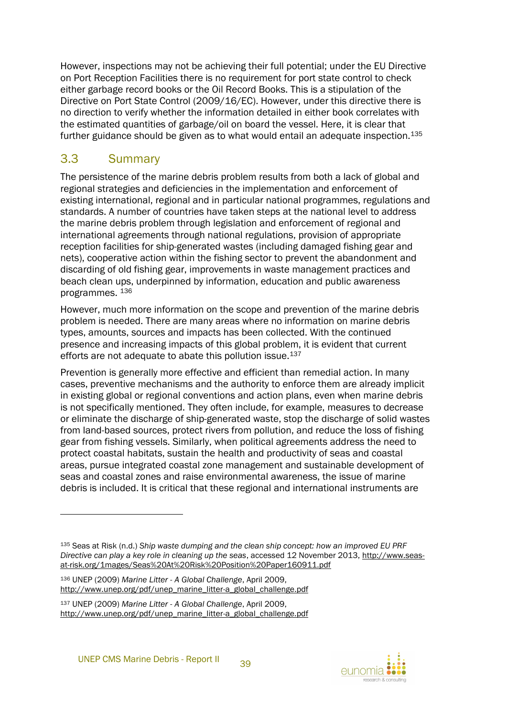However, inspections may not be achieving their full potential; under the EU Directive on Port Reception Facilities there is no requirement for port state control to check either garbage record books or the Oil Record Books. This is a stipulation of the Directive on Port State Control (2009/16/EC). However, under this directive there is no direction to verify whether the information detailed in either book correlates with the estimated quantities of garbage/oil on board the vessel. Here, it is clear that further guidance should be given as to what would entail an adequate inspection.<sup>135</sup>

## <span id="page-44-0"></span>3.3 Summary

l

The persistence of the marine debris problem results from both a lack of global and regional strategies and deficiencies in the implementation and enforcement of existing international, regional and in particular national programmes, regulations and standards. A number of countries have taken steps at the national level to address the marine debris problem through legislation and enforcement of regional and international agreements through national regulations, provision of appropriate reception facilities for ship-generated wastes (including damaged fishing gear and nets), cooperative action within the fishing sector to prevent the abandonment and discarding of old fishing gear, improvements in waste management practices and beach clean ups, underpinned by information, education and public awareness programmes. <sup>136</sup>

However, much more information on the scope and prevention of the marine debris problem is needed. There are many areas where no information on marine debris types, amounts, sources and impacts has been collected. With the continued presence and increasing impacts of this global problem, it is evident that current efforts are not adequate to abate this pollution issue.<sup>137</sup>

Prevention is generally more effective and efficient than remedial action. In many cases, preventive mechanisms and the authority to enforce them are already implicit in existing global or regional conventions and action plans, even when marine debris is not specifically mentioned. They often include, for example, measures to decrease or eliminate the discharge of ship-generated waste, stop the discharge of solid wastes from land-based sources, protect rivers from pollution, and reduce the loss of fishing gear from fishing vessels. Similarly, when political agreements address the need to protect coastal habitats, sustain the health and productivity of seas and coastal areas, pursue integrated coastal zone management and sustainable development of seas and coastal zones and raise environmental awareness, the issue of marine debris is included. It is critical that these regional and international instruments are

<sup>136</sup> UNEP (2009) *Marine Litter - A Global Challenge*, April 2009, http://www.unep.org/pdf/unep\_marine\_litter-a\_global\_challenge.pdf

<sup>135</sup> Seas at Risk (n.d.) *Ship waste dumping and the clean ship concept: how an improved EU PRF Directive can play a key role in cleaning up the seas*, accessed 12 November 2013, http://www.seasat-risk.org/1mages/Seas%20At%20Risk%20Position%20Paper160911.pdf

<sup>137</sup> UNEP (2009) *Marine Litter - A Global Challenge*, April 2009, http://www.unep.org/pdf/unep\_marine\_litter-a\_global\_challenge.pdf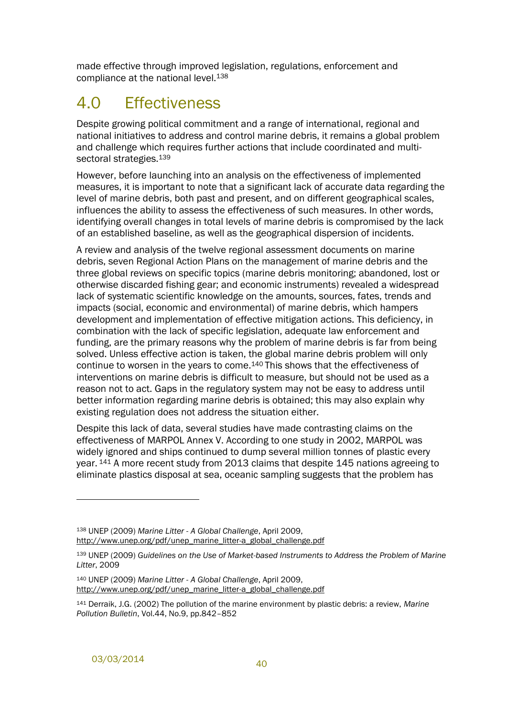made effective through improved legislation, regulations, enforcement and compliance at the national level.<sup>138</sup>

## <span id="page-45-0"></span>4.0 Effectiveness

Despite growing political commitment and a range of international, regional and national initiatives to address and control marine debris, it remains a global problem and challenge which requires further actions that include coordinated and multisectoral strategies.<sup>139</sup>

However, before launching into an analysis on the effectiveness of implemented measures, it is important to note that a significant lack of accurate data regarding the level of marine debris, both past and present, and on different geographical scales, influences the ability to assess the effectiveness of such measures. In other words, identifying overall changes in total levels of marine debris is compromised by the lack of an established baseline, as well as the geographical dispersion of incidents.

A review and analysis of the twelve regional assessment documents on marine debris, seven Regional Action Plans on the management of marine debris and the three global reviews on specific topics (marine debris monitoring; abandoned, lost or otherwise discarded fishing gear; and economic instruments) revealed a widespread lack of systematic scientific knowledge on the amounts, sources, fates, trends and impacts (social, economic and environmental) of marine debris, which hampers development and implementation of effective mitigation actions. This deficiency, in combination with the lack of specific legislation, adequate law enforcement and funding, are the primary reasons why the problem of marine debris is far from being solved. Unless effective action is taken, the global marine debris problem will only continue to worsen in the years to come. <sup>140</sup> This shows that the effectiveness of interventions on marine debris is difficult to measure, but should not be used as a reason not to act. Gaps in the regulatory system may not be easy to address until better information regarding marine debris is obtained; this may also explain why existing regulation does not address the situation either.

Despite this lack of data, several studies have made contrasting claims on the effectiveness of MARPOL Annex V. According to one study in 2002, MARPOL was widely ignored and ships continued to dump several million tonnes of plastic every year. <sup>141</sup> A more recent study from 2013 claims that despite 145 nations agreeing to eliminate plastics disposal at sea, oceanic sampling suggests that the problem has

<sup>138</sup> UNEP (2009) *Marine Litter - A Global Challenge*, April 2009, http://www.unep.org/pdf/unep\_marine\_litter-a\_global\_challenge.pdf

<sup>139</sup> UNEP (2009) *Guidelines on the Use of Market-based Instruments to Address the Problem of Marine Litter*, 2009

<sup>140</sup> UNEP (2009) *Marine Litter - A Global Challenge*, April 2009, http://www.unep.org/pdf/unep\_marine\_litter-a\_global\_challenge.pdf

<sup>141</sup> Derraik, J.G. (2002) The pollution of the marine environment by plastic debris: a review, *Marine Pollution Bulletin*, Vol.44, No.9, pp.842–852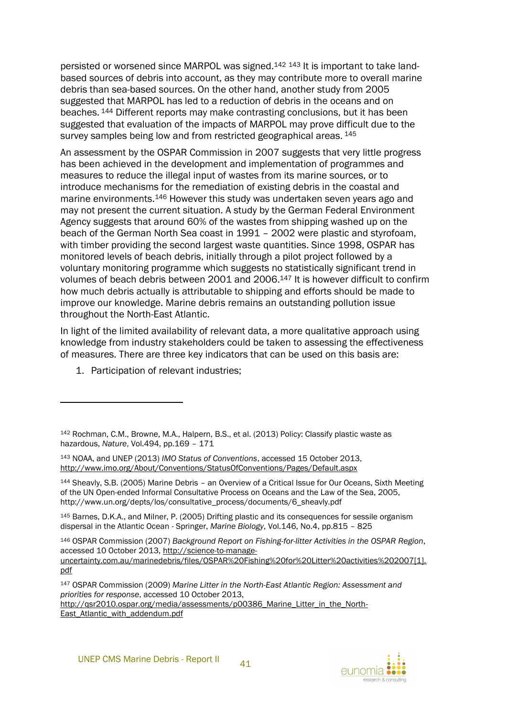persisted or worsened since MARPOL was signed.<sup>142</sup> <sup>143</sup> It is important to take landbased sources of debris into account, as they may contribute more to overall marine debris than sea-based sources. On the other hand, another study from 2005 suggested that MARPOL has led to a reduction of debris in the oceans and on beaches. <sup>144</sup> Different reports may make contrasting conclusions, but it has been suggested that evaluation of the impacts of MARPOL may prove difficult due to the survey samples being low and from restricted geographical areas.  $145$ 

An assessment by the OSPAR Commission in 2007 suggests that very little progress has been achieved in the development and implementation of programmes and measures to reduce the illegal input of wastes from its marine sources, or to introduce mechanisms for the remediation of existing debris in the coastal and marine environments.<sup>146</sup> However this study was undertaken seven years ago and may not present the current situation. A study by the German Federal Environment Agency suggests that around 60% of the wastes from shipping washed up on the beach of the German North Sea coast in 1991 – 2002 were plastic and styrofoam, with timber providing the second largest waste quantities. Since 1998, OSPAR has monitored levels of beach debris, initially through a pilot project followed by a voluntary monitoring programme which suggests no statistically significant trend in volumes of beach debris between 2001 and 2006. <sup>147</sup> It is however difficult to confirm how much debris actually is attributable to shipping and efforts should be made to improve our knowledge. Marine debris remains an outstanding pollution issue throughout the North-East Atlantic.

In light of the limited availability of relevant data, a more qualitative approach using knowledge from industry stakeholders could be taken to assessing the effectiveness of measures. There are three key indicators that can be used on this basis are:

1. Participation of relevant industries;

 $\overline{a}$ 

<sup>145</sup> Barnes, D.K.A., and Milner, P. (2005) Drifting plastic and its consequences for sessile organism dispersal in the Atlantic Ocean - Springer, *Marine Biology*, Vol.146, No.4, pp.815 – 825

East\_Atlantic\_with\_addendum.pdf



<sup>142</sup> Rochman, C.M., Browne, M.A., Halpern, B.S., et al. (2013) Policy: Classify plastic waste as hazardous, *Nature*, Vol.494, pp.169 – 171

<sup>143</sup> NOAA, and UNEP (2013) *IMO Status of Conventions*, accessed 15 October 2013, http://www.imo.org/About/Conventions/StatusOfConventions/Pages/Default.aspx

<sup>144</sup> Sheavly, S.B. (2005) Marine Debris – an Overview of a Critical Issue for Our Oceans, Sixth Meeting of the UN Open-ended Informal Consultative Process on Oceans and the Law of the Sea, 2005, http://www.un.org/depts/los/consultative\_process/documents/6\_sheavly.pdf

<sup>146</sup> OSPAR Commission (2007) *Background Report on Fishing-for-litter Activities in the OSPAR Region*, accessed 10 October 2013, http://science-to-manage-

uncertainty.com.au/marinedebris/files/OSPAR%20Fishing%20for%20Litter%20activities%202007[1]. pdf

<sup>147</sup> OSPAR Commission (2009) *Marine Litter in the North-East Atlantic Region: Assessment and priorities for response*, accessed 10 October 2013, http://qsr2010.ospar.org/media/assessments/p00386 Marine Litter in the North-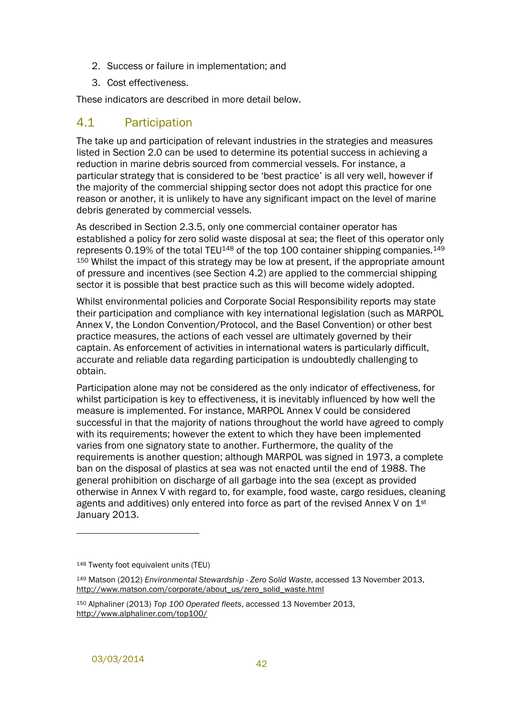- 2. Success or failure in implementation; and
- 3. Cost effectiveness.

These indicators are described in more detail below.

## <span id="page-47-0"></span>4.1 Participation

The take up and participation of relevant industries in the strategies and measures listed in Section [2.0](#page-12-0) can be used to determine its potential success in achieving a reduction in marine debris sourced from commercial vessels. For instance, a particular strategy that is considered to be 'best practice' is all very well, however if the majority of the commercial shipping sector does not adopt this practice for one reason or another, it is unlikely to have any significant impact on the level of marine debris generated by commercial vessels.

As described in Section [2.3.5,](#page-40-0) only one commercial container operator has established a policy for zero solid waste disposal at sea; the fleet of this operator only represents 0.19% of the total TEU<sup>148</sup> of the top 100 container shipping companies.<sup>149</sup> <sup>150</sup> Whilst the impact of this strategy may be low at present, if the appropriate amount of pressure and incentives (see Section [4.2\)](#page-48-0) are applied to the commercial shipping sector it is possible that best practice such as this will become widely adopted.

Whilst environmental policies and Corporate Social Responsibility reports may state their participation and compliance with key international legislation (such as MARPOL Annex V, the London Convention/Protocol, and the Basel Convention) or other best practice measures, the actions of each vessel are ultimately governed by their captain. As enforcement of activities in international waters is particularly difficult, accurate and reliable data regarding participation is undoubtedly challenging to obtain.

Participation alone may not be considered as the only indicator of effectiveness, for whilst participation is key to effectiveness, it is inevitably influenced by how well the measure is implemented. For instance, MARPOL Annex V could be considered successful in that the majority of nations throughout the world have agreed to comply with its requirements; however the extent to which they have been implemented varies from one signatory state to another. Furthermore, the quality of the requirements is another question; although MARPOL was signed in 1973, a complete ban on the disposal of plastics at sea was not enacted until the end of 1988. The general prohibition on discharge of all garbage into the sea (except as provided otherwise in Annex V with regard to, for example, food waste, cargo residues, cleaning agents and additives) only entered into force as part of the revised Annex V on  $1<sup>st</sup>$ January 2013.

<sup>148</sup> Twenty foot equivalent units (TEU)

<sup>149</sup> Matson (2012) *Environmental Stewardship - Zero Solid Waste*, accessed 13 November 2013, http://www.matson.com/corporate/about\_us/zero\_solid\_waste.html

<sup>150</sup> Alphaliner (2013) *Top 100 Operated fleets*, accessed 13 November 2013, http://www.alphaliner.com/top100/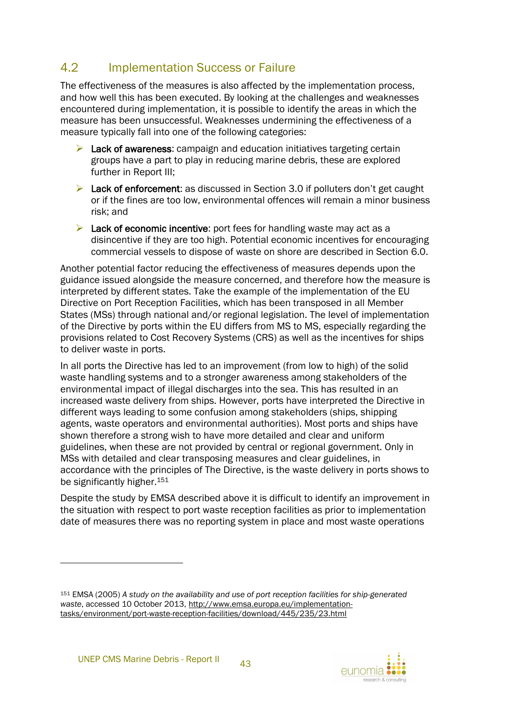## <span id="page-48-0"></span>4.2 Implementation Success or Failure

The effectiveness of the measures is also affected by the implementation process, and how well this has been executed. By looking at the challenges and weaknesses encountered during implementation, it is possible to identify the areas in which the measure has been unsuccessful. Weaknesses undermining the effectiveness of a measure typically fall into one of the following categories:

- $\triangleright$  Lack of awareness: campaign and education initiatives targeting certain groups have a part to play in reducing marine debris, these are explored further in Report III;
- $\triangleright$  Lack of enforcement: as discussed in Section [3.0](#page-41-0) if polluters don't get caught or if the fines are too low, environmental offences will remain a minor business risk; and
- $\triangleright$  Lack of economic incentive: port fees for handling waste may act as a disincentive if they are too high. Potential economic incentives for encouraging commercial vessels to dispose of waste on shore are described in Section [6.0.](#page-55-0)

Another potential factor reducing the effectiveness of measures depends upon the guidance issued alongside the measure concerned, and therefore how the measure is interpreted by different states. Take the example of the implementation of the EU Directive on Port Reception Facilities, which has been transposed in all Member States (MSs) through national and/or regional legislation. The level of implementation of the Directive by ports within the EU differs from MS to MS, especially regarding the provisions related to Cost Recovery Systems (CRS) as well as the incentives for ships to deliver waste in ports.

In all ports the Directive has led to an improvement (from low to high) of the solid waste handling systems and to a stronger awareness among stakeholders of the environmental impact of illegal discharges into the sea. This has resulted in an increased waste delivery from ships. However, ports have interpreted the Directive in different ways leading to some confusion among stakeholders (ships, shipping agents, waste operators and environmental authorities). Most ports and ships have shown therefore a strong wish to have more detailed and clear and uniform guidelines, when these are not provided by central or regional government. Only in MSs with detailed and clear transposing measures and clear guidelines, in accordance with the principles of The Directive, is the waste delivery in ports shows to be significantly higher.<sup>151</sup>

Despite the study by EMSA described above it is difficult to identify an improvement in the situation with respect to port waste reception facilities as prior to implementation date of measures there was no reporting system in place and most waste operations

l



<sup>151</sup> EMSA (2005) *A study on the availability and use of port reception facilities for ship-generated waste*, accessed 10 October 2013, http://www.emsa.europa.eu/implementationtasks/environment/port-waste-reception-facilities/download/445/235/23.html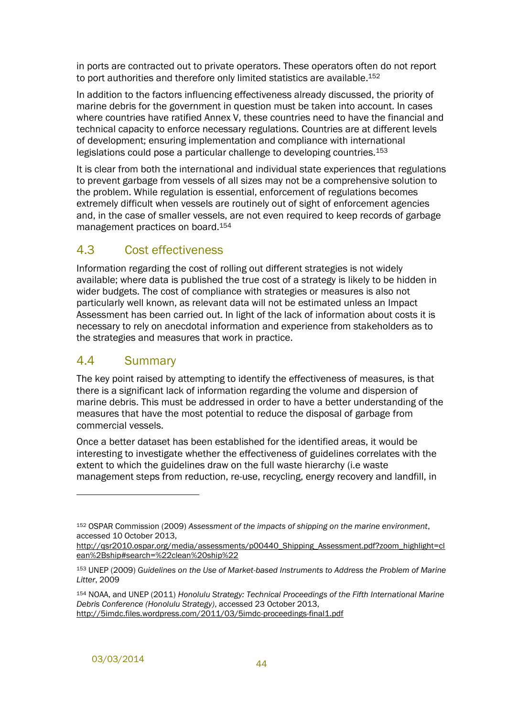in ports are contracted out to private operators. These operators often do not report to port authorities and therefore only limited statistics are available.<sup>152</sup>

In addition to the factors influencing effectiveness already discussed, the priority of marine debris for the government in question must be taken into account. In cases where countries have ratified Annex V, these countries need to have the financial and technical capacity to enforce necessary regulations. Countries are at different levels of development; ensuring implementation and compliance with international legislations could pose a particular challenge to developing countries.<sup>153</sup>

It is clear from both the international and individual state experiences that regulations to prevent garbage from vessels of all sizes may not be a comprehensive solution to the problem. While regulation is essential, enforcement of regulations becomes extremely difficult when vessels are routinely out of sight of enforcement agencies and, in the case of smaller vessels, are not even required to keep records of garbage management practices on board.<sup>154</sup>

## <span id="page-49-0"></span>4.3 Cost effectiveness

Information regarding the cost of rolling out different strategies is not widely available; where data is published the true cost of a strategy is likely to be hidden in wider budgets. The cost of compliance with strategies or measures is also not particularly well known, as relevant data will not be estimated unless an Impact Assessment has been carried out. In light of the lack of information about costs it is necessary to rely on anecdotal information and experience from stakeholders as to the strategies and measures that work in practice.

## <span id="page-49-1"></span>4.4 Summary

The key point raised by attempting to identify the effectiveness of measures, is that there is a significant lack of information regarding the volume and dispersion of marine debris. This must be addressed in order to have a better understanding of the measures that have the most potential to reduce the disposal of garbage from commercial vessels.

Once a better dataset has been established for the identified areas, it would be interesting to investigate whether the effectiveness of guidelines correlates with the extent to which the guidelines draw on the full waste hierarchy (i.e waste management steps from reduction, re-use, recycling, energy recovery and landfill, in

<sup>152</sup> OSPAR Commission (2009) *Assessment of the impacts of shipping on the marine environment*, accessed 10 October 2013,

http://gsr2010.ospar.org/media/assessments/p00440\_Shipping\_Assessment.pdf?zoom\_highlight=cl ean%2Bship#search=%22clean%20ship%22

<sup>153</sup> UNEP (2009) *Guidelines on the Use of Market-based Instruments to Address the Problem of Marine Litter*, 2009

<sup>154</sup> NOAA, and UNEP (2011) *Honolulu Strategy: Technical Proceedings of the Fifth International Marine Debris Conference (Honolulu Strategy)*, accessed 23 October 2013, http://5imdc.files.wordpress.com/2011/03/5imdc-proceedings-final1.pdf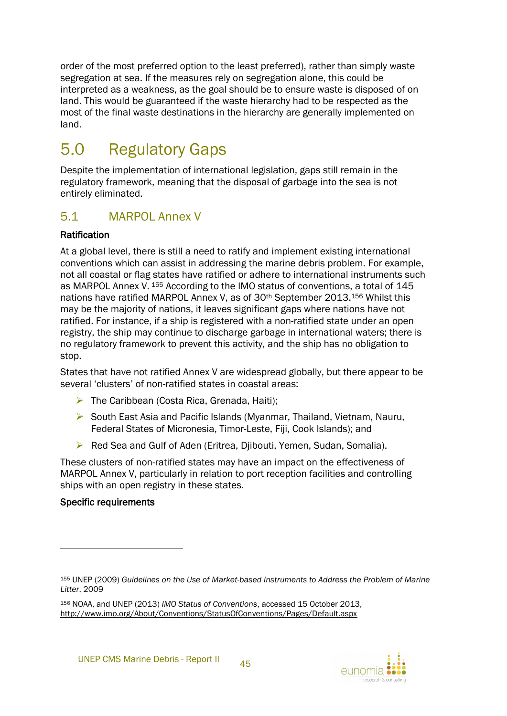order of the most preferred option to the least preferred), rather than simply waste segregation at sea. If the measures rely on segregation alone, this could be interpreted as a weakness, as the goal should be to ensure waste is disposed of on land. This would be guaranteed if the waste hierarchy had to be respected as the most of the final waste destinations in the hierarchy are generally implemented on land.

## <span id="page-50-0"></span>5.0 Regulatory Gaps

Despite the implementation of international legislation, gaps still remain in the regulatory framework, meaning that the disposal of garbage into the sea is not entirely eliminated.

## <span id="page-50-1"></span>5.1 MARPOL Annex V

### Ratification

At a global level, there is still a need to ratify and implement existing international conventions which can assist in addressing the marine debris problem. For example, not all coastal or flag states have ratified or adhere to international instruments such as MARPOL Annex V. <sup>155</sup> According to the IMO status of conventions, a total of 145 nations have ratified MARPOL Annex V, as of 30th September 2013.<sup>156</sup> Whilst this may be the majority of nations, it leaves significant gaps where nations have not ratified. For instance, if a ship is registered with a non-ratified state under an open registry, the ship may continue to discharge garbage in international waters; there is no regulatory framework to prevent this activity, and the ship has no obligation to stop.

States that have not ratified Annex V are widespread globally, but there appear to be several 'clusters' of non-ratified states in coastal areas:

- $\triangleright$  The Caribbean (Costa Rica, Grenada, Haiti);
- $\triangleright$  South East Asia and Pacific Islands (Myanmar, Thailand, Vietnam, Nauru, Federal States of Micronesia, Timor-Leste, Fiji, Cook Islands); and
- ▶ Red Sea and Gulf of Aden (Eritrea, Djibouti, Yemen, Sudan, Somalia).

These clusters of non-ratified states may have an impact on the effectiveness of MARPOL Annex V, particularly in relation to port reception facilities and controlling ships with an open registry in these states.

#### Specific requirements



<sup>155</sup> UNEP (2009) *Guidelines on the Use of Market-based Instruments to Address the Problem of Marine Litter*, 2009

<sup>156</sup> NOAA, and UNEP (2013) *IMO Status of Conventions*, accessed 15 October 2013, http://www.imo.org/About/Conventions/StatusOfConventions/Pages/Default.aspx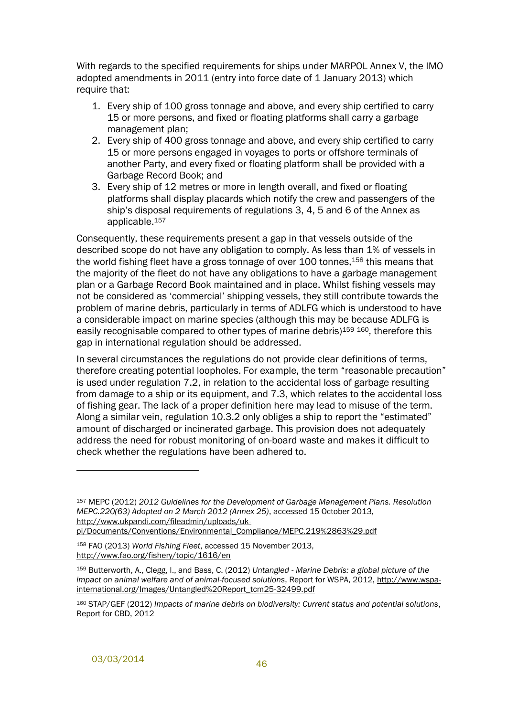With regards to the specified requirements for ships under MARPOL Annex V, the IMO adopted amendments in 2011 (entry into force date of 1 January 2013) which require that:

- 1. Every ship of 100 gross tonnage and above, and every ship certified to carry 15 or more persons, and fixed or floating platforms shall carry a garbage management plan;
- 2. Every ship of 400 gross tonnage and above, and every ship certified to carry 15 or more persons engaged in voyages to ports or offshore terminals of another Party, and every fixed or floating platform shall be provided with a Garbage Record Book; and
- 3. Every ship of 12 metres or more in length overall, and fixed or floating platforms shall display placards which notify the crew and passengers of the ship's disposal requirements of regulations 3, 4, 5 and 6 of the Annex as applicable.<sup>157</sup>

Consequently, these requirements present a gap in that vessels outside of the described scope do not have any obligation to comply. As less than 1% of vessels in the world fishing fleet have a gross tonnage of over 100 tonnes,<sup>158</sup> this means that the majority of the fleet do not have any obligations to have a garbage management plan or a Garbage Record Book maintained and in place. Whilst fishing vessels may not be considered as 'commercial' shipping vessels, they still contribute towards the problem of marine debris, particularly in terms of ADLFG which is understood to have a considerable impact on marine species (although this may be because ADLFG is easily recognisable compared to other types of marine debris)<sup>159</sup> <sup>160</sup>, therefore this gap in international regulation should be addressed.

In several circumstances the regulations do not provide clear definitions of terms, therefore creating potential loopholes. For example, the term "reasonable precaution" is used under regulation 7.2, in relation to the accidental loss of garbage resulting from damage to a ship or its equipment, and 7.3, which relates to the accidental loss of fishing gear. The lack of a proper definition here may lead to misuse of the term. Along a similar vein, regulation 10.3.2 only obliges a ship to report the "estimated" amount of discharged or incinerated garbage. This provision does not adequately address the need for robust monitoring of on-board waste and makes it difficult to check whether the regulations have been adhered to.

l

<sup>157</sup> MEPC (2012) *2012 Guidelines for the Development of Garbage Management Plans. Resolution MEPC.220(63) Adopted on 2 March 2012 (Annex 25)*, accessed 15 October 2013, http://www.ukpandi.com/fileadmin/uploads/uk-

pi/Documents/Conventions/Environmental\_Compliance/MEPC.219%2863%29.pdf

<sup>158</sup> FAO (2013) *World Fishing Fleet*, accessed 15 November 2013, http://www.fao.org/fishery/topic/1616/en

<sup>159</sup> Butterworth, A., Clegg, I., and Bass, C. (2012) *Untangled - Marine Debris: a global picture of the impact on animal welfare and of animal-focused solutions*, Report for WSPA, 2012, http://www.wspainternational.org/Images/Untangled%20Report\_tcm25-32499.pdf

<sup>160</sup> STAP/GEF (2012) *Impacts of marine debris on biodiversity: Current status and potential solutions*, Report for CBD, 2012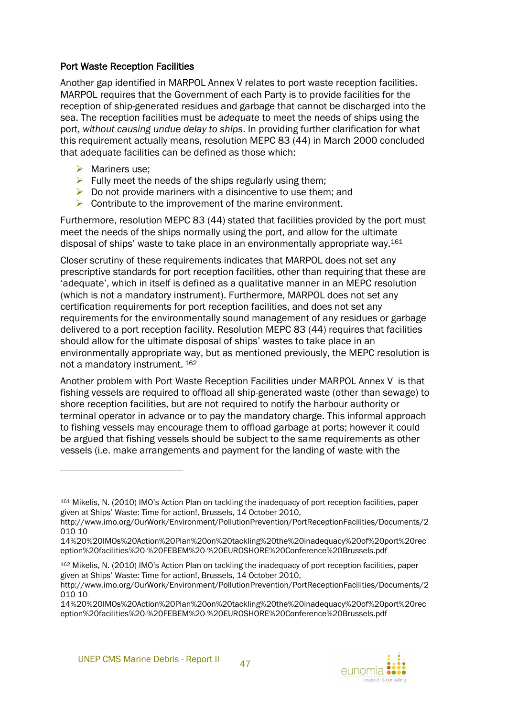#### Port Waste Reception Facilities

Another gap identified in MARPOL Annex V relates to port waste reception facilities. MARPOL requires that the Government of each Party is to provide facilities for the reception of ship-generated residues and garbage that cannot be discharged into the sea. The reception facilities must be *adequate* to meet the needs of ships using the port, *without causing undue delay to ships*. In providing further clarification for what this requirement actually means, resolution MEPC 83 (44) in March 2000 concluded that adequate facilities can be defined as those which:

 $\triangleright$  Mariners use:

l

- $\triangleright$  Fully meet the needs of the ships regularly using them;
- $\triangleright$  Do not provide mariners with a disincentive to use them; and
- $\triangleright$  Contribute to the improvement of the marine environment.

Furthermore, resolution MEPC 83 (44) stated that facilities provided by the port must meet the needs of the ships normally using the port, and allow for the ultimate disposal of ships' waste to take place in an environmentally appropriate way.<sup>161</sup>

Closer scrutiny of these requirements indicates that MARPOL does not set any prescriptive standards for port reception facilities, other than requiring that these are 'adequate', which in itself is defined as a qualitative manner in an MEPC resolution (which is not a mandatory instrument). Furthermore, MARPOL does not set any certification requirements for port reception facilities, and does not set any requirements for the environmentally sound management of any residues or garbage delivered to a port reception facility. Resolution MEPC 83 (44) requires that facilities should allow for the ultimate disposal of ships' wastes to take place in an environmentally appropriate way, but as mentioned previously, the MEPC resolution is not a mandatory instrument. <sup>162</sup>

Another problem with Port Waste Reception Facilities under MARPOL Annex V is that fishing vessels are required to offload all ship-generated waste (other than sewage) to shore reception facilities, but are not required to notify the harbour authority or terminal operator in advance or to pay the mandatory charge. This informal approach to fishing vessels may encourage them to offload garbage at ports; however it could be argued that fishing vessels should be subject to the same requirements as other vessels (i.e. make arrangements and payment for the landing of waste with the

<sup>161</sup> Mikelis, N. (2010) IMO's Action Plan on tackling the inadequacy of port reception facilities, paper given at Ships' Waste: Time for action!, Brussels, 14 October 2010,

http://www.imo.org/OurWork/Environment/PollutionPrevention/PortReceptionFacilities/Documents/2 010-10-

<sup>14%20%20</sup>IMOs%20Action%20Plan%20on%20tackling%20the%20inadequacy%20of%20port%20rec eption%20facilities%20-%20FEBEM%20-%20EUROSHORE%20Conference%20Brussels.pdf

<sup>162</sup> Mikelis, N. (2010) IMO's Action Plan on tackling the inadequacy of port reception facilities, paper given at Ships' Waste: Time for action!, Brussels, 14 October 2010,

http://www.imo.org/OurWork/Environment/PollutionPrevention/PortReceptionFacilities/Documents/2 010-10-

<sup>14%20%20</sup>IMOs%20Action%20Plan%20on%20tackling%20the%20inadequacy%20of%20port%20rec eption%20facilities%20-%20FEBEM%20-%20EUROSHORE%20Conference%20Brussels.pdf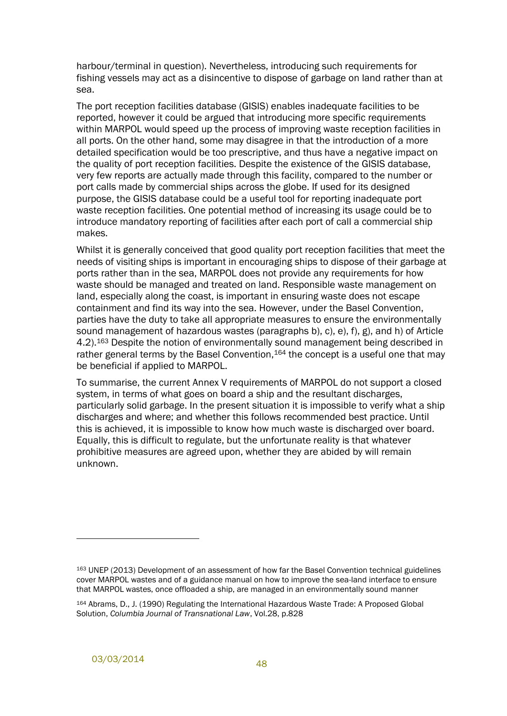harbour/terminal in question). Nevertheless, introducing such requirements for fishing vessels may act as a disincentive to dispose of garbage on land rather than at sea.

The port reception facilities database (GISIS) enables inadequate facilities to be reported, however it could be argued that introducing more specific requirements within MARPOL would speed up the process of improving waste reception facilities in all ports. On the other hand, some may disagree in that the introduction of a more detailed specification would be too prescriptive, and thus have a negative impact on the quality of port reception facilities. Despite the existence of the GISIS database, very few reports are actually made through this facility, compared to the number or port calls made by commercial ships across the globe. If used for its designed purpose, the GISIS database could be a useful tool for reporting inadequate port waste reception facilities. One potential method of increasing its usage could be to introduce mandatory reporting of facilities after each port of call a commercial ship makes.

Whilst it is generally conceived that good quality port reception facilities that meet the needs of visiting ships is important in encouraging ships to dispose of their garbage at ports rather than in the sea, MARPOL does not provide any requirements for how waste should be managed and treated on land. Responsible waste management on land, especially along the coast, is important in ensuring waste does not escape containment and find its way into the sea. However, under the Basel Convention, parties have the duty to take all appropriate measures to ensure the environmentally sound management of hazardous wastes (paragraphs b), c), e), f), g), and h) of Article 4.2).<sup>163</sup> Despite the notion of environmentally sound management being described in rather general terms by the Basel Convention, 164 the concept is a useful one that may be beneficial if applied to MARPOL.

To summarise, the current Annex V requirements of MARPOL do not support a closed system, in terms of what goes on board a ship and the resultant discharges, particularly solid garbage. In the present situation it is impossible to verify what a ship discharges and where; and whether this follows recommended best practice. Until this is achieved, it is impossible to know how much waste is discharged over board. Equally, this is difficult to regulate, but the unfortunate reality is that whatever prohibitive measures are agreed upon, whether they are abided by will remain unknown.

<sup>163</sup> UNEP (2013) Development of an assessment of how far the Basel Convention technical guidelines cover MARPOL wastes and of a guidance manual on how to improve the sea-land interface to ensure that MARPOL wastes, once offloaded a ship, are managed in an environmentally sound manner

<sup>164</sup> Abrams, D., J. (1990) Regulating the International Hazardous Waste Trade: A Proposed Global Solution, *Columbia Journal of Transnational Law*, Vol.28, p.828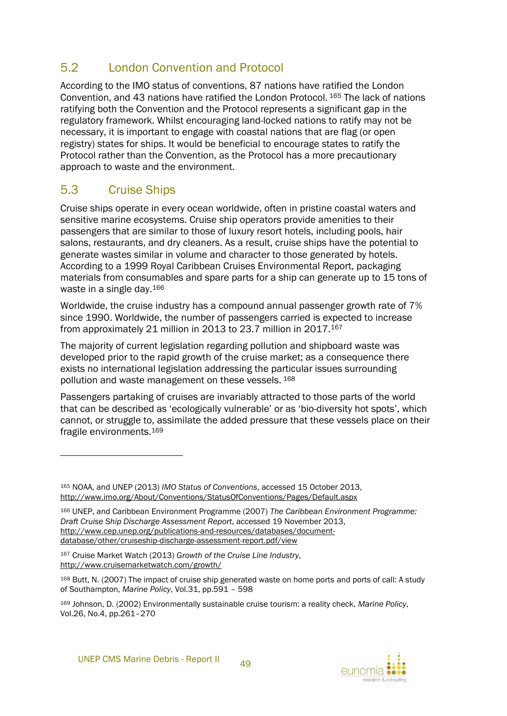## <span id="page-54-0"></span>5.2 London Convention and Protocol

According to the IMO status of conventions, 87 nations have ratified the London Convention, and 43 nations have ratified the London Protocol. <sup>165</sup> The lack of nations ratifying both the Convention and the Protocol represents a significant gap in the regulatory framework. Whilst encouraging land-locked nations to ratify may not be necessary, it is important to engage with coastal nations that are flag (or open registry) states for ships. It would be beneficial to encourage states to ratify the Protocol rather than the Convention, as the Protocol has a more precautionary approach to waste and the environment.

## <span id="page-54-1"></span>5.3 Cruise Ships

l

Cruise ships operate in every ocean worldwide, often in pristine coastal waters and sensitive marine ecosystems. Cruise ship operators provide amenities to their passengers that are similar to those of luxury resort hotels, including pools, hair salons, restaurants, and dry cleaners. As a result, cruise ships have the potential to generate wastes similar in volume and character to those generated by hotels. According to a 1999 Royal Caribbean Cruises Environmental Report, packaging materials from consumables and spare parts for a ship can generate up to 15 tons of waste in a single day.<sup>166</sup>

Worldwide, the cruise industry has a compound annual passenger growth rate of 7% since 1990. Worldwide, the number of passengers carried is expected to increase from approximately 21 million in 2013 to 23.7 million in 2017.<sup>167</sup>

The majority of current legislation regarding pollution and shipboard waste was developed prior to the rapid growth of the cruise market; as a consequence there exists no international legislation addressing the particular issues surrounding pollution and waste management on these vessels. 168

Passengers partaking of cruises are invariably attracted to those parts of the world that can be described as 'ecologically vulnerable' or as 'bio-diversity hot spots', which cannot, or struggle to, assimilate the added pressure that these vessels place on their fragile environments. 169

<sup>167</sup> Cruise Market Watch (2013) *Growth of the Cruise Line Industry*, http://www.cruisemarketwatch.com/growth/



<sup>165</sup> NOAA, and UNEP (2013) *IMO Status of Conventions*, accessed 15 October 2013, http://www.imo.org/About/Conventions/StatusOfConventions/Pages/Default.aspx

<sup>166</sup> UNEP, and Caribbean Environment Programme (2007) *The Caribbean Environment Programme: Draft Cruise Ship Discharge Assessment Report*, accessed 19 November 2013, http://www.cep.unep.org/publications-and-resources/databases/documentdatabase/other/cruiseship-discharge-assessment-report.pdf/view

<sup>168</sup> Butt, N. (2007) The impact of cruise ship generated waste on home ports and ports of call: A study of Southampton, *Marine Policy*, Vol.31, pp.591 – 598

<sup>169</sup> Johnson, D. (2002) Environmentally sustainable cruise tourism: a reality check, *Marine Policy*, Vol.26, No.4, pp.261–270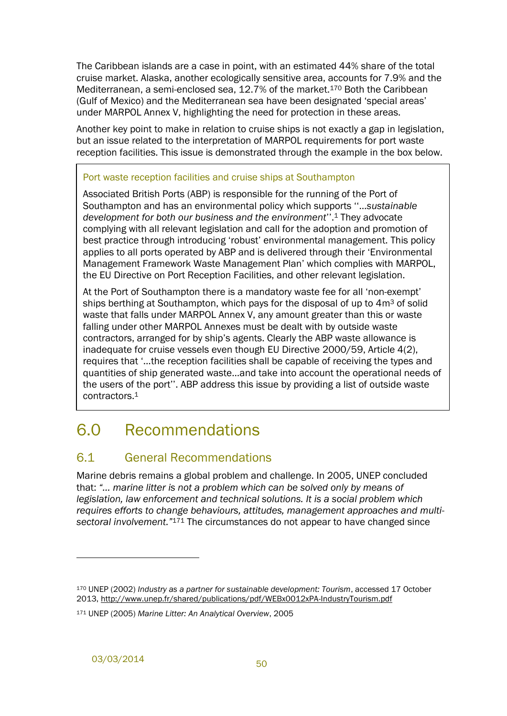The Caribbean islands are a case in point, with an estimated 44% share of the total cruise market. Alaska, another ecologically sensitive area, accounts for 7.9% and the Mediterranean, a semi-enclosed sea, 12.7% of the market. <sup>170</sup> Both the Caribbean (Gulf of Mexico) and the Mediterranean sea have been designated 'special areas' under MARPOL Annex V, highlighting the need for protection in these areas.

Another key point to make in relation to cruise ships is not exactly a gap in legislation, but an issue related to the interpretation of MARPOL requirements for port waste reception facilities. This issue is demonstrated through the example in the box below.

#### Port waste reception facilities and cruise ships at Southampton

Associated British Ports (ABP) is responsible for the running of the Port of Southampton and has an environmental policy which supports ''…*sustainable development for both our business and the environment*''.<sup>1</sup> They advocate complying with all relevant legislation and call for the adoption and promotion of best practice through introducing 'robust' environmental management. This policy applies to all ports operated by ABP and is delivered through their 'Environmental Management Framework Waste Management Plan' which complies with MARPOL, the EU Directive on Port Reception Facilities, and other relevant legislation.

At the Port of Southampton there is a mandatory waste fee for all 'non-exempt' ships berthing at Southampton, which pays for the disposal of up to  $4m<sup>3</sup>$  of solid waste that falls under MARPOL Annex V, any amount greater than this or waste falling under other MARPOL Annexes must be dealt with by outside waste contractors, arranged for by ship's agents. Clearly the ABP waste allowance is inadequate for cruise vessels even though EU Directive 2000/59, Article 4(2), requires that '…the reception facilities shall be capable of receiving the types and quantities of ship generated waste…and take into account the operational needs of the users of the port''. ABP address this issue by providing a list of outside waste contractors.1

## <span id="page-55-0"></span>6.0 Recommendations

## <span id="page-55-1"></span>6.1 General Recommendations

Marine debris remains a global problem and challenge. In 2005, UNEP concluded that: *"… marine litter is not a problem which can be solved only by means of legislation, law enforcement and technical solutions. It is a social problem which requires efforts to change behaviours, attitudes, management approaches and multisectoral involvement."*<sup>171</sup> The circumstances do not appear to have changed since

l

<sup>170</sup> UNEP (2002) *Industry as a partner for sustainable development: Tourism*, accessed 17 October 2013, http://www.unep.fr/shared/publications/pdf/WEBx0012xPA-IndustryTourism.pdf

<sup>171</sup> UNEP (2005) *Marine Litter: An Analytical Overview*, 2005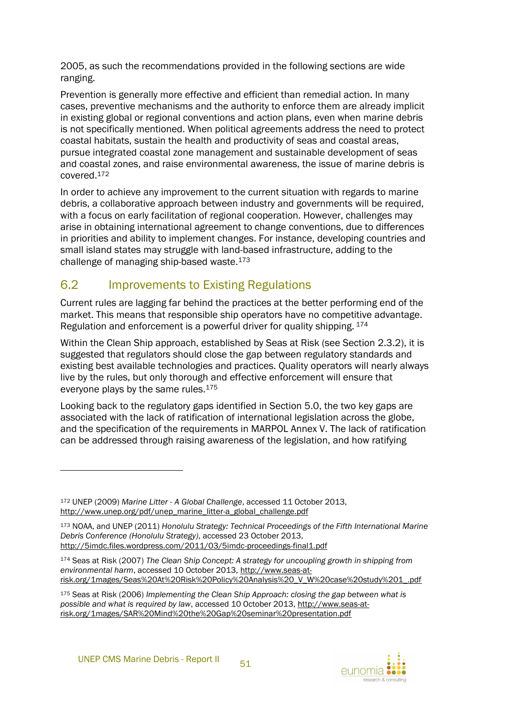2005, as such the recommendations provided in the following sections are wide ranging.

Prevention is generally more effective and efficient than remedial action. In many cases, preventive mechanisms and the authority to enforce them are already implicit in existing global or regional conventions and action plans, even when marine debris is not specifically mentioned. When political agreements address the need to protect coastal habitats, sustain the health and productivity of seas and coastal areas, pursue integrated coastal zone management and sustainable development of seas and coastal zones, and raise environmental awareness, the issue of marine debris is covered.<sup>172</sup>

In order to achieve any improvement to the current situation with regards to marine debris, a collaborative approach between industry and governments will be required, with a focus on early facilitation of regional cooperation. However, challenges may arise in obtaining international agreement to change conventions, due to differences in priorities and ability to implement changes. For instance, developing countries and small island states may struggle with land-based infrastructure, adding to the challenge of managing ship-based waste.<sup>173</sup>

## <span id="page-56-0"></span>6.2 Improvements to Existing Regulations

Current rules are lagging far behind the practices at the better performing end of the market. This means that responsible ship operators have no competitive advantage. Regulation and enforcement is a powerful driver for quality shipping. <sup>174</sup>

Within the Clean Ship approach, established by Seas at Risk (see Section [2.3.2\)](#page-36-0), it is suggested that regulators should close the gap between regulatory standards and existing best available technologies and practices. Quality operators will nearly always live by the rules, but only thorough and effective enforcement will ensure that everyone plays by the same rules.<sup>175</sup>

Looking back to the regulatory gaps identified in Section [5.0,](#page-50-0) the two key gaps are associated with the lack of ratification of international legislation across the globe, and the specification of the requirements in MARPOL Annex V. The lack of ratification can be addressed through raising awareness of the legislation, and how ratifying

l



<sup>172</sup> UNEP (2009) *Marine Litter - A Global Challenge*, accessed 11 October 2013, http://www.unep.org/pdf/unep\_marine\_litter-a\_global\_challenge.pdf

<sup>173</sup> NOAA, and UNEP (2011) *Honolulu Strategy: Technical Proceedings of the Fifth International Marine Debris Conference (Honolulu Strategy)*, accessed 23 October 2013, http://5imdc.files.wordpress.com/2011/03/5imdc-proceedings-final1.pdf

<sup>174</sup> Seas at Risk (2007) *The Clean Ship Concept: A strategy for uncoupling growth in shipping from environmental harm*, accessed 10 October 2013, http://www.seas-atrisk.org/1mages/Seas%20At%20Risk%20Policy%20Analysis%20\_V\_W%20case%20study%201\_.pdf

<sup>175</sup> Seas at Risk (2006) *Implementing the Clean Ship Approach: closing the gap between what is possible and what is required by law*, accessed 10 October 2013, http://www.seas-atrisk.org/1mages/SAR%20Mind%20the%20Gap%20seminar%20presentation.pdf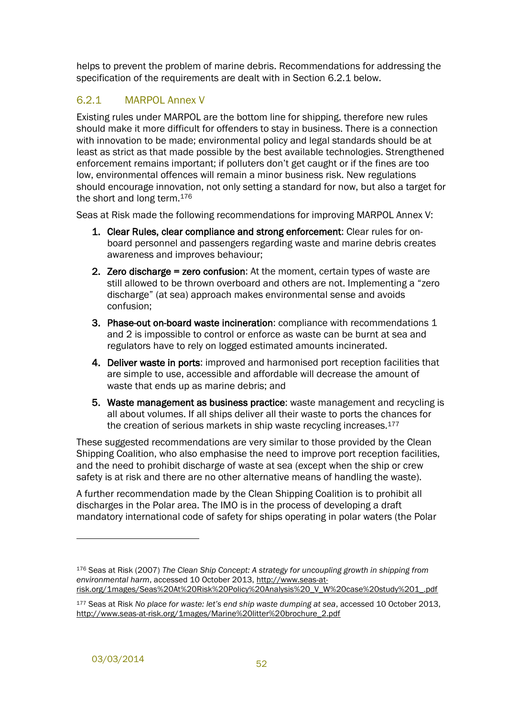helps to prevent the problem of marine debris. Recommendations for addressing the specification of the requirements are dealt with in Section [6.2.1](#page-57-0) below.

## <span id="page-57-0"></span>6.2.1 MARPOL Annex V

Existing rules under MARPOL are the bottom line for shipping, therefore new rules should make it more difficult for offenders to stay in business. There is a connection with innovation to be made; environmental policy and legal standards should be at least as strict as that made possible by the best available technologies. Strengthened enforcement remains important; if polluters don't get caught or if the fines are too low, environmental offences will remain a minor business risk. New regulations should encourage innovation, not only setting a standard for now, but also a target for the short and long term.<sup>176</sup>

Seas at Risk made the following recommendations for improving MARPOL Annex V:

- 1. Clear Rules, clear compliance and strong enforcement: Clear rules for onboard personnel and passengers regarding waste and marine debris creates awareness and improves behaviour;
- 2. Zero discharge = zero confusion: At the moment, certain types of waste are still allowed to be thrown overboard and others are not. Implementing a "zero discharge" (at sea) approach makes environmental sense and avoids confusion;
- 3. Phase-out on-board waste incineration: compliance with recommendations 1 and 2 is impossible to control or enforce as waste can be burnt at sea and regulators have to rely on logged estimated amounts incinerated.
- 4. Deliver waste in ports: improved and harmonised port reception facilities that are simple to use, accessible and affordable will decrease the amount of waste that ends up as marine debris; and
- 5. Waste management as business practice: waste management and recycling is all about volumes. If all ships deliver all their waste to ports the chances for the creation of serious markets in ship waste recycling increases.<sup>177</sup>

These suggested recommendations are very similar to those provided by the Clean Shipping Coalition, who also emphasise the need to improve port reception facilities, and the need to prohibit discharge of waste at sea (except when the ship or crew safety is at risk and there are no other alternative means of handling the waste).

A further recommendation made by the Clean Shipping Coalition is to prohibit all discharges in the Polar area. The IMO is in the process of developing a draft mandatory international code of safety for ships operating in polar waters (the Polar

<sup>176</sup> Seas at Risk (2007) *The Clean Ship Concept: A strategy for uncoupling growth in shipping from environmental harm*, accessed 10 October 2013, http://www.seas-atrisk.org/1mages/Seas%20At%20Risk%20Policy%20Analysis%20\_V\_W%20case%20study%201\_.pdf

<sup>177</sup> Seas at Risk *No place for waste: let's end ship waste dumping at sea*, accessed 10 October 2013, http://www.seas-at-risk.org/1mages/Marine%20litter%20brochure\_2.pdf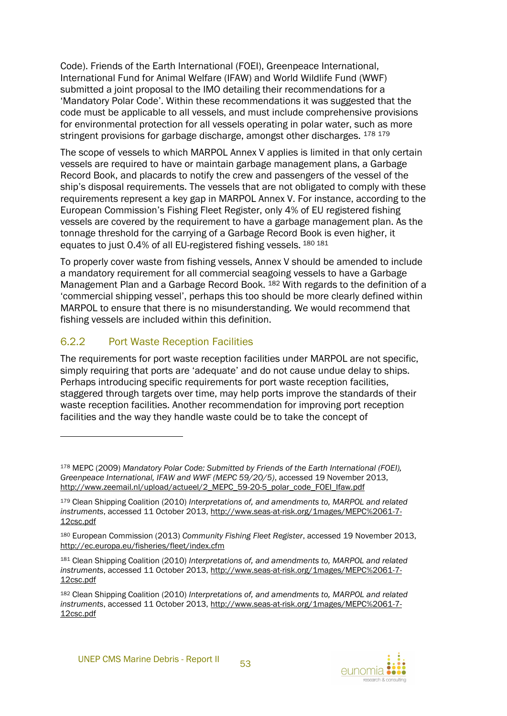Code). Friends of the Earth International (FOEI), Greenpeace International, International Fund for Animal Welfare (IFAW) and World Wildlife Fund (WWF) submitted a joint proposal to the IMO detailing their recommendations for a 'Mandatory Polar Code'. Within these recommendations it was suggested that the code must be applicable to all vessels, and must include comprehensive provisions for environmental protection for all vessels operating in polar water, such as more stringent provisions for garbage discharge, amongst other discharges. 178 179

The scope of vessels to which MARPOL Annex V applies is limited in that only certain vessels are required to have or maintain garbage management plans, a Garbage Record Book, and placards to notify the crew and passengers of the vessel of the ship's disposal requirements. The vessels that are not obligated to comply with these requirements represent a key gap in MARPOL Annex V. For instance, according to the European Commission's Fishing Fleet Register, only 4% of EU registered fishing vessels are covered by the requirement to have a garbage management plan. As the tonnage threshold for the carrying of a Garbage Record Book is even higher, it equates to just 0.4% of all EU-registered fishing vessels. <sup>180</sup> <sup>181</sup>

To properly cover waste from fishing vessels, Annex V should be amended to include a mandatory requirement for all commercial seagoing vessels to have a Garbage Management Plan and a Garbage Record Book. <sup>182</sup> With regards to the definition of a 'commercial shipping vessel', perhaps this too should be more clearly defined within MARPOL to ensure that there is no misunderstanding. We would recommend that fishing vessels are included within this definition.

### <span id="page-58-0"></span>6.2.2 Port Waste Reception Facilities

 $\overline{a}$ 

The requirements for port waste reception facilities under MARPOL are not specific, simply requiring that ports are 'adequate' and do not cause undue delay to ships. Perhaps introducing specific requirements for port waste reception facilities, staggered through targets over time, may help ports improve the standards of their waste reception facilities. Another recommendation for improving port reception facilities and the way they handle waste could be to take the concept of



<sup>178</sup> MEPC (2009) *Mandatory Polar Code: Submitted by Friends of the Earth International (FOEI), Greenpeace International, IFAW and WWF (MEPC 59/20/5)*, accessed 19 November 2013, http://www.zeemail.nl/upload/actueel/2\_MEPC\_59-20-5\_polar\_code\_FOEI\_Ifaw.pdf

<sup>179</sup> Clean Shipping Coalition (2010) *Interpretations of, and amendments to, MARPOL and related instruments*, accessed 11 October 2013, http://www.seas-at-risk.org/1mages/MEPC%2061-7- 12csc.pdf

<sup>180</sup> European Commission (2013) *Community Fishing Fleet Register*, accessed 19 November 2013, http://ec.europa.eu/fisheries/fleet/index.cfm

<sup>181</sup> Clean Shipping Coalition (2010) *Interpretations of, and amendments to, MARPOL and related instruments*, accessed 11 October 2013, http://www.seas-at-risk.org/1mages/MEPC%2061-7- 12csc.pdf

<sup>182</sup> Clean Shipping Coalition (2010) *Interpretations of, and amendments to, MARPOL and related instruments*, accessed 11 October 2013, http://www.seas-at-risk.org/1mages/MEPC%2061-7- 12csc.pdf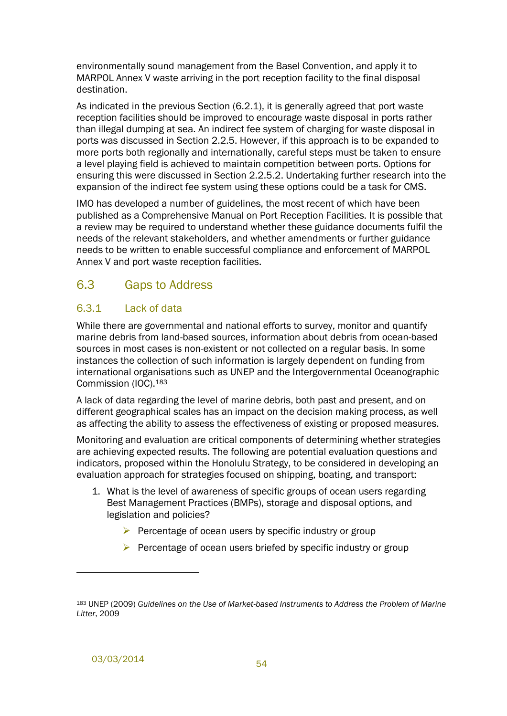environmentally sound management from the Basel Convention, and apply it to MARPOL Annex V waste arriving in the port reception facility to the final disposal destination.

As indicated in the previous Section [\(6.2.1\)](#page-57-0), it is generally agreed that port waste reception facilities should be improved to encourage waste disposal in ports rather than illegal dumping at sea. An indirect fee system of charging for waste disposal in ports was discussed in Section [2.2.5.](#page-30-0) However, if this approach is to be expanded to more ports both regionally and internationally, careful steps must be taken to ensure a level playing field is achieved to maintain competition between ports. Options for ensuring this were discussed in Section [2.2.5.2.](#page-33-0) Undertaking further research into the expansion of the indirect fee system using these options could be a task for CMS.

IMO has developed a number of guidelines, the most recent of which have been published as a Comprehensive Manual on Port Reception Facilities. It is possible that a review may be required to understand whether these guidance documents fulfil the needs of the relevant stakeholders, and whether amendments or further guidance needs to be written to enable successful compliance and enforcement of MARPOL Annex V and port waste reception facilities.

## <span id="page-59-0"></span>6.3 Gaps to Address

#### <span id="page-59-1"></span>6.3.1 Lack of data

While there are governmental and national efforts to survey, monitor and quantify marine debris from land-based sources, information about debris from ocean-based sources in most cases is non-existent or not collected on a regular basis. In some instances the collection of such information is largely dependent on funding from international organisations such as UNEP and the Intergovernmental Oceanographic Commission (IOC).<sup>183</sup>

A lack of data regarding the level of marine debris, both past and present, and on different geographical scales has an impact on the decision making process, as well as affecting the ability to assess the effectiveness of existing or proposed measures.

Monitoring and evaluation are critical components of determining whether strategies are achieving expected results. The following are potential evaluation questions and indicators, proposed within the Honolulu Strategy, to be considered in developing an evaluation approach for strategies focused on shipping, boating, and transport:

- 1. What is the level of awareness of specific groups of ocean users regarding Best Management Practices (BMPs), storage and disposal options, and legislation and policies?
	- $\triangleright$  Percentage of ocean users by specific industry or group
	- $\triangleright$  Percentage of ocean users briefed by specific industry or group

<sup>183</sup> UNEP (2009) *Guidelines on the Use of Market-based Instruments to Address the Problem of Marine Litter*, 2009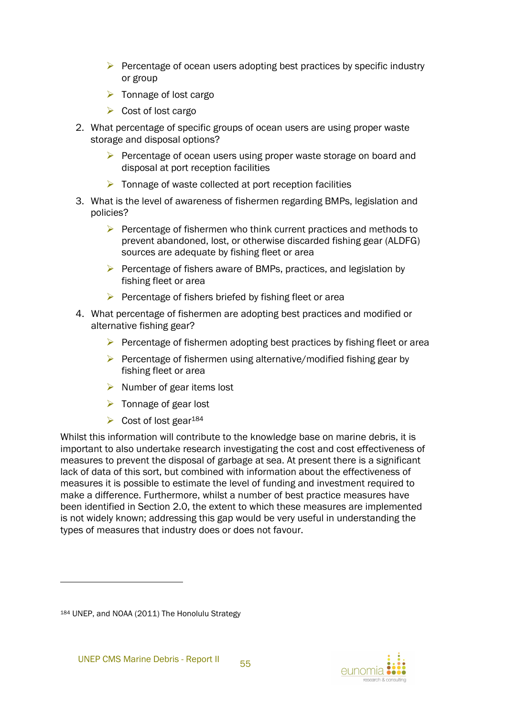- $\triangleright$  Percentage of ocean users adopting best practices by specific industry or group
- $\triangleright$  Tonnage of lost cargo
- $\triangleright$  Cost of lost cargo
- 2. What percentage of specific groups of ocean users are using proper waste storage and disposal options?
	- $\triangleright$  Percentage of ocean users using proper waste storage on board and disposal at port reception facilities
	- $\triangleright$  Tonnage of waste collected at port reception facilities
- 3. What is the level of awareness of fishermen regarding BMPs, legislation and policies?
	- $\triangleright$  Percentage of fishermen who think current practices and methods to prevent abandoned, lost, or otherwise discarded fishing gear (ALDFG) sources are adequate by fishing fleet or area
	- $\triangleright$  Percentage of fishers aware of BMPs, practices, and legislation by fishing fleet or area
	- $\triangleright$  Percentage of fishers briefed by fishing fleet or area
- 4. What percentage of fishermen are adopting best practices and modified or alternative fishing gear?
	- $\triangleright$  Percentage of fishermen adopting best practices by fishing fleet or area
	- $\triangleright$  Percentage of fishermen using alternative/modified fishing gear by fishing fleet or area
	- $\triangleright$  Number of gear items lost
	- $\triangleright$  Tonnage of gear lost
	- $\triangleright$  Cost of lost gear<sup>184</sup>

Whilst this information will contribute to the knowledge base on marine debris, it is important to also undertake research investigating the cost and cost effectiveness of measures to prevent the disposal of garbage at sea. At present there is a significant lack of data of this sort, but combined with information about the effectiveness of measures it is possible to estimate the level of funding and investment required to make a difference. Furthermore, whilst a number of best practice measures have been identified in Section [2.0,](#page-12-0) the extent to which these measures are implemented is not widely known; addressing this gap would be very useful in understanding the types of measures that industry does or does not favour.



<sup>184</sup> UNEP, and NOAA (2011) The Honolulu Strategy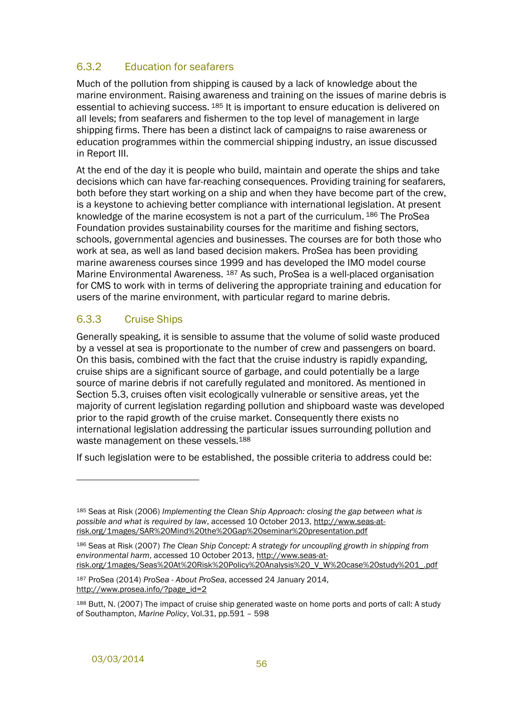### <span id="page-61-0"></span>6.3.2 Education for seafarers

Much of the pollution from shipping is caused by a lack of knowledge about the marine environment. Raising awareness and training on the issues of marine debris is essential to achieving success. <sup>185</sup> It is important to ensure education is delivered on all levels; from seafarers and fishermen to the top level of management in large shipping firms. There has been a distinct lack of campaigns to raise awareness or education programmes within the commercial shipping industry, an issue discussed in Report III.

At the end of the day it is people who build, maintain and operate the ships and take decisions which can have far-reaching consequences. Providing training for seafarers, both before they start working on a ship and when they have become part of the crew, is a keystone to achieving better compliance with international legislation. At present knowledge of the marine ecosystem is not a part of the curriculum. <sup>186</sup> The ProSea Foundation provides sustainability courses for the maritime and fishing sectors, schools, governmental agencies and businesses. The courses are for both those who work at sea, as well as land based decision makers. ProSea has been providing marine awareness courses since 1999 and has developed the IMO model course Marine Environmental Awareness. <sup>187</sup> As such, ProSea is a well-placed organisation for CMS to work with in terms of delivering the appropriate training and education for users of the marine environment, with particular regard to marine debris.

## <span id="page-61-1"></span>6.3.3 Cruise Ships

Generally speaking, it is sensible to assume that the volume of solid waste produced by a vessel at sea is proportionate to the number of crew and passengers on board. On this basis, combined with the fact that the cruise industry is rapidly expanding, cruise ships are a significant source of garbage, and could potentially be a large source of marine debris if not carefully regulated and monitored. As mentioned in Section [5.3,](#page-54-1) cruises often visit ecologically vulnerable or sensitive areas, yet the majority of current legislation regarding pollution and shipboard waste was developed prior to the rapid growth of the cruise market. Consequently there exists no international legislation addressing the particular issues surrounding pollution and waste management on these vessels.<sup>188</sup>

If such legislation were to be established, the possible criteria to address could be:

<sup>187</sup> ProSea (2014) *ProSea - About ProSea*, accessed 24 January 2014, http://www.prosea.info/?page\_id=2

<sup>185</sup> Seas at Risk (2006) *Implementing the Clean Ship Approach: closing the gap between what is possible and what is required by law*, accessed 10 October 2013, http://www.seas-atrisk.org/1mages/SAR%20Mind%20the%20Gap%20seminar%20presentation.pdf

<sup>186</sup> Seas at Risk (2007) *The Clean Ship Concept: A strategy for uncoupling growth in shipping from environmental harm*, accessed 10 October 2013, http://www.seas-atrisk.org/1mages/Seas%20At%20Risk%20Policy%20Analysis%20\_V\_W%20case%20study%201\_.pdf

<sup>188</sup> Butt, N. (2007) The impact of cruise ship generated waste on home ports and ports of call: A study of Southampton, *Marine Policy*, Vol.31, pp.591 – 598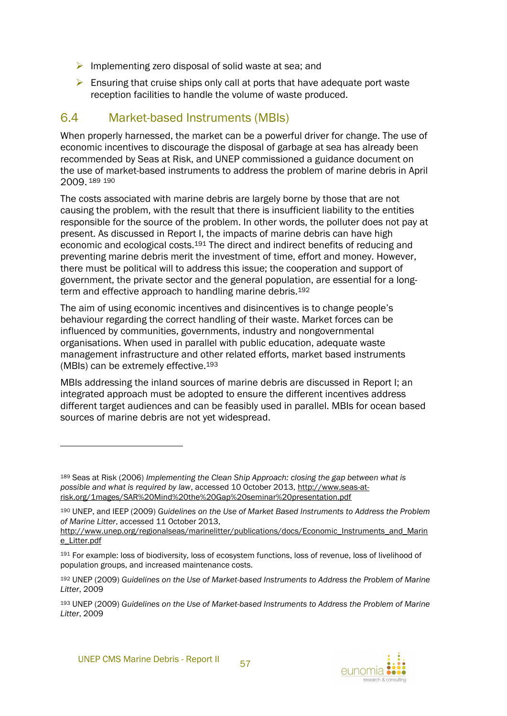- $\triangleright$  Implementing zero disposal of solid waste at sea; and
- $\triangleright$  Ensuring that cruise ships only call at ports that have adequate port waste reception facilities to handle the volume of waste produced.

## <span id="page-62-0"></span>6.4 Market-based Instruments (MBIs)

When properly harnessed, the market can be a powerful driver for change. The use of economic incentives to discourage the disposal of garbage at sea has already been recommended by Seas at Risk, and UNEP commissioned a guidance document on the use of market-based instruments to address the problem of marine debris in April 2009. <sup>189</sup> <sup>190</sup>

The costs associated with marine debris are largely borne by those that are not causing the problem, with the result that there is insufficient liability to the entities responsible for the source of the problem. In other words, the polluter does not pay at present. As discussed in Report I, the impacts of marine debris can have high economic and ecological costs.<sup>191</sup> The direct and indirect benefits of reducing and preventing marine debris merit the investment of time, effort and money. However, there must be political will to address this issue; the cooperation and support of government, the private sector and the general population, are essential for a longterm and effective approach to handling marine debris.<sup>192</sup>

The aim of using economic incentives and disincentives is to change people's behaviour regarding the correct handling of their waste. Market forces can be influenced by communities, governments, industry and nongovernmental organisations. When used in parallel with public education, adequate waste management infrastructure and other related efforts, market based instruments (MBIs) can be extremely effective.<sup>193</sup>

MBIs addressing the inland sources of marine debris are discussed in Report I; an integrated approach must be adopted to ensure the different incentives address different target audiences and can be feasibly used in parallel. MBIs for ocean based sources of marine debris are not yet widespread.



<sup>189</sup> Seas at Risk (2006) *Implementing the Clean Ship Approach: closing the gap between what is possible and what is required by law*, accessed 10 October 2013, http://www.seas-atrisk.org/1mages/SAR%20Mind%20the%20Gap%20seminar%20presentation.pdf

<sup>190</sup> UNEP, and IEEP (2009) *Guidelines on the Use of Market Based Instruments to Address the Problem of Marine Litter*, accessed 11 October 2013,

http://www.unep.org/regionalseas/marinelitter/publications/docs/Economic\_Instruments\_and\_Marin e\_Litter.pdf

<sup>191</sup> For example: loss of biodiversity, loss of ecosystem functions, loss of revenue, loss of livelihood of population groups, and increased maintenance costs.

<sup>192</sup> UNEP (2009) *Guidelines on the Use of Market-based Instruments to Address the Problem of Marine Litter*, 2009

<sup>193</sup> UNEP (2009) *Guidelines on the Use of Market-based Instruments to Address the Problem of Marine Litter*, 2009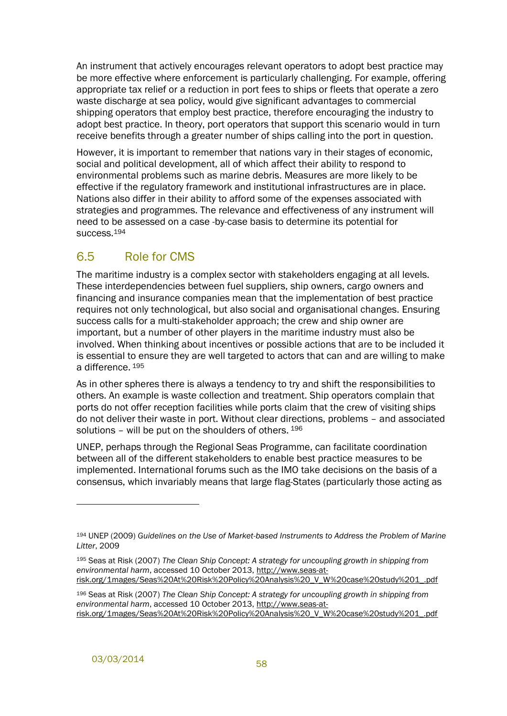An instrument that actively encourages relevant operators to adopt best practice may be more effective where enforcement is particularly challenging. For example, offering appropriate tax relief or a reduction in port fees to ships or fleets that operate a zero waste discharge at sea policy, would give significant advantages to commercial shipping operators that employ best practice, therefore encouraging the industry to adopt best practice. In theory, port operators that support this scenario would in turn receive benefits through a greater number of ships calling into the port in question.

However, it is important to remember that nations vary in their stages of economic, social and political development, all of which affect their ability to respond to environmental problems such as marine debris. Measures are more likely to be effective if the regulatory framework and institutional infrastructures are in place. Nations also differ in their ability to afford some of the expenses associated with strategies and programmes. The relevance and effectiveness of any instrument will need to be assessed on a case -by-case basis to determine its potential for success.<sup>194</sup>

## <span id="page-63-0"></span>6.5 Role for CMS

The maritime industry is a complex sector with stakeholders engaging at all levels. These interdependencies between fuel suppliers, ship owners, cargo owners and financing and insurance companies mean that the implementation of best practice requires not only technological, but also social and organisational changes. Ensuring success calls for a multi-stakeholder approach; the crew and ship owner are important, but a number of other players in the maritime industry must also be involved. When thinking about incentives or possible actions that are to be included it is essential to ensure they are well targeted to actors that can and are willing to make a difference. 195

As in other spheres there is always a tendency to try and shift the responsibilities to others. An example is waste collection and treatment. Ship operators complain that ports do not offer reception facilities while ports claim that the crew of visiting ships do not deliver their waste in port. Without clear directions, problems – and associated solutions – will be put on the shoulders of others. 196

UNEP, perhaps through the Regional Seas Programme, can facilitate coordination between all of the different stakeholders to enable best practice measures to be implemented. International forums such as the IMO take decisions on the basis of a consensus, which invariably means that large flag-States (particularly those acting as

<sup>194</sup> UNEP (2009) *Guidelines on the Use of Market-based Instruments to Address the Problem of Marine Litter*, 2009

<sup>195</sup> Seas at Risk (2007) *The Clean Ship Concept: A strategy for uncoupling growth in shipping from environmental harm*, accessed 10 October 2013, http://www.seas-atrisk.org/1mages/Seas%20At%20Risk%20Policy%20Analysis%20\_V\_W%20case%20study%201\_.pdf

<sup>196</sup> Seas at Risk (2007) *The Clean Ship Concept: A strategy for uncoupling growth in shipping from environmental harm*, accessed 10 October 2013, http://www.seas-atrisk.org/1mages/Seas%20At%20Risk%20Policy%20Analysis%20\_V\_W%20case%20study%201\_.pdf